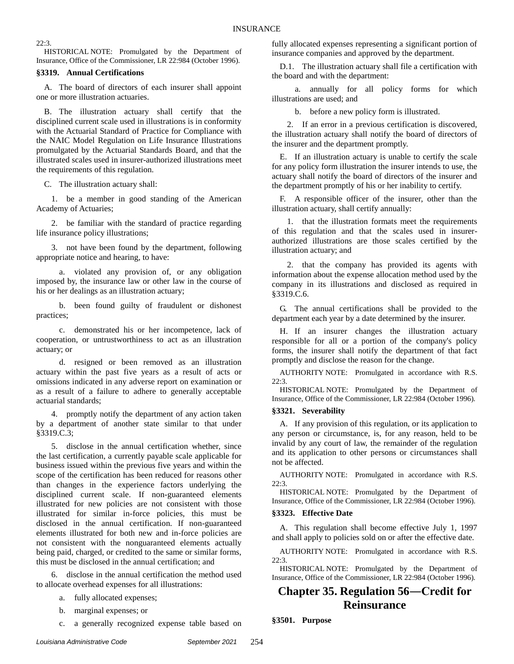22:3.

HISTORICAL NOTE: Promulgated by the Department of Insurance, Office of the Commissioner, LR 22:984 (October 1996).

#### **§3319. Annual Certifications**

A. The board of directors of each insurer shall appoint one or more illustration actuaries.

B. The illustration actuary shall certify that the disciplined current scale used in illustrations is in conformity with the Actuarial Standard of Practice for Compliance with the NAIC Model Regulation on Life Insurance Illustrations promulgated by the Actuarial Standards Board, and that the illustrated scales used in insurer-authorized illustrations meet the requirements of this regulation.

C. The illustration actuary shall:

1. be a member in good standing of the American Academy of Actuaries;

2. be familiar with the standard of practice regarding life insurance policy illustrations;

3. not have been found by the department, following appropriate notice and hearing, to have:

a. violated any provision of, or any obligation imposed by, the insurance law or other law in the course of his or her dealings as an illustration actuary;

b. been found guilty of fraudulent or dishonest practices;

c. demonstrated his or her incompetence, lack of cooperation, or untrustworthiness to act as an illustration actuary; or

d. resigned or been removed as an illustration actuary within the past five years as a result of acts or omissions indicated in any adverse report on examination or as a result of a failure to adhere to generally acceptable actuarial standards;

4. promptly notify the department of any action taken by a department of another state similar to that under §3319.C.3;

5. disclose in the annual certification whether, since the last certification, a currently payable scale applicable for business issued within the previous five years and within the scope of the certification has been reduced for reasons other than changes in the experience factors underlying the disciplined current scale. If non-guaranteed elements illustrated for new policies are not consistent with those illustrated for similar in-force policies, this must be disclosed in the annual certification. If non-guaranteed elements illustrated for both new and in-force policies are not consistent with the nonguaranteed elements actually being paid, charged, or credited to the same or similar forms, this must be disclosed in the annual certification; and

6. disclose in the annual certification the method used to allocate overhead expenses for all illustrations:

- a. fully allocated expenses;
- b. marginal expenses; or
- c. a generally recognized expense table based on

fully allocated expenses representing a significant portion of insurance companies and approved by the department.

D.1. The illustration actuary shall file a certification with the board and with the department:

a. annually for all policy forms for which illustrations are used; and

b. before a new policy form is illustrated.

2. If an error in a previous certification is discovered, the illustration actuary shall notify the board of directors of the insurer and the department promptly.

E. If an illustration actuary is unable to certify the scale for any policy form illustration the insurer intends to use, the actuary shall notify the board of directors of the insurer and the department promptly of his or her inability to certify.

F. A responsible officer of the insurer, other than the illustration actuary, shall certify annually:

1. that the illustration formats meet the requirements of this regulation and that the scales used in insurerauthorized illustrations are those scales certified by the illustration actuary; and

2. that the company has provided its agents with information about the expense allocation method used by the company in its illustrations and disclosed as required in §3319.C.6.

G. The annual certifications shall be provided to the department each year by a date determined by the insurer.

H. If an insurer changes the illustration actuary responsible for all or a portion of the company's policy forms, the insurer shall notify the department of that fact promptly and disclose the reason for the change.

AUTHORITY NOTE: Promulgated in accordance with R.S. 22:3.

HISTORICAL NOTE: Promulgated by the Department of Insurance, Office of the Commissioner, LR 22:984 (October 1996).

#### **§3321. Severability**

A. If any provision of this regulation, or its application to any person or circumstance, is, for any reason, held to be invalid by any court of law, the remainder of the regulation and its application to other persons or circumstances shall not be affected.

AUTHORITY NOTE: Promulgated in accordance with R.S. 22:3.

HISTORICAL NOTE: Promulgated by the Department of Insurance, Office of the Commissioner, LR 22:984 (October 1996).

#### **§3323. Effective Date**

A. This regulation shall become effective July 1, 1997 and shall apply to policies sold on or after the effective date.

AUTHORITY NOTE: Promulgated in accordance with R.S. 22:3.

HISTORICAL NOTE: Promulgated by the Department of Insurance, Office of the Commissioner, LR 22:984 (October 1996).

# **Chapter 35. Regulation 56―Credit for Reinsurance**

**§3501. Purpose**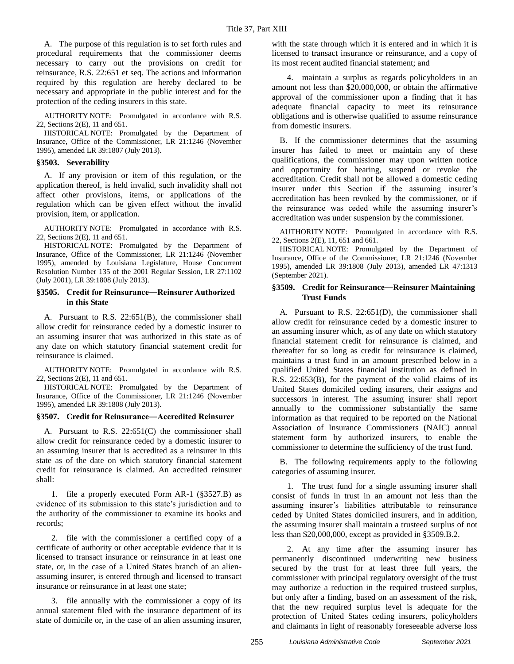A. The purpose of this regulation is to set forth rules and procedural requirements that the commissioner deems necessary to carry out the provisions on credit for reinsurance, R.S. 22:651 et seq. The actions and information required by this regulation are hereby declared to be necessary and appropriate in the public interest and for the protection of the ceding insurers in this state.

AUTHORITY NOTE: Promulgated in accordance with R.S. 22, Sections 2(E), 11 and 651.

HISTORICAL NOTE: Promulgated by the Department of Insurance, Office of the Commissioner, LR 21:1246 (November 1995), amended LR 39:1807 (July 2013).

#### **§3503. Severability**

A. If any provision or item of this regulation, or the application thereof, is held invalid, such invalidity shall not affect other provisions, items, or applications of the regulation which can be given effect without the invalid provision, item, or application.

AUTHORITY NOTE: Promulgated in accordance with R.S. 22, Sections 2(E), 11 and 651.

HISTORICAL NOTE: Promulgated by the Department of Insurance, Office of the Commissioner, LR 21:1246 (November 1995), amended by Louisiana Legislature, House Concurrent Resolution Number 135 of the 2001 Regular Session, LR 27:1102 (July 2001), LR 39:1808 (July 2013).

#### **§3505. Credit for Reinsurance―Reinsurer Authorized in this State**

A. Pursuant to R.S. 22:651(B), the commissioner shall allow credit for reinsurance ceded by a domestic insurer to an assuming insurer that was authorized in this state as of any date on which statutory financial statement credit for reinsurance is claimed.

AUTHORITY NOTE: Promulgated in accordance with R.S. 22, Sections 2(E), 11 and 651.

HISTORICAL NOTE: Promulgated by the Department of Insurance, Office of the Commissioner, LR 21:1246 (November 1995), amended LR 39:1808 (July 2013).

#### **§3507. Credit for Reinsurance―Accredited Reinsurer**

A. Pursuant to R.S. 22:651(C) the commissioner shall allow credit for reinsurance ceded by a domestic insurer to an assuming insurer that is accredited as a reinsurer in this state as of the date on which statutory financial statement credit for reinsurance is claimed. An accredited reinsurer shall:

1. file a properly executed Form AR-1 (§3527.B) as evidence of its submission to this state's jurisdiction and to the authority of the commissioner to examine its books and records;

2. file with the commissioner a certified copy of a certificate of authority or other acceptable evidence that it is licensed to transact insurance or reinsurance in at least one state, or, in the case of a United States branch of an alienassuming insurer, is entered through and licensed to transact insurance or reinsurance in at least one state;

3. file annually with the commissioner a copy of its annual statement filed with the insurance department of its state of domicile or, in the case of an alien assuming insurer, with the state through which it is entered and in which it is licensed to transact insurance or reinsurance, and a copy of its most recent audited financial statement; and

4. maintain a surplus as regards policyholders in an amount not less than \$20,000,000, or obtain the affirmative approval of the commissioner upon a finding that it has adequate financial capacity to meet its reinsurance obligations and is otherwise qualified to assume reinsurance from domestic insurers.

B. If the commissioner determines that the assuming insurer has failed to meet or maintain any of these qualifications, the commissioner may upon written notice and opportunity for hearing, suspend or revoke the accreditation. Credit shall not be allowed a domestic ceding insurer under this Section if the assuming insurer's accreditation has been revoked by the commissioner, or if the reinsurance was ceded while the assuming insurer's accreditation was under suspension by the commissioner.

AUTHORITY NOTE: Promulgated in accordance with R.S. 22, Sections 2(E), 11, 651 and 661.

HISTORICAL NOTE: Promulgated by the Department of Insurance, Office of the Commissioner, LR 21:1246 (November 1995), amended LR 39:1808 (July 2013), amended LR 47:1313 (September 2021).

#### **§3509. Credit for Reinsurance―Reinsurer Maintaining Trust Funds**

A. Pursuant to R.S. 22:651(D), the commissioner shall allow credit for reinsurance ceded by a domestic insurer to an assuming insurer which, as of any date on which statutory financial statement credit for reinsurance is claimed, and thereafter for so long as credit for reinsurance is claimed, maintains a trust fund in an amount prescribed below in a qualified United States financial institution as defined in R.S. 22:653(B), for the payment of the valid claims of its United States domiciled ceding insurers, their assigns and successors in interest. The assuming insurer shall report annually to the commissioner substantially the same information as that required to be reported on the National Association of Insurance Commissioners (NAIC) annual statement form by authorized insurers, to enable the commissioner to determine the sufficiency of the trust fund.

B. The following requirements apply to the following categories of assuming insurer.

1. The trust fund for a single assuming insurer shall consist of funds in trust in an amount not less than the assuming insurer's liabilities attributable to reinsurance ceded by United States domiciled insurers, and in addition, the assuming insurer shall maintain a trusteed surplus of not less than \$20,000,000, except as provided in §3509.B.2.

2. At any time after the assuming insurer has permanently discontinued underwriting new business secured by the trust for at least three full years, the commissioner with principal regulatory oversight of the trust may authorize a reduction in the required trusteed surplus, but only after a finding, based on an assessment of the risk, that the new required surplus level is adequate for the protection of United States ceding insurers, policyholders and claimants in light of reasonably foreseeable adverse loss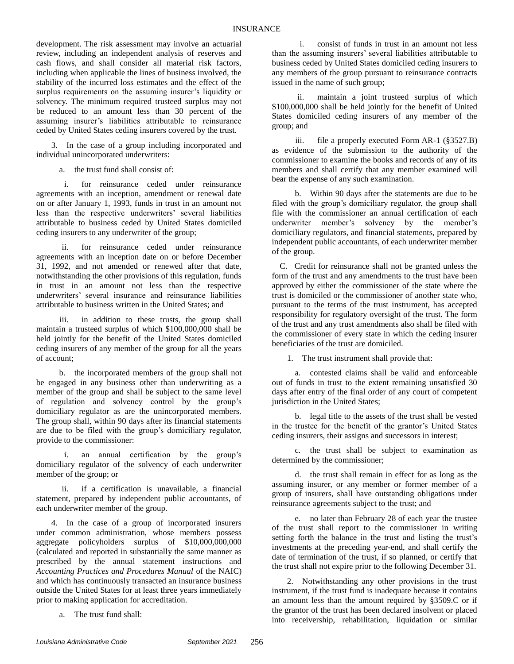development. The risk assessment may involve an actuarial review, including an independent analysis of reserves and cash flows, and shall consider all material risk factors, including when applicable the lines of business involved, the stability of the incurred loss estimates and the effect of the surplus requirements on the assuming insurer's liquidity or solvency. The minimum required trusteed surplus may not be reduced to an amount less than 30 percent of the assuming insurer's liabilities attributable to reinsurance ceded by United States ceding insurers covered by the trust.

3. In the case of a group including incorporated and individual unincorporated underwriters:

a. the trust fund shall consist of:

i. for reinsurance ceded under reinsurance agreements with an inception, amendment or renewal date on or after January 1, 1993, funds in trust in an amount not less than the respective underwriters' several liabilities attributable to business ceded by United States domiciled ceding insurers to any underwriter of the group;

ii. for reinsurance ceded under reinsurance agreements with an inception date on or before December 31, 1992, and not amended or renewed after that date, notwithstanding the other provisions of this regulation, funds in trust in an amount not less than the respective underwriters' several insurance and reinsurance liabilities attributable to business written in the United States; and

iii. in addition to these trusts, the group shall maintain a trusteed surplus of which \$100,000,000 shall be held jointly for the benefit of the United States domiciled ceding insurers of any member of the group for all the years of account;

b. the incorporated members of the group shall not be engaged in any business other than underwriting as a member of the group and shall be subject to the same level of regulation and solvency control by the group's domiciliary regulator as are the unincorporated members. The group shall, within 90 days after its financial statements are due to be filed with the group's domiciliary regulator, provide to the commissioner:

i. an annual certification by the group's domiciliary regulator of the solvency of each underwriter member of the group; or

ii. if a certification is unavailable, a financial statement, prepared by independent public accountants, of each underwriter member of the group.

4. In the case of a group of incorporated insurers under common administration, whose members possess aggregate policyholders surplus of \$10,000,000,000 (calculated and reported in substantially the same manner as prescribed by the annual statement instructions and *Accounting Practices and Procedures Manual* of the NAIC) and which has continuously transacted an insurance business outside the United States for at least three years immediately prior to making application for accreditation.

a. The trust fund shall:

i. consist of funds in trust in an amount not less than the assuming insurers' several liabilities attributable to business ceded by United States domiciled ceding insurers to any members of the group pursuant to reinsurance contracts issued in the name of such group;

ii. maintain a joint trusteed surplus of which \$100,000,000 shall be held jointly for the benefit of United States domiciled ceding insurers of any member of the group; and

iii. file a properly executed Form AR-1 (§3527.B) as evidence of the submission to the authority of the commissioner to examine the books and records of any of its members and shall certify that any member examined will bear the expense of any such examination.

b. Within 90 days after the statements are due to be filed with the group's domiciliary regulator, the group shall file with the commissioner an annual certification of each underwriter member's solvency by the member's domiciliary regulators, and financial statements, prepared by independent public accountants, of each underwriter member of the group.

C. Credit for reinsurance shall not be granted unless the form of the trust and any amendments to the trust have been approved by either the commissioner of the state where the trust is domiciled or the commissioner of another state who, pursuant to the terms of the trust instrument, has accepted responsibility for regulatory oversight of the trust. The form of the trust and any trust amendments also shall be filed with the commissioner of every state in which the ceding insurer beneficiaries of the trust are domiciled.

1. The trust instrument shall provide that:

a. contested claims shall be valid and enforceable out of funds in trust to the extent remaining unsatisfied 30 days after entry of the final order of any court of competent jurisdiction in the United States;

b. legal title to the assets of the trust shall be vested in the trustee for the benefit of the grantor's United States ceding insurers, their assigns and successors in interest;

c. the trust shall be subject to examination as determined by the commissioner;

d. the trust shall remain in effect for as long as the assuming insurer, or any member or former member of a group of insurers, shall have outstanding obligations under reinsurance agreements subject to the trust; and

e. no later than February 28 of each year the trustee of the trust shall report to the commissioner in writing setting forth the balance in the trust and listing the trust's investments at the preceding year-end, and shall certify the date of termination of the trust, if so planned, or certify that the trust shall not expire prior to the following December 31.

2. Notwithstanding any other provisions in the trust instrument, if the trust fund is inadequate because it contains an amount less than the amount required by §3509.C or if the grantor of the trust has been declared insolvent or placed into receivership, rehabilitation, liquidation or similar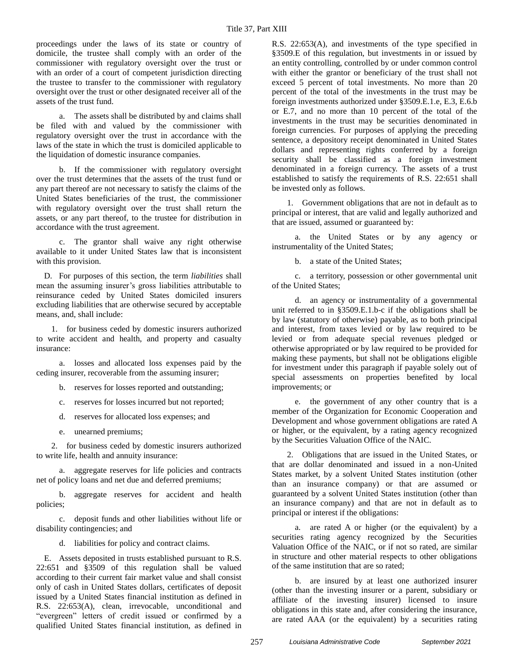proceedings under the laws of its state or country of domicile, the trustee shall comply with an order of the commissioner with regulatory oversight over the trust or with an order of a court of competent jurisdiction directing the trustee to transfer to the commissioner with regulatory oversight over the trust or other designated receiver all of the assets of the trust fund.

a. The assets shall be distributed by and claims shall be filed with and valued by the commissioner with regulatory oversight over the trust in accordance with the laws of the state in which the trust is domiciled applicable to the liquidation of domestic insurance companies.

b. If the commissioner with regulatory oversight over the trust determines that the assets of the trust fund or any part thereof are not necessary to satisfy the claims of the United States beneficiaries of the trust, the commissioner with regulatory oversight over the trust shall return the assets, or any part thereof, to the trustee for distribution in accordance with the trust agreement.

c. The grantor shall waive any right otherwise available to it under United States law that is inconsistent with this provision.

D. For purposes of this section, the term *liabilities* shall mean the assuming insurer's gross liabilities attributable to reinsurance ceded by United States domiciled insurers excluding liabilities that are otherwise secured by acceptable means, and, shall include:

1. for business ceded by domestic insurers authorized to write accident and health, and property and casualty insurance:

a. losses and allocated loss expenses paid by the ceding insurer, recoverable from the assuming insurer;

b. reserves for losses reported and outstanding;

c. reserves for losses incurred but not reported;

d. reserves for allocated loss expenses; and

e. unearned premiums;

2. for business ceded by domestic insurers authorized to write life, health and annuity insurance:

a. aggregate reserves for life policies and contracts net of policy loans and net due and deferred premiums;

b. aggregate reserves for accident and health policies;

c. deposit funds and other liabilities without life or disability contingencies; and

d. liabilities for policy and contract claims.

E. Assets deposited in trusts established pursuant to R.S. 22:651 and §3509 of this regulation shall be valued according to their current fair market value and shall consist only of cash in United States dollars, certificates of deposit issued by a United States financial institution as defined in R.S. 22:653(A), clean, irrevocable, unconditional and "evergreen" letters of credit issued or confirmed by a qualified United States financial institution, as defined in R.S. 22:653(A), and investments of the type specified in §3509.E of this regulation, but investments in or issued by an entity controlling, controlled by or under common control with either the grantor or beneficiary of the trust shall not exceed 5 percent of total investments. No more than 20 percent of the total of the investments in the trust may be foreign investments authorized under §3509.E.1.e, E.3, E.6.b or E.7, and no more than 10 percent of the total of the investments in the trust may be securities denominated in foreign currencies. For purposes of applying the preceding sentence, a depository receipt denominated in United States dollars and representing rights conferred by a foreign security shall be classified as a foreign investment denominated in a foreign currency. The assets of a trust established to satisfy the requirements of R.S. 22:651 shall be invested only as follows.

1. Government obligations that are not in default as to principal or interest, that are valid and legally authorized and that are issued, assumed or guaranteed by:

a. the United States or by any agency or instrumentality of the United States;

b. a state of the United States;

c. a territory, possession or other governmental unit of the United States;

d. an agency or instrumentality of a governmental unit referred to in §3509.E.1.b-c if the obligations shall be by law (statutory of otherwise) payable, as to both principal and interest, from taxes levied or by law required to be levied or from adequate special revenues pledged or otherwise appropriated or by law required to be provided for making these payments, but shall not be obligations eligible for investment under this paragraph if payable solely out of special assessments on properties benefited by local improvements; or

e. the government of any other country that is a member of the Organization for Economic Cooperation and Development and whose government obligations are rated A or higher, or the equivalent, by a rating agency recognized by the Securities Valuation Office of the NAIC.

2. Obligations that are issued in the United States, or that are dollar denominated and issued in a non-United States market, by a solvent United States institution (other than an insurance company) or that are assumed or guaranteed by a solvent United States institution (other than an insurance company) and that are not in default as to principal or interest if the obligations:

a. are rated A or higher (or the equivalent) by a securities rating agency recognized by the Securities Valuation Office of the NAIC, or if not so rated, are similar in structure and other material respects to other obligations of the same institution that are so rated;

b. are insured by at least one authorized insurer (other than the investing insurer or a parent, subsidiary or affiliate of the investing insurer) licensed to insure obligations in this state and, after considering the insurance, are rated AAA (or the equivalent) by a securities rating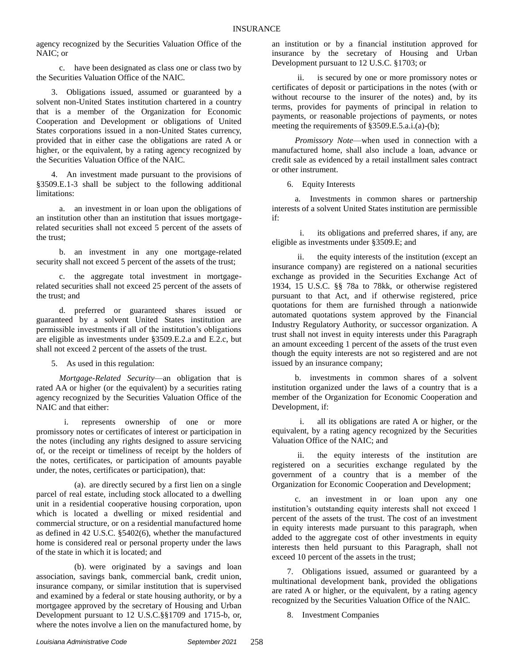agency recognized by the Securities Valuation Office of the NAIC; or

c. have been designated as class one or class two by the Securities Valuation Office of the NAIC.

3. Obligations issued, assumed or guaranteed by a solvent non-United States institution chartered in a country that is a member of the Organization for Economic Cooperation and Development or obligations of United States corporations issued in a non-United States currency, provided that in either case the obligations are rated A or higher, or the equivalent, by a rating agency recognized by the Securities Valuation Office of the NAIC.

4. An investment made pursuant to the provisions of §3509.E.1-3 shall be subject to the following additional limitations:

a. an investment in or loan upon the obligations of an institution other than an institution that issues mortgagerelated securities shall not exceed 5 percent of the assets of the trust;

b. an investment in any one mortgage-related security shall not exceed 5 percent of the assets of the trust;

c. the aggregate total investment in mortgagerelated securities shall not exceed 25 percent of the assets of the trust; and

d. preferred or guaranteed shares issued or guaranteed by a solvent United States institution are permissible investments if all of the institution's obligations are eligible as investments under §3509.E.2.a and E.2.c, but shall not exceed 2 percent of the assets of the trust.

5. As used in this regulation:

*Mortgage-Related Security*—an obligation that is rated AA or higher (or the equivalent) by a securities rating agency recognized by the Securities Valuation Office of the NAIC and that either:

i. represents ownership of one or more promissory notes or certificates of interest or participation in the notes (including any rights designed to assure servicing of, or the receipt or timeliness of receipt by the holders of the notes, certificates, or participation of amounts payable under, the notes, certificates or participation), that:

(a). are directly secured by a first lien on a single parcel of real estate, including stock allocated to a dwelling unit in a residential cooperative housing corporation, upon which is located a dwelling or mixed residential and commercial structure, or on a residential manufactured home as defined in 42 U.S.C. §5402(6), whether the manufactured home is considered real or personal property under the laws of the state in which it is located; and

(b). were originated by a savings and loan association, savings bank, commercial bank, credit union, insurance company, or similar institution that is supervised and examined by a federal or state housing authority, or by a mortgagee approved by the secretary of Housing and Urban Development pursuant to 12 U.S.C.§§1709 and 1715-b, or, where the notes involve a lien on the manufactured home, by an institution or by a financial institution approved for insurance by the secretary of Housing and Urban Development pursuant to 12 U.S.C. §1703; or

ii. is secured by one or more promissory notes or certificates of deposit or participations in the notes (with or without recourse to the insurer of the notes) and, by its terms, provides for payments of principal in relation to payments, or reasonable projections of payments, or notes meeting the requirements of §3509.E.5.a.i.(a)-(b);

*Promissory Note*—when used in connection with a manufactured home, shall also include a loan, advance or credit sale as evidenced by a retail installment sales contract or other instrument.

6. Equity Interests

a. Investments in common shares or partnership interests of a solvent United States institution are permissible if:

i. its obligations and preferred shares, if any, are eligible as investments under §3509.E; and

ii. the equity interests of the institution (except an insurance company) are registered on a national securities exchange as provided in the Securities Exchange Act of 1934, 15 U.S.C. §§ 78a to 78kk, or otherwise registered pursuant to that Act, and if otherwise registered, price quotations for them are furnished through a nationwide automated quotations system approved by the Financial Industry Regulatory Authority, or successor organization. A trust shall not invest in equity interests under this Paragraph an amount exceeding 1 percent of the assets of the trust even though the equity interests are not so registered and are not issued by an insurance company;

b. investments in common shares of a solvent institution organized under the laws of a country that is a member of the Organization for Economic Cooperation and Development, if:

i. all its obligations are rated A or higher, or the equivalent, by a rating agency recognized by the Securities Valuation Office of the NAIC; and

ii. the equity interests of the institution are registered on a securities exchange regulated by the government of a country that is a member of the Organization for Economic Cooperation and Development;

c. an investment in or loan upon any one institution's outstanding equity interests shall not exceed 1 percent of the assets of the trust. The cost of an investment in equity interests made pursuant to this paragraph, when added to the aggregate cost of other investments in equity interests then held pursuant to this Paragraph, shall not exceed 10 percent of the assets in the trust;

7. Obligations issued, assumed or guaranteed by a multinational development bank, provided the obligations are rated A or higher, or the equivalent, by a rating agency recognized by the Securities Valuation Office of the NAIC.

8. Investment Companies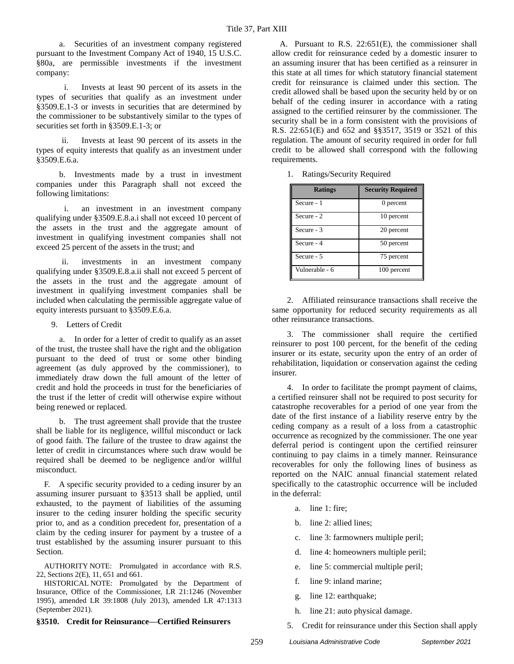a. Securities of an investment company registered pursuant to the Investment Company Act of 1940, 15 U.S.C. §80a, are permissible investments if the investment company:

i. Invests at least 90 percent of its assets in the types of securities that qualify as an investment under §3509.E.1-3 or invests in securities that are determined by the commissioner to be substantively similar to the types of securities set forth in §3509.E.1-3; or

ii. Invests at least 90 percent of its assets in the types of equity interests that qualify as an investment under §3509.E.6.a.

b. Investments made by a trust in investment companies under this Paragraph shall not exceed the following limitations:

i. an investment in an investment company qualifying under §3509.E.8.a.i shall not exceed 10 percent of the assets in the trust and the aggregate amount of investment in qualifying investment companies shall not exceed 25 percent of the assets in the trust; and

ii. investments in an investment company qualifying under §3509.E.8.a.ii shall not exceed 5 percent of the assets in the trust and the aggregate amount of investment in qualifying investment companies shall be included when calculating the permissible aggregate value of equity interests pursuant to §3509.E.6.a.

#### 9. Letters of Credit

a. In order for a letter of credit to qualify as an asset of the trust, the trustee shall have the right and the obligation pursuant to the deed of trust or some other binding agreement (as duly approved by the commissioner), to immediately draw down the full amount of the letter of credit and hold the proceeds in trust for the beneficiaries of the trust if the letter of credit will otherwise expire without being renewed or replaced.

b. The trust agreement shall provide that the trustee shall be liable for its negligence, willful misconduct or lack of good faith. The failure of the trustee to draw against the letter of credit in circumstances where such draw would be required shall be deemed to be negligence and/or willful misconduct.

F. A specific security provided to a ceding insurer by an assuming insurer pursuant to §3513 shall be applied, until exhausted, to the payment of liabilities of the assuming insurer to the ceding insurer holding the specific security prior to, and as a condition precedent for, presentation of a claim by the ceding insurer for payment by a trustee of a trust established by the assuming insurer pursuant to this Section.

AUTHORITY NOTE: Promulgated in accordance with R.S. 22, Sections 2(E), 11, 651 and 661.

HISTORICAL NOTE: Promulgated by the Department of Insurance, Office of the Commissioner, LR 21:1246 (November 1995), amended LR 39:1808 (July 2013), amended LR 47:1313 (September 2021).

#### **§3510. Credit for Reinsurance––Certified Reinsurers**

A. Pursuant to R.S. 22:651(E), the commissioner shall allow credit for reinsurance ceded by a domestic insurer to an assuming insurer that has been certified as a reinsurer in this state at all times for which statutory financial statement credit for reinsurance is claimed under this section. The credit allowed shall be based upon the security held by or on behalf of the ceding insurer in accordance with a rating assigned to the certified reinsurer by the commissioner. The security shall be in a form consistent with the provisions of R.S. 22:651(E) and 652 and §§3517, 3519 or 3521 of this regulation. The amount of security required in order for full credit to be allowed shall correspond with the following requirements.

1. Ratings/Security Required

| <b>Ratings</b> | <b>Security Required</b> |
|----------------|--------------------------|
| Secure - 1     | 0 percent                |
| Secure - 2     | 10 percent               |
| Secure - 3     | 20 percent               |
| Secure - 4     | 50 percent               |
| Secure - 5     | 75 percent               |
| Vulnerable - 6 | 100 percent              |

2. Affiliated reinsurance transactions shall receive the same opportunity for reduced security requirements as all other reinsurance transactions.

3. The commissioner shall require the certified reinsurer to post 100 percent, for the benefit of the ceding insurer or its estate, security upon the entry of an order of rehabilitation, liquidation or conservation against the ceding insurer.

4. In order to facilitate the prompt payment of claims, a certified reinsurer shall not be required to post security for catastrophe recoverables for a period of one year from the date of the first instance of a liability reserve entry by the ceding company as a result of a loss from a catastrophic occurrence as recognized by the commissioner. The one year deferral period is contingent upon the certified reinsurer continuing to pay claims in a timely manner. Reinsurance recoverables for only the following lines of business as reported on the NAIC annual financial statement related specifically to the catastrophic occurrence will be included in the deferral:

- a. line 1: fire;
- b. line 2: allied lines;
- c. line 3: farmowners multiple peril;
- d. line 4: homeowners multiple peril;
- e. line 5: commercial multiple peril;
- f. line 9: inland marine;
- g. line 12: earthquake;
- h. line 21: auto physical damage.
- 5. Credit for reinsurance under this Section shall apply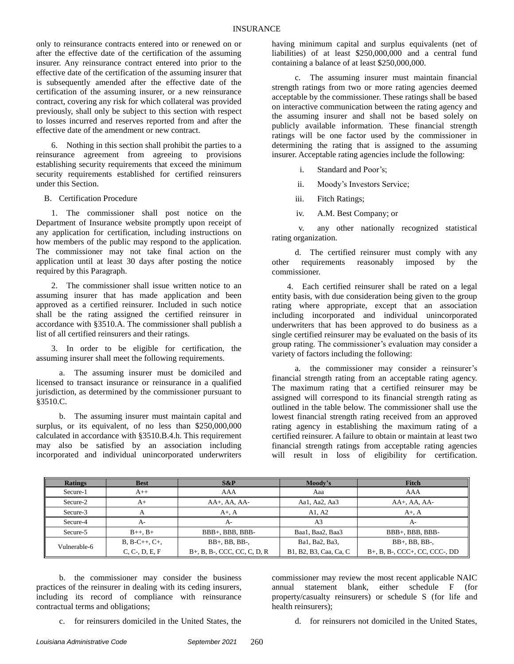only to reinsurance contracts entered into or renewed on or after the effective date of the certification of the assuming insurer. Any reinsurance contract entered into prior to the effective date of the certification of the assuming insurer that is subsequently amended after the effective date of the certification of the assuming insurer, or a new reinsurance contract, covering any risk for which collateral was provided previously, shall only be subject to this section with respect to losses incurred and reserves reported from and after the effective date of the amendment or new contract.

6. Nothing in this section shall prohibit the parties to a reinsurance agreement from agreeing to provisions establishing security requirements that exceed the minimum security requirements established for certified reinsurers under this Section.

B. Certification Procedure

1. The commissioner shall post notice on the Department of Insurance website promptly upon receipt of any application for certification, including instructions on how members of the public may respond to the application. The commissioner may not take final action on the application until at least 30 days after posting the notice required by this Paragraph.

2. The commissioner shall issue written notice to an assuming insurer that has made application and been approved as a certified reinsurer. Included in such notice shall be the rating assigned the certified reinsurer in accordance with §3510.A. The commissioner shall publish a list of all certified reinsurers and their ratings.

3. In order to be eligible for certification, the assuming insurer shall meet the following requirements.

a. The assuming insurer must be domiciled and licensed to transact insurance or reinsurance in a qualified jurisdiction, as determined by the commissioner pursuant to §3510.C.

b. The assuming insurer must maintain capital and surplus, or its equivalent, of no less than \$250,000,000 calculated in accordance with §3510.B.4.h. This requirement may also be satisfied by an association including incorporated and individual unincorporated underwriters having minimum capital and surplus equivalents (net of liabilities) of at least \$250,000,000 and a central fund containing a balance of at least \$250,000,000.

c. The assuming insurer must maintain financial strength ratings from two or more rating agencies deemed acceptable by the commissioner. These ratings shall be based on interactive communication between the rating agency and the assuming insurer and shall not be based solely on publicly available information. These financial strength ratings will be one factor used by the commissioner in determining the rating that is assigned to the assuming insurer. Acceptable rating agencies include the following:

i. Standard and Poor's;

ii. Moody's Investors Service;

iii. Fitch Ratings;

iv. A.M. Best Company; or

v. any other nationally recognized statistical rating organization.

d. The certified reinsurer must comply with any other requirements reasonably imposed by the commissioner.

4. Each certified reinsurer shall be rated on a legal entity basis, with due consideration being given to the group rating where appropriate, except that an association including incorporated and individual unincorporated underwriters that has been approved to do business as a single certified reinsurer may be evaluated on the basis of its group rating. The commissioner's evaluation may consider a variety of factors including the following:

a. the commissioner may consider a reinsurer's financial strength rating from an acceptable rating agency. The maximum rating that a certified reinsurer may be assigned will correspond to its financial strength rating as outlined in the table below. The commissioner shall use the lowest financial strength rating received from an approved rating agency in establishing the maximum rating of a certified reinsurer. A failure to obtain or maintain at least two financial strength ratings from acceptable rating agencies will result in loss of eligibility for certification.

| <b>Ratings</b> | <b>Best</b>                  | $S\&P$                               | Moody's                | Fitch                                              |
|----------------|------------------------------|--------------------------------------|------------------------|----------------------------------------------------|
| Secure-1       | $A++$                        | AAA                                  | Aaa                    | AAA                                                |
| Secure-2       | $AA+$ , $AA$ , $AA-$<br>$A+$ |                                      | Aa1, Aa2, Aa3          | $AA+$ , $AA$ , $AA-$                               |
| Secure-3       | $A+$ , $A$                   |                                      | A1, A2                 | $A+$ , $A$                                         |
| Secure-4       | $A-$                         | A-                                   | A3                     | $A-$                                               |
| Secure-5       | $B_{++}$ , $B_{+}$           | BBB+, BBB, BBB-                      | Baa1, Baa2, Baa3       | BBB+, BBB, BBB-                                    |
| Vulnerable-6   | $B, B-C++, C+$               | $BB+$ , BB, BB-,                     | Ba1, Ba2, Ba3,         | $BB+$ , $BB$ , $BB-$ ,                             |
|                | $C, C-, D, E, F$             | $B+$ , $B$ , $B-$ , CCC, CC, C, D, R | B1, B2, B3, Caa, Ca, C | $B+$ , $B$ , $B-$ , $CCC+$ , $CCC$ , $CCC-$ , $DD$ |

b. the commissioner may consider the business practices of the reinsurer in dealing with its ceding insurers, including its record of compliance with reinsurance contractual terms and obligations;

c. for reinsurers domiciled in the United States, the

commissioner may review the most recent applicable NAIC annual statement blank, either schedule F (for property/casualty reinsurers) or schedule S (for life and health reinsurers);

d. for reinsurers not domiciled in the United States,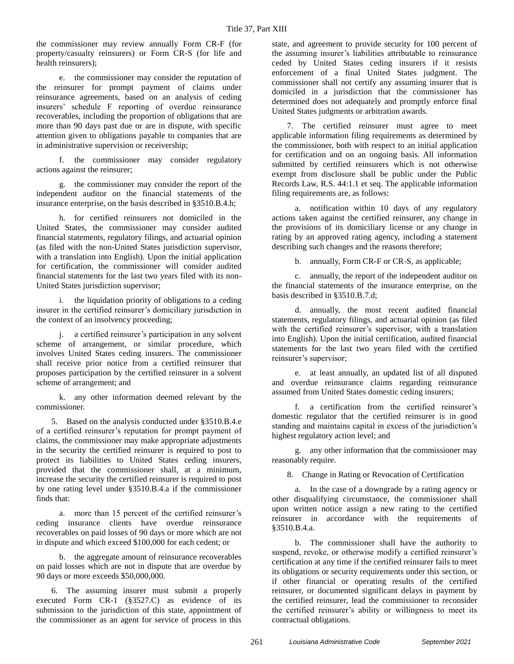the commissioner may review annually Form CR-F (for property/casualty reinsurers) or Form CR-S (for life and health reinsurers);

e. the commissioner may consider the reputation of the reinsurer for prompt payment of claims under reinsurance agreements, based on an analysis of ceding insurers' schedule F reporting of overdue reinsurance recoverables, including the proportion of obligations that are more than 90 days past due or are in dispute, with specific attention given to obligations payable to companies that are in administrative supervision or receivership;

f. the commissioner may consider regulatory actions against the reinsurer;

g. the commissioner may consider the report of the independent auditor on the financial statements of the insurance enterprise, on the basis described in §3510.B.4.h;

h. for certified reinsurers not domiciled in the United States, the commissioner may consider audited financial statements, regulatory filings, and actuarial opinion (as filed with the non-United States jurisdiction supervisor, with a translation into English). Upon the initial application for certification, the commissioner will consider audited financial statements for the last two years filed with its non-United States jurisdiction supervisor;

i. the liquidation priority of obligations to a ceding insurer in the certified reinsurer's domiciliary jurisdiction in the context of an insolvency proceeding;

j. a certified reinsurer's participation in any solvent scheme of arrangement, or similar procedure, which involves United States ceding insurers. The commissioner shall receive prior notice from a certified reinsurer that proposes participation by the certified reinsurer in a solvent scheme of arrangement; and

k. any other information deemed relevant by the commissioner.

5. Based on the analysis conducted under §3510.B.4.e of a certified reinsurer's reputation for prompt payment of claims, the commissioner may make appropriate adjustments in the security the certified reinsurer is required to post to protect its liabilities to United States ceding insurers, provided that the commissioner shall, at a minimum, increase the security the certified reinsurer is required to post by one rating level under §3510.B.4.a if the commissioner finds that:

a. more than 15 percent of the certified reinsurer's ceding insurance clients have overdue reinsurance recoverables on paid losses of 90 days or more which are not in dispute and which exceed \$100,000 for each cedent; or

b. the aggregate amount of reinsurance recoverables on paid losses which are not in dispute that are overdue by 90 days or more exceeds \$50,000,000.

6. The assuming insurer must submit a properly executed Form CR-1 (§3527.C) as evidence of its submission to the jurisdiction of this state, appointment of the commissioner as an agent for service of process in this

state, and agreement to provide security for 100 percent of the assuming insurer's liabilities attributable to reinsurance ceded by United States ceding insurers if it resists enforcement of a final United States judgment. The commissioner shall not certify any assuming insurer that is domiciled in a jurisdiction that the commissioner has determined does not adequately and promptly enforce final United States judgments or arbitration awards.

7. The certified reinsurer must agree to meet applicable information filing requirements as determined by the commissioner, both with respect to an initial application for certification and on an ongoing basis. All information submitted by certified reinsurers which is not otherwise exempt from disclosure shall be public under the Public Records Law, R.S. 44:1.1 et seq. The applicable information filing requirements are, as follows:

a. notification within 10 days of any regulatory actions taken against the certified reinsurer, any change in the provisions of its domiciliary license or any change in rating by an approved rating agency, including a statement describing such changes and the reasons therefore;

b. annually, Form CR-F or CR-S, as applicable;

c. annually, the report of the independent auditor on the financial statements of the insurance enterprise, on the basis described in §3510.B.7.d;

d. annually, the most recent audited financial statements, regulatory filings, and actuarial opinion (as filed with the certified reinsurer's supervisor, with a translation into English). Upon the initial certification, audited financial statements for the last two years filed with the certified reinsurer's supervisor;

e. at least annually, an updated list of all disputed and overdue reinsurance claims regarding reinsurance assumed from United States domestic ceding insurers;

f. a certification from the certified reinsurer's domestic regulator that the certified reinsurer is in good standing and maintains capital in excess of the jurisdiction's highest regulatory action level; and

g. any other information that the commissioner may reasonably require.

8. Change in Rating or Revocation of Certification

a. In the case of a downgrade by a rating agency or other disqualifying circumstance, the commissioner shall upon written notice assign a new rating to the certified reinsurer in accordance with the requirements of §3510.B.4.a.

b. The commissioner shall have the authority to suspend, revoke, or otherwise modify a certified reinsurer's certification at any time if the certified reinsurer fails to meet its obligations or security requirements under this section, or if other financial or operating results of the certified reinsurer, or documented significant delays in payment by the certified reinsurer, lead the commissioner to reconsider the certified reinsurer's ability or willingness to meet its contractual obligations.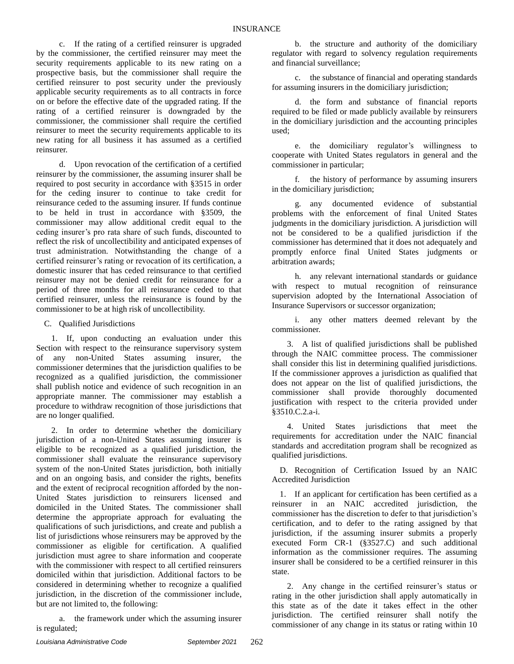c. If the rating of a certified reinsurer is upgraded by the commissioner, the certified reinsurer may meet the security requirements applicable to its new rating on a prospective basis, but the commissioner shall require the certified reinsurer to post security under the previously applicable security requirements as to all contracts in force on or before the effective date of the upgraded rating. If the rating of a certified reinsurer is downgraded by the commissioner, the commissioner shall require the certified reinsurer to meet the security requirements applicable to its new rating for all business it has assumed as a certified reinsurer.

d. Upon revocation of the certification of a certified reinsurer by the commissioner, the assuming insurer shall be required to post security in accordance with §3515 in order for the ceding insurer to continue to take credit for reinsurance ceded to the assuming insurer. If funds continue to be held in trust in accordance with §3509, the commissioner may allow additional credit equal to the ceding insurer's pro rata share of such funds, discounted to reflect the risk of uncollectibility and anticipated expenses of trust administration. Notwithstanding the change of a certified reinsurer's rating or revocation of its certification, a domestic insurer that has ceded reinsurance to that certified reinsurer may not be denied credit for reinsurance for a period of three months for all reinsurance ceded to that certified reinsurer, unless the reinsurance is found by the commissioner to be at high risk of uncollectibility.

C. Qualified Jurisdictions

1. If, upon conducting an evaluation under this Section with respect to the reinsurance supervisory system of any non-United States assuming insurer, the commissioner determines that the jurisdiction qualifies to be recognized as a qualified jurisdiction, the commissioner shall publish notice and evidence of such recognition in an appropriate manner. The commissioner may establish a procedure to withdraw recognition of those jurisdictions that are no longer qualified.

2. In order to determine whether the domiciliary jurisdiction of a non-United States assuming insurer is eligible to be recognized as a qualified jurisdiction, the commissioner shall evaluate the reinsurance supervisory system of the non-United States jurisdiction, both initially and on an ongoing basis, and consider the rights, benefits and the extent of reciprocal recognition afforded by the non-United States jurisdiction to reinsurers licensed and domiciled in the United States. The commissioner shall determine the appropriate approach for evaluating the qualifications of such jurisdictions, and create and publish a list of jurisdictions whose reinsurers may be approved by the commissioner as eligible for certification. A qualified jurisdiction must agree to share information and cooperate with the commissioner with respect to all certified reinsurers domiciled within that jurisdiction. Additional factors to be considered in determining whether to recognize a qualified jurisdiction, in the discretion of the commissioner include, but are not limited to, the following:

a. the framework under which the assuming insurer is regulated;

b. the structure and authority of the domiciliary regulator with regard to solvency regulation requirements and financial surveillance;

c. the substance of financial and operating standards for assuming insurers in the domiciliary jurisdiction;

d. the form and substance of financial reports required to be filed or made publicly available by reinsurers in the domiciliary jurisdiction and the accounting principles used;

e. the domiciliary regulator's willingness to cooperate with United States regulators in general and the commissioner in particular;

f. the history of performance by assuming insurers in the domiciliary jurisdiction;

g. any documented evidence of substantial problems with the enforcement of final United States judgments in the domiciliary jurisdiction. A jurisdiction will not be considered to be a qualified jurisdiction if the commissioner has determined that it does not adequately and promptly enforce final United States judgments or arbitration awards;

h. any relevant international standards or guidance with respect to mutual recognition of reinsurance supervision adopted by the International Association of Insurance Supervisors or successor organization;

i. any other matters deemed relevant by the commissioner.

3. A list of qualified jurisdictions shall be published through the NAIC committee process. The commissioner shall consider this list in determining qualified jurisdictions. If the commissioner approves a jurisdiction as qualified that does not appear on the list of qualified jurisdictions, the commissioner shall provide thoroughly documented justification with respect to the criteria provided under §3510.C.2.a-i.

4. United States jurisdictions that meet the requirements for accreditation under the NAIC financial standards and accreditation program shall be recognized as qualified jurisdictions.

D. Recognition of Certification Issued by an NAIC Accredited Jurisdiction

1. If an applicant for certification has been certified as a reinsurer in an NAIC accredited jurisdiction, the commissioner has the discretion to defer to that jurisdiction's certification, and to defer to the rating assigned by that jurisdiction, if the assuming insurer submits a properly executed Form CR-1 (§3527.C) and such additional information as the commissioner requires. The assuming insurer shall be considered to be a certified reinsurer in this state.

2. Any change in the certified reinsurer's status or rating in the other jurisdiction shall apply automatically in this state as of the date it takes effect in the other jurisdiction. The certified reinsurer shall notify the commissioner of any change in its status or rating within 10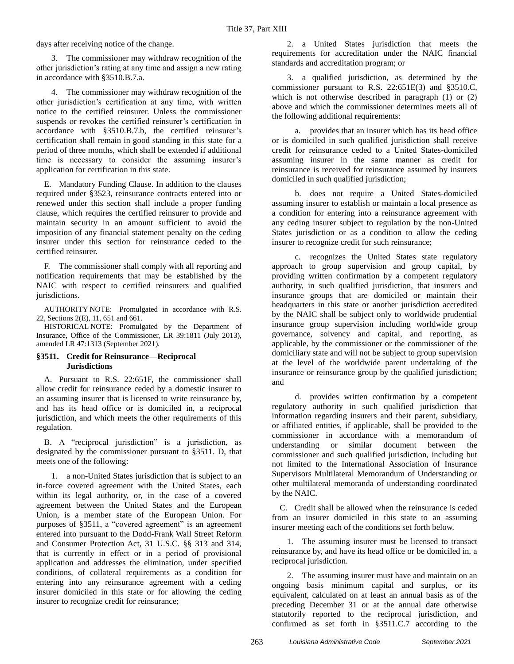days after receiving notice of the change.

3. The commissioner may withdraw recognition of the other jurisdiction's rating at any time and assign a new rating in accordance with §3510.B.7.a.

4. The commissioner may withdraw recognition of the other jurisdiction's certification at any time, with written notice to the certified reinsurer. Unless the commissioner suspends or revokes the certified reinsurer's certification in accordance with §3510.B.7.b, the certified reinsurer's certification shall remain in good standing in this state for a period of three months, which shall be extended if additional time is necessary to consider the assuming insurer's application for certification in this state.

E. Mandatory Funding Clause. In addition to the clauses required under §3523, reinsurance contracts entered into or renewed under this section shall include a proper funding clause, which requires the certified reinsurer to provide and maintain security in an amount sufficient to avoid the imposition of any financial statement penalty on the ceding insurer under this section for reinsurance ceded to the certified reinsurer.

F. The commissioner shall comply with all reporting and notification requirements that may be established by the NAIC with respect to certified reinsurers and qualified jurisdictions.

AUTHORITY NOTE: Promulgated in accordance with R.S. 22, Sections 2(E), 11, 651 and 661.

HISTORICAL NOTE: Promulgated by the Department of Insurance, Office of the Commissioner, LR 39:1811 (July 2013), amended LR 47:1313 (September 2021).

#### **§3511. Credit for Reinsurance—Reciprocal Jurisdictions**

A. Pursuant to R.S. 22:651F, the commissioner shall allow credit for reinsurance ceded by a domestic insurer to an assuming insurer that is licensed to write reinsurance by, and has its head office or is domiciled in, a reciprocal jurisdiction, and which meets the other requirements of this regulation.

B. A "reciprocal jurisdiction" is a jurisdiction, as designated by the commissioner pursuant to §3511. D, that meets one of the following:

1. a non-United States jurisdiction that is subject to an in-force covered agreement with the United States, each within its legal authority, or, in the case of a covered agreement between the United States and the European Union, is a member state of the European Union. For purposes of §3511, a "covered agreement" is an agreement entered into pursuant to the Dodd-Frank Wall Street Reform and Consumer Protection Act, 31 U.S.C. §§ 313 and 314, that is currently in effect or in a period of provisional application and addresses the elimination, under specified conditions, of collateral requirements as a condition for entering into any reinsurance agreement with a ceding insurer domiciled in this state or for allowing the ceding insurer to recognize credit for reinsurance;

2. a United States jurisdiction that meets the requirements for accreditation under the NAIC financial standards and accreditation program; or

3. a qualified jurisdiction, as determined by the commissioner pursuant to R.S. 22:651E(3) and §3510.C, which is not otherwise described in paragraph (1) or (2) above and which the commissioner determines meets all of the following additional requirements:

a. provides that an insurer which has its head office or is domiciled in such qualified jurisdiction shall receive credit for reinsurance ceded to a United States-domiciled assuming insurer in the same manner as credit for reinsurance is received for reinsurance assumed by insurers domiciled in such qualified jurisdiction;

b. does not require a United States-domiciled assuming insurer to establish or maintain a local presence as a condition for entering into a reinsurance agreement with any ceding insurer subject to regulation by the non-United States jurisdiction or as a condition to allow the ceding insurer to recognize credit for such reinsurance;

c. recognizes the United States state regulatory approach to group supervision and group capital, by providing written confirmation by a competent regulatory authority, in such qualified jurisdiction, that insurers and insurance groups that are domiciled or maintain their headquarters in this state or another jurisdiction accredited by the NAIC shall be subject only to worldwide prudential insurance group supervision including worldwide group governance, solvency and capital, and reporting, as applicable, by the commissioner or the commissioner of the domiciliary state and will not be subject to group supervision at the level of the worldwide parent undertaking of the insurance or reinsurance group by the qualified jurisdiction; and

d. provides written confirmation by a competent regulatory authority in such qualified jurisdiction that information regarding insurers and their parent, subsidiary, or affiliated entities, if applicable, shall be provided to the commissioner in accordance with a memorandum of understanding or similar document between the commissioner and such qualified jurisdiction, including but not limited to the International Association of Insurance Supervisors Multilateral Memorandum of Understanding or other multilateral memoranda of understanding coordinated by the NAIC.

C. Credit shall be allowed when the reinsurance is ceded from an insurer domiciled in this state to an assuming insurer meeting each of the conditions set forth below.

1. The assuming insurer must be licensed to transact reinsurance by, and have its head office or be domiciled in, a reciprocal jurisdiction.

2. The assuming insurer must have and maintain on an ongoing basis minimum capital and surplus, or its equivalent, calculated on at least an annual basis as of the preceding December 31 or at the annual date otherwise statutorily reported to the reciprocal jurisdiction, and confirmed as set forth in §3511.C.7 according to the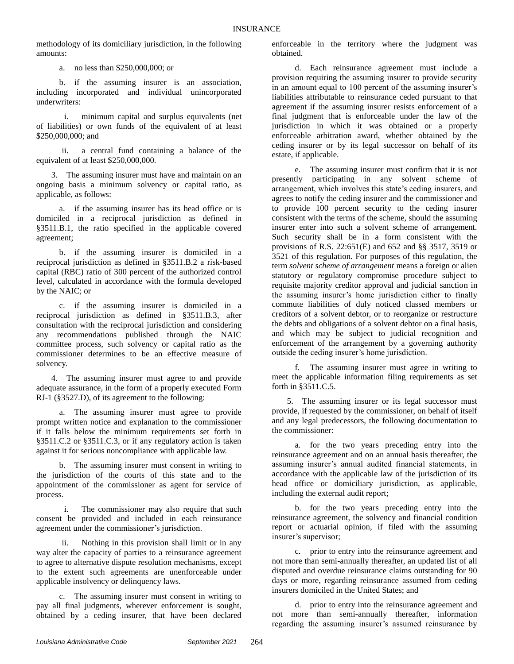methodology of its domiciliary jurisdiction, in the following amounts:

a. no less than \$250,000,000; or

b. if the assuming insurer is an association, including incorporated and individual unincorporated underwriters:

i. minimum capital and surplus equivalents (net of liabilities) or own funds of the equivalent of at least \$250,000,000; and

ii. a central fund containing a balance of the equivalent of at least \$250,000,000.

3. The assuming insurer must have and maintain on an ongoing basis a minimum solvency or capital ratio, as applicable, as follows:

a. if the assuming insurer has its head office or is domiciled in a reciprocal jurisdiction as defined in §3511.B.1, the ratio specified in the applicable covered agreement;

b. if the assuming insurer is domiciled in a reciprocal jurisdiction as defined in §3511.B.2 a risk-based capital (RBC) ratio of 300 percent of the authorized control level, calculated in accordance with the formula developed by the NAIC; or

c. if the assuming insurer is domiciled in a reciprocal jurisdiction as defined in §3511.B.3, after consultation with the reciprocal jurisdiction and considering any recommendations published through the NAIC committee process, such solvency or capital ratio as the commissioner determines to be an effective measure of solvency.

4. The assuming insurer must agree to and provide adequate assurance, in the form of a properly executed Form RJ-1 (§3527.D), of its agreement to the following:

a. The assuming insurer must agree to provide prompt written notice and explanation to the commissioner if it falls below the minimum requirements set forth in §3511.C.2 or §3511.C.3, or if any regulatory action is taken against it for serious noncompliance with applicable law.

b. The assuming insurer must consent in writing to the jurisdiction of the courts of this state and to the appointment of the commissioner as agent for service of process.

The commissioner may also require that such consent be provided and included in each reinsurance agreement under the commissioner's jurisdiction.

ii. Nothing in this provision shall limit or in any way alter the capacity of parties to a reinsurance agreement to agree to alternative dispute resolution mechanisms, except to the extent such agreements are unenforceable under applicable insolvency or delinquency laws.

c. The assuming insurer must consent in writing to pay all final judgments, wherever enforcement is sought, obtained by a ceding insurer, that have been declared

enforceable in the territory where the judgment was obtained.

d. Each reinsurance agreement must include a provision requiring the assuming insurer to provide security in an amount equal to 100 percent of the assuming insurer's liabilities attributable to reinsurance ceded pursuant to that agreement if the assuming insurer resists enforcement of a final judgment that is enforceable under the law of the jurisdiction in which it was obtained or a properly enforceable arbitration award, whether obtained by the ceding insurer or by its legal successor on behalf of its estate, if applicable.

e. The assuming insurer must confirm that it is not presently participating in any solvent scheme of arrangement, which involves this state's ceding insurers, and agrees to notify the ceding insurer and the commissioner and to provide 100 percent security to the ceding insurer consistent with the terms of the scheme, should the assuming insurer enter into such a solvent scheme of arrangement. Such security shall be in a form consistent with the provisions of R.S. 22:651(E) and 652 and §§ 3517, 3519 or 3521 of this regulation. For purposes of this regulation, the term *solvent scheme of arrangement* means a foreign or alien statutory or regulatory compromise procedure subject to requisite majority creditor approval and judicial sanction in the assuming insurer's home jurisdiction either to finally commute liabilities of duly noticed classed members or creditors of a solvent debtor, or to reorganize or restructure the debts and obligations of a solvent debtor on a final basis, and which may be subject to judicial recognition and enforcement of the arrangement by a governing authority outside the ceding insurer's home jurisdiction.

f. The assuming insurer must agree in writing to meet the applicable information filing requirements as set forth in §3511.C.5.

5. The assuming insurer or its legal successor must provide, if requested by the commissioner, on behalf of itself and any legal predecessors, the following documentation to the commissioner:

a. for the two years preceding entry into the reinsurance agreement and on an annual basis thereafter, the assuming insurer's annual audited financial statements, in accordance with the applicable law of the jurisdiction of its head office or domiciliary jurisdiction, as applicable, including the external audit report;

b. for the two years preceding entry into the reinsurance agreement, the solvency and financial condition report or actuarial opinion, if filed with the assuming insurer's supervisor;

c. prior to entry into the reinsurance agreement and not more than semi-annually thereafter, an updated list of all disputed and overdue reinsurance claims outstanding for 90 days or more, regarding reinsurance assumed from ceding insurers domiciled in the United States; and

d. prior to entry into the reinsurance agreement and not more than semi-annually thereafter, information regarding the assuming insurer's assumed reinsurance by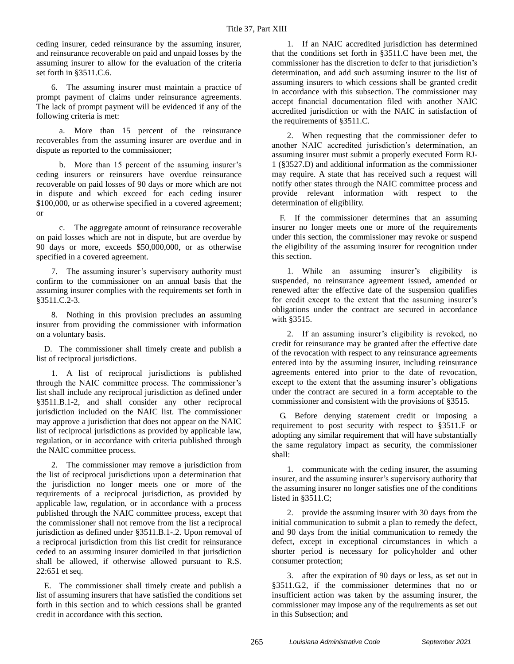ceding insurer, ceded reinsurance by the assuming insurer, and reinsurance recoverable on paid and unpaid losses by the assuming insurer to allow for the evaluation of the criteria set forth in §3511.C.6.

6. The assuming insurer must maintain a practice of prompt payment of claims under reinsurance agreements. The lack of prompt payment will be evidenced if any of the following criteria is met:

a. More than 15 percent of the reinsurance recoverables from the assuming insurer are overdue and in dispute as reported to the commissioner;

b. More than 15 percent of the assuming insurer's ceding insurers or reinsurers have overdue reinsurance recoverable on paid losses of 90 days or more which are not in dispute and which exceed for each ceding insurer \$100,000, or as otherwise specified in a covered agreement; or

c. The aggregate amount of reinsurance recoverable on paid losses which are not in dispute, but are overdue by 90 days or more, exceeds \$50,000,000, or as otherwise specified in a covered agreement.

7. The assuming insurer's supervisory authority must confirm to the commissioner on an annual basis that the assuming insurer complies with the requirements set forth in §3511.C.2-3.

8. Nothing in this provision precludes an assuming insurer from providing the commissioner with information on a voluntary basis.

D. The commissioner shall timely create and publish a list of reciprocal jurisdictions.

1. A list of reciprocal jurisdictions is published through the NAIC committee process. The commissioner's list shall include any reciprocal jurisdiction as defined under §3511.B.1-2, and shall consider any other reciprocal jurisdiction included on the NAIC list. The commissioner may approve a jurisdiction that does not appear on the NAIC list of reciprocal jurisdictions as provided by applicable law, regulation, or in accordance with criteria published through the NAIC committee process.

2. The commissioner may remove a jurisdiction from the list of reciprocal jurisdictions upon a determination that the jurisdiction no longer meets one or more of the requirements of a reciprocal jurisdiction, as provided by applicable law, regulation, or in accordance with a process published through the NAIC committee process, except that the commissioner shall not remove from the list a reciprocal jurisdiction as defined under §3511.B.1-.2. Upon removal of a reciprocal jurisdiction from this list credit for reinsurance ceded to an assuming insurer domiciled in that jurisdiction shall be allowed, if otherwise allowed pursuant to R.S. 22:651 et seq.

E. The commissioner shall timely create and publish a list of assuming insurers that have satisfied the conditions set forth in this section and to which cessions shall be granted credit in accordance with this section.

1. If an NAIC accredited jurisdiction has determined that the conditions set forth in §3511.C have been met, the commissioner has the discretion to defer to that jurisdiction's determination, and add such assuming insurer to the list of assuming insurers to which cessions shall be granted credit in accordance with this subsection. The commissioner may accept financial documentation filed with another NAIC accredited jurisdiction or with the NAIC in satisfaction of the requirements of §3511.C.

2. When requesting that the commissioner defer to another NAIC accredited jurisdiction's determination, an assuming insurer must submit a properly executed Form RJ-1 (§3527.D) and additional information as the commissioner may require. A state that has received such a request will notify other states through the NAIC committee process and provide relevant information with respect to the determination of eligibility.

F. If the commissioner determines that an assuming insurer no longer meets one or more of the requirements under this section, the commissioner may revoke or suspend the eligibility of the assuming insurer for recognition under this section.

1. While an assuming insurer's eligibility is suspended, no reinsurance agreement issued, amended or renewed after the effective date of the suspension qualifies for credit except to the extent that the assuming insurer's obligations under the contract are secured in accordance with §3515.

2. If an assuming insurer's eligibility is revoked, no credit for reinsurance may be granted after the effective date of the revocation with respect to any reinsurance agreements entered into by the assuming insurer, including reinsurance agreements entered into prior to the date of revocation, except to the extent that the assuming insurer's obligations under the contract are secured in a form acceptable to the commissioner and consistent with the provisions of §3515.

G. Before denying statement credit or imposing a requirement to post security with respect to §3511.F or adopting any similar requirement that will have substantially the same regulatory impact as security, the commissioner shall:

1. communicate with the ceding insurer, the assuming insurer, and the assuming insurer's supervisory authority that the assuming insurer no longer satisfies one of the conditions listed in §3511.C;

2. provide the assuming insurer with 30 days from the initial communication to submit a plan to remedy the defect, and 90 days from the initial communication to remedy the defect, except in exceptional circumstances in which a shorter period is necessary for policyholder and other consumer protection;

3. after the expiration of 90 days or less, as set out in §3511.G.2, if the commissioner determines that no or insufficient action was taken by the assuming insurer, the commissioner may impose any of the requirements as set out in this Subsection; and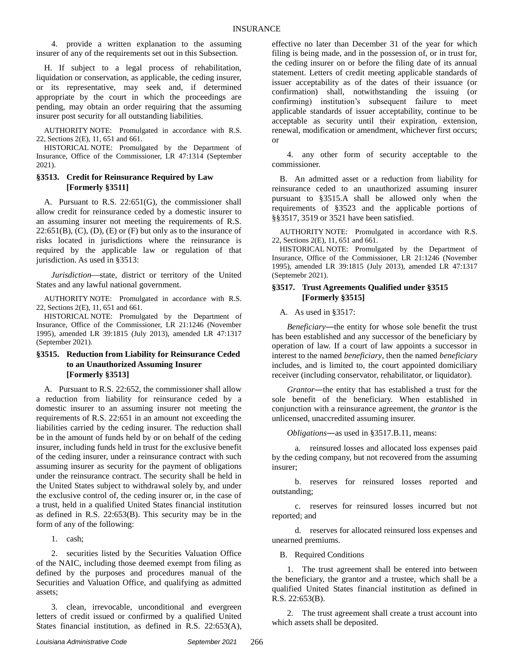4. provide a written explanation to the assuming insurer of any of the requirements set out in this Subsection.

H. If subject to a legal process of rehabilitation, liquidation or conservation, as applicable, the ceding insurer, or its representative, may seek and, if determined appropriate by the court in which the proceedings are pending, may obtain an order requiring that the assuming insurer post security for all outstanding liabilities.

AUTHORITY NOTE: Promulgated in accordance with R.S. 22, Sections 2(E), 11, 651 and 661.

HISTORICAL NOTE: Promulgated by the Department of Insurance, Office of the Commissioner, LR 47:1314 (September 2021).

#### **§3513. Credit for Reinsurance Required by Law [Formerly §3511]**

A. Pursuant to R.S. 22:651(G), the commissioner shall allow credit for reinsurance ceded by a domestic insurer to an assuming insurer not meeting the requirements of R.S.  $22:651(B)$ ,  $(C)$ ,  $(D)$ ,  $(E)$  or  $(F)$  but only as to the insurance of risks located in jurisdictions where the reinsurance is required by the applicable law or regulation of that jurisdiction. As used in §3513:

*Jurisdiction*—state, district or territory of the United States and any lawful national government.

AUTHORITY NOTE: Promulgated in accordance with R.S. 22, Sections 2(E), 11, 651 and 661.

HISTORICAL NOTE: Promulgated by the Department of Insurance, Office of the Commissioner, LR 21:1246 (November 1995), amended LR 39:1815 (July 2013), amended LR 47:1317 (September 2021).

### **§3515. Reduction from Liability for Reinsurance Ceded to an Unauthorized Assuming Insurer [Formerly §3513]**

A. Pursuant to R.S. 22:652, the commissioner shall allow a reduction from liability for reinsurance ceded by a domestic insurer to an assuming insurer not meeting the requirements of R.S. 22:651 in an amount not exceeding the liabilities carried by the ceding insurer. The reduction shall be in the amount of funds held by or on behalf of the ceding insurer, including funds held in trust for the exclusive benefit of the ceding insurer, under a reinsurance contract with such assuming insurer as security for the payment of obligations under the reinsurance contract. The security shall be held in the United States subject to withdrawal solely by, and under the exclusive control of, the ceding insurer or, in the case of a trust, held in a qualified United States financial institution as defined in R.S. 22:653(B). This security may be in the form of any of the following:

1. cash;

2. securities listed by the Securities Valuation Office of the NAIC, including those deemed exempt from filing as defined by the purposes and procedures manual of the Securities and Valuation Office, and qualifying as admitted assets;

3. clean, irrevocable, unconditional and evergreen letters of credit issued or confirmed by a qualified United States financial institution, as defined in R.S. 22:653(A),

effective no later than December 31 of the year for which filing is being made, and in the possession of, or in trust for, the ceding insurer on or before the filing date of its annual statement. Letters of credit meeting applicable standards of issuer acceptability as of the dates of their issuance (or confirmation) shall, notwithstanding the issuing (or confirming) institution's subsequent failure to meet applicable standards of issuer acceptability, continue to be acceptable as security until their expiration, extension, renewal, modification or amendment, whichever first occurs; or

4. any other form of security acceptable to the commissioner.

B. An admitted asset or a reduction from liability for reinsurance ceded to an unauthorized assuming insurer pursuant to §3515.A shall be allowed only when the requirements of §3523 and the applicable portions of §§3517, 3519 or 3521 have been satisfied.

AUTHORITY NOTE: Promulgated in accordance with R.S. 22, Sections 2(E), 11, 651 and 661.

HISTORICAL NOTE: Promulgated by the Department of Insurance, Office of the Commissioner, LR 21:1246 (November 1995), amended LR 39:1815 (July 2013), amended LR 47:1317 (Septemebr 2021).

#### **§3517. Trust Agreements Qualified under §3515 [Formerly §3515]**

A. As used in §3517:

*Beneficiary*―the entity for whose sole benefit the trust has been established and any successor of the beneficiary by operation of law. If a court of law appoints a successor in interest to the named *beneficiary*, then the named *beneficiary* includes, and is limited to, the court appointed domiciliary receiver (including conservator, rehabilitator, or liquidator).

*Grantor*―the entity that has established a trust for the sole benefit of the beneficiary. When established in conjunction with a reinsurance agreement, the *grantor* is the unlicensed, unaccredited assuming insurer.

*Obligations*―as used in §3517.B.11, means:

a. reinsured losses and allocated loss expenses paid by the ceding company, but not recovered from the assuming insurer;

b. reserves for reinsured losses reported and outstanding;

c. reserves for reinsured losses incurred but not reported; and

d. reserves for allocated reinsured loss expenses and unearned premiums.

B. Required Conditions

1. The trust agreement shall be entered into between the beneficiary, the grantor and a trustee, which shall be a qualified United States financial institution as defined in R.S. 22:653(B).

2. The trust agreement shall create a trust account into which assets shall be deposited.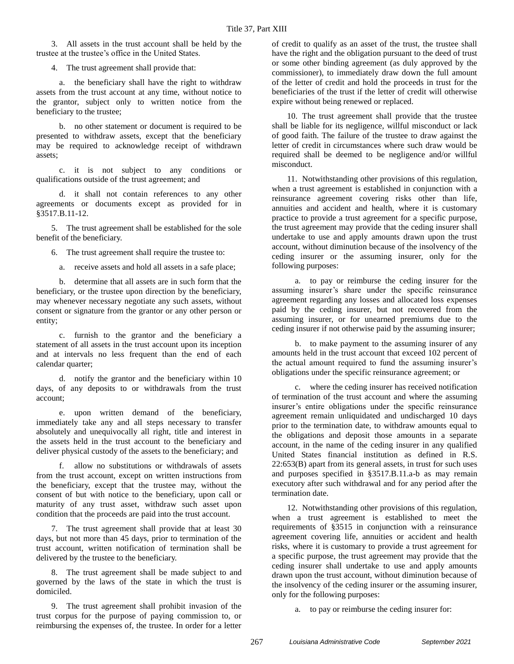3. All assets in the trust account shall be held by the trustee at the trustee's office in the United States.

4. The trust agreement shall provide that:

a. the beneficiary shall have the right to withdraw assets from the trust account at any time, without notice to the grantor, subject only to written notice from the beneficiary to the trustee;

b. no other statement or document is required to be presented to withdraw assets, except that the beneficiary may be required to acknowledge receipt of withdrawn assets;

c. it is not subject to any conditions or qualifications outside of the trust agreement; and

d. it shall not contain references to any other agreements or documents except as provided for in §3517.B.11-12.

5. The trust agreement shall be established for the sole benefit of the beneficiary.

6. The trust agreement shall require the trustee to:

a. receive assets and hold all assets in a safe place;

b. determine that all assets are in such form that the beneficiary, or the trustee upon direction by the beneficiary, may whenever necessary negotiate any such assets, without consent or signature from the grantor or any other person or entity;

c. furnish to the grantor and the beneficiary a statement of all assets in the trust account upon its inception and at intervals no less frequent than the end of each calendar quarter;

d. notify the grantor and the beneficiary within 10 days, of any deposits to or withdrawals from the trust account;

e. upon written demand of the beneficiary, immediately take any and all steps necessary to transfer absolutely and unequivocally all right, title and interest in the assets held in the trust account to the beneficiary and deliver physical custody of the assets to the beneficiary; and

f. allow no substitutions or withdrawals of assets from the trust account, except on written instructions from the beneficiary, except that the trustee may, without the consent of but with notice to the beneficiary, upon call or maturity of any trust asset, withdraw such asset upon condition that the proceeds are paid into the trust account.

7. The trust agreement shall provide that at least 30 days, but not more than 45 days, prior to termination of the trust account, written notification of termination shall be delivered by the trustee to the beneficiary.

8. The trust agreement shall be made subject to and governed by the laws of the state in which the trust is domiciled.

9. The trust agreement shall prohibit invasion of the trust corpus for the purpose of paying commission to, or reimbursing the expenses of, the trustee. In order for a letter of credit to qualify as an asset of the trust, the trustee shall have the right and the obligation pursuant to the deed of trust or some other binding agreement (as duly approved by the commissioner), to immediately draw down the full amount of the letter of credit and hold the proceeds in trust for the beneficiaries of the trust if the letter of credit will otherwise expire without being renewed or replaced.

10. The trust agreement shall provide that the trustee shall be liable for its negligence, willful misconduct or lack of good faith. The failure of the trustee to draw against the letter of credit in circumstances where such draw would be required shall be deemed to be negligence and/or willful misconduct.

11. Notwithstanding other provisions of this regulation, when a trust agreement is established in conjunction with a reinsurance agreement covering risks other than life, annuities and accident and health, where it is customary practice to provide a trust agreement for a specific purpose, the trust agreement may provide that the ceding insurer shall undertake to use and apply amounts drawn upon the trust account, without diminution because of the insolvency of the ceding insurer or the assuming insurer, only for the following purposes:

a. to pay or reimburse the ceding insurer for the assuming insurer's share under the specific reinsurance agreement regarding any losses and allocated loss expenses paid by the ceding insurer, but not recovered from the assuming insurer, or for unearned premiums due to the ceding insurer if not otherwise paid by the assuming insurer;

b. to make payment to the assuming insurer of any amounts held in the trust account that exceed 102 percent of the actual amount required to fund the assuming insurer's obligations under the specific reinsurance agreement; or

c. where the ceding insurer has received notification of termination of the trust account and where the assuming insurer's entire obligations under the specific reinsurance agreement remain unliquidated and undischarged 10 days prior to the termination date, to withdraw amounts equal to the obligations and deposit those amounts in a separate account, in the name of the ceding insurer in any qualified United States financial institution as defined in R.S. 22:653(B) apart from its general assets, in trust for such uses and purposes specified in §3517.B.11.a-b as may remain executory after such withdrawal and for any period after the termination date.

12. Notwithstanding other provisions of this regulation, when a trust agreement is established to meet the requirements of §3515 in conjunction with a reinsurance agreement covering life, annuities or accident and health risks, where it is customary to provide a trust agreement for a specific purpose, the trust agreement may provide that the ceding insurer shall undertake to use and apply amounts drawn upon the trust account, without diminution because of the insolvency of the ceding insurer or the assuming insurer, only for the following purposes:

a. to pay or reimburse the ceding insurer for: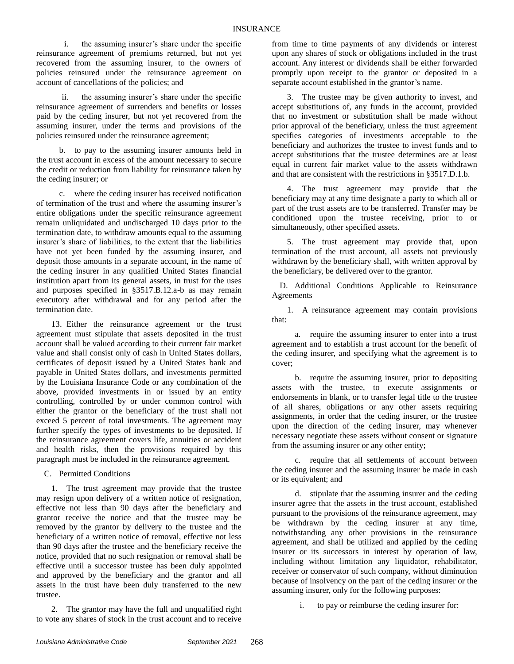i. the assuming insurer's share under the specific reinsurance agreement of premiums returned, but not yet recovered from the assuming insurer, to the owners of policies reinsured under the reinsurance agreement on account of cancellations of the policies; and

ii. the assuming insurer's share under the specific reinsurance agreement of surrenders and benefits or losses paid by the ceding insurer, but not yet recovered from the assuming insurer, under the terms and provisions of the policies reinsured under the reinsurance agreement;

b. to pay to the assuming insurer amounts held in the trust account in excess of the amount necessary to secure the credit or reduction from liability for reinsurance taken by the ceding insurer; or

c. where the ceding insurer has received notification of termination of the trust and where the assuming insurer's entire obligations under the specific reinsurance agreement remain unliquidated and undischarged 10 days prior to the termination date, to withdraw amounts equal to the assuming insurer's share of liabilities, to the extent that the liabilities have not yet been funded by the assuming insurer, and deposit those amounts in a separate account, in the name of the ceding insurer in any qualified United States financial institution apart from its general assets, in trust for the uses and purposes specified in §3517.B.12.a-b as may remain executory after withdrawal and for any period after the termination date.

13. Either the reinsurance agreement or the trust agreement must stipulate that assets deposited in the trust account shall be valued according to their current fair market value and shall consist only of cash in United States dollars, certificates of deposit issued by a United States bank and payable in United States dollars, and investments permitted by the Louisiana Insurance Code or any combination of the above, provided investments in or issued by an entity controlling, controlled by or under common control with either the grantor or the beneficiary of the trust shall not exceed 5 percent of total investments. The agreement may further specify the types of investments to be deposited. If the reinsurance agreement covers life, annuities or accident and health risks, then the provisions required by this paragraph must be included in the reinsurance agreement.

C. Permitted Conditions

1. The trust agreement may provide that the trustee may resign upon delivery of a written notice of resignation, effective not less than 90 days after the beneficiary and grantor receive the notice and that the trustee may be removed by the grantor by delivery to the trustee and the beneficiary of a written notice of removal, effective not less than 90 days after the trustee and the beneficiary receive the notice, provided that no such resignation or removal shall be effective until a successor trustee has been duly appointed and approved by the beneficiary and the grantor and all assets in the trust have been duly transferred to the new trustee.

2. The grantor may have the full and unqualified right to vote any shares of stock in the trust account and to receive from time to time payments of any dividends or interest upon any shares of stock or obligations included in the trust account. Any interest or dividends shall be either forwarded promptly upon receipt to the grantor or deposited in a separate account established in the grantor's name.

3. The trustee may be given authority to invest, and accept substitutions of, any funds in the account, provided that no investment or substitution shall be made without prior approval of the beneficiary, unless the trust agreement specifies categories of investments acceptable to the beneficiary and authorizes the trustee to invest funds and to accept substitutions that the trustee determines are at least equal in current fair market value to the assets withdrawn and that are consistent with the restrictions in §3517.D.1.b.

4. The trust agreement may provide that the beneficiary may at any time designate a party to which all or part of the trust assets are to be transferred. Transfer may be conditioned upon the trustee receiving, prior to or simultaneously, other specified assets.

5. The trust agreement may provide that, upon termination of the trust account, all assets not previously withdrawn by the beneficiary shall, with written approval by the beneficiary, be delivered over to the grantor.

D. Additional Conditions Applicable to Reinsurance **Agreements** 

1. A reinsurance agreement may contain provisions that:

a. require the assuming insurer to enter into a trust agreement and to establish a trust account for the benefit of the ceding insurer, and specifying what the agreement is to cover;

b. require the assuming insurer, prior to depositing assets with the trustee, to execute assignments or endorsements in blank, or to transfer legal title to the trustee of all shares, obligations or any other assets requiring assignments, in order that the ceding insurer, or the trustee upon the direction of the ceding insurer, may whenever necessary negotiate these assets without consent or signature from the assuming insurer or any other entity;

c. require that all settlements of account between the ceding insurer and the assuming insurer be made in cash or its equivalent; and

d. stipulate that the assuming insurer and the ceding insurer agree that the assets in the trust account, established pursuant to the provisions of the reinsurance agreement, may be withdrawn by the ceding insurer at any time, notwithstanding any other provisions in the reinsurance agreement, and shall be utilized and applied by the ceding insurer or its successors in interest by operation of law, including without limitation any liquidator, rehabilitator, receiver or conservator of such company, without diminution because of insolvency on the part of the ceding insurer or the assuming insurer, only for the following purposes:

i. to pay or reimburse the ceding insurer for: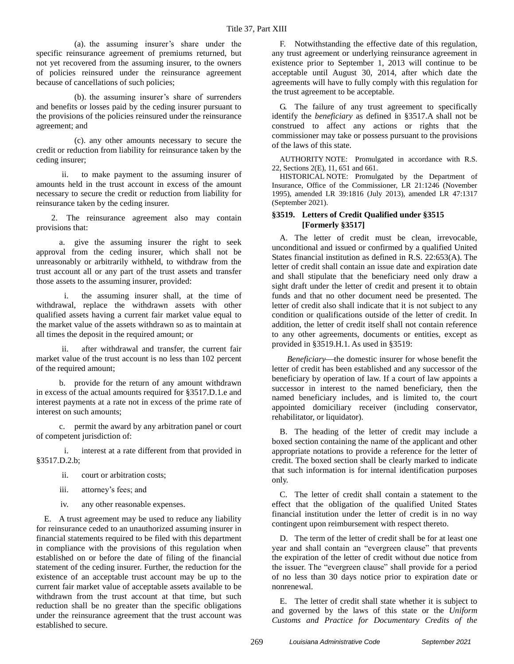(a). the assuming insurer's share under the specific reinsurance agreement of premiums returned, but not yet recovered from the assuming insurer, to the owners of policies reinsured under the reinsurance agreement because of cancellations of such policies;

(b). the assuming insurer's share of surrenders and benefits or losses paid by the ceding insurer pursuant to the provisions of the policies reinsured under the reinsurance agreement; and

(c). any other amounts necessary to secure the credit or reduction from liability for reinsurance taken by the ceding insurer;

ii. to make payment to the assuming insurer of amounts held in the trust account in excess of the amount necessary to secure the credit or reduction from liability for reinsurance taken by the ceding insurer.

2. The reinsurance agreement also may contain provisions that:

a. give the assuming insurer the right to seek approval from the ceding insurer, which shall not be unreasonably or arbitrarily withheld, to withdraw from the trust account all or any part of the trust assets and transfer those assets to the assuming insurer, provided:

i. the assuming insurer shall, at the time of withdrawal, replace the withdrawn assets with other qualified assets having a current fair market value equal to the market value of the assets withdrawn so as to maintain at all times the deposit in the required amount; or

ii. after withdrawal and transfer, the current fair market value of the trust account is no less than 102 percent of the required amount;

b. provide for the return of any amount withdrawn in excess of the actual amounts required for §3517.D.1.e and interest payments at a rate not in excess of the prime rate of interest on such amounts;

c. permit the award by any arbitration panel or court of competent jurisdiction of:

i. interest at a rate different from that provided in §3517.D.2.b;

ii. court or arbitration costs;

iii. attorney's fees; and

iv. any other reasonable expenses.

E. A trust agreement may be used to reduce any liability for reinsurance ceded to an unauthorized assuming insurer in financial statements required to be filed with this department in compliance with the provisions of this regulation when established on or before the date of filing of the financial statement of the ceding insurer. Further, the reduction for the existence of an acceptable trust account may be up to the current fair market value of acceptable assets available to be withdrawn from the trust account at that time, but such reduction shall be no greater than the specific obligations under the reinsurance agreement that the trust account was established to secure.

F. Notwithstanding the effective date of this regulation, any trust agreement or underlying reinsurance agreement in existence prior to September 1, 2013 will continue to be acceptable until August 30, 2014, after which date the agreements will have to fully comply with this regulation for the trust agreement to be acceptable.

G. The failure of any trust agreement to specifically identify the *beneficiary* as defined in §3517.A shall not be construed to affect any actions or rights that the commissioner may take or possess pursuant to the provisions of the laws of this state.

AUTHORITY NOTE: Promulgated in accordance with R.S. 22, Sections 2(E), 11, 651 and 661.

HISTORICAL NOTE: Promulgated by the Department of Insurance, Office of the Commissioner, LR 21:1246 (November 1995), amended LR 39:1816 (July 2013), amended LR 47:1317 (September 2021).

### **§3519. Letters of Credit Qualified under §3515 [Formerly §3517]**

A. The letter of credit must be clean, irrevocable, unconditional and issued or confirmed by a qualified United States financial institution as defined in R.S. 22:653(A). The letter of credit shall contain an issue date and expiration date and shall stipulate that the beneficiary need only draw a sight draft under the letter of credit and present it to obtain funds and that no other document need be presented. The letter of credit also shall indicate that it is not subject to any condition or qualifications outside of the letter of credit. In addition, the letter of credit itself shall not contain reference to any other agreements, documents or entities, except as provided in §3519.H.1. As used in §3519:

*Beneficiary*—the domestic insurer for whose benefit the letter of credit has been established and any successor of the beneficiary by operation of law. If a court of law appoints a successor in interest to the named beneficiary, then the named beneficiary includes, and is limited to, the court appointed domiciliary receiver (including conservator, rehabilitator, or liquidator).

B. The heading of the letter of credit may include a boxed section containing the name of the applicant and other appropriate notations to provide a reference for the letter of credit. The boxed section shall be clearly marked to indicate that such information is for internal identification purposes only.

C. The letter of credit shall contain a statement to the effect that the obligation of the qualified United States financial institution under the letter of credit is in no way contingent upon reimbursement with respect thereto.

D. The term of the letter of credit shall be for at least one year and shall contain an "evergreen clause" that prevents the expiration of the letter of credit without due notice from the issuer. The "evergreen clause" shall provide for a period of no less than 30 days notice prior to expiration date or nonrenewal.

E. The letter of credit shall state whether it is subject to and governed by the laws of this state or the *Uniform Customs and Practice for Documentary Credits of the*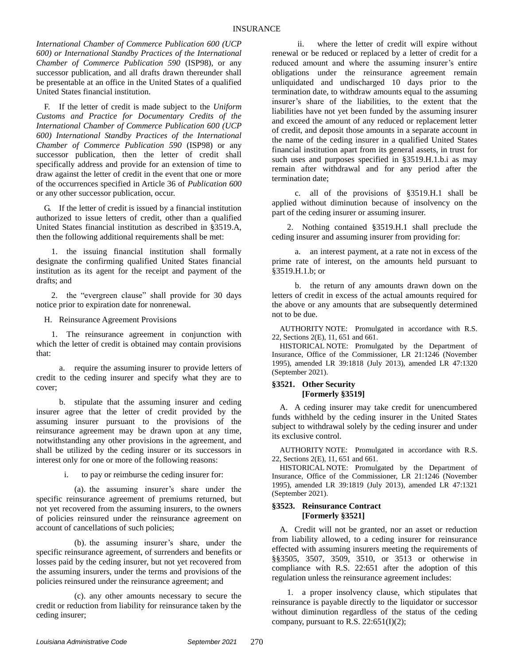*International Chamber of Commerce Publication 600 (UCP 600) or International Standby Practices of the International Chamber of Commerce Publication 590* (ISP98), or any successor publication, and all drafts drawn thereunder shall be presentable at an office in the United States of a qualified United States financial institution.

F. If the letter of credit is made subject to the *Uniform Customs and Practice for Documentary Credits of the International Chamber of Commerce Publication 600 (UCP 600) International Standby Practices of the International Chamber of Commerce Publication 590* (ISP98) or any successor publication, then the letter of credit shall specifically address and provide for an extension of time to draw against the letter of credit in the event that one or more of the occurrences specified in Article 36 of *Publication 600* or any other successor publication, occur.

G. If the letter of credit is issued by a financial institution authorized to issue letters of credit, other than a qualified United States financial institution as described in §3519.A, then the following additional requirements shall be met:

1. the issuing financial institution shall formally designate the confirming qualified United States financial institution as its agent for the receipt and payment of the drafts; and

2. the "evergreen clause" shall provide for 30 days notice prior to expiration date for nonrenewal.

H. Reinsurance Agreement Provisions

1. The reinsurance agreement in conjunction with which the letter of credit is obtained may contain provisions that:

a. require the assuming insurer to provide letters of credit to the ceding insurer and specify what they are to cover;

b. stipulate that the assuming insurer and ceding insurer agree that the letter of credit provided by the assuming insurer pursuant to the provisions of the reinsurance agreement may be drawn upon at any time, notwithstanding any other provisions in the agreement, and shall be utilized by the ceding insurer or its successors in interest only for one or more of the following reasons:

i. to pay or reimburse the ceding insurer for:

(a). the assuming insurer's share under the specific reinsurance agreement of premiums returned, but not yet recovered from the assuming insurers, to the owners of policies reinsured under the reinsurance agreement on account of cancellations of such policies;

(b). the assuming insurer's share, under the specific reinsurance agreement, of surrenders and benefits or losses paid by the ceding insurer, but not yet recovered from the assuming insurers, under the terms and provisions of the policies reinsured under the reinsurance agreement; and

(c). any other amounts necessary to secure the credit or reduction from liability for reinsurance taken by the ceding insurer;

ii. where the letter of credit will expire without renewal or be reduced or replaced by a letter of credit for a reduced amount and where the assuming insurer's entire obligations under the reinsurance agreement remain unliquidated and undischarged 10 days prior to the termination date, to withdraw amounts equal to the assuming insurer's share of the liabilities, to the extent that the liabilities have not yet been funded by the assuming insurer and exceed the amount of any reduced or replacement letter of credit, and deposit those amounts in a separate account in the name of the ceding insurer in a qualified United States financial institution apart from its general assets, in trust for such uses and purposes specified in §3519.H.1.b.i as may remain after withdrawal and for any period after the termination date;

c. all of the provisions of §3519.H.1 shall be applied without diminution because of insolvency on the part of the ceding insurer or assuming insurer.

2. Nothing contained §3519.H.1 shall preclude the ceding insurer and assuming insurer from providing for:

a. an interest payment, at a rate not in excess of the prime rate of interest, on the amounts held pursuant to §3519.H.1.b; or

b. the return of any amounts drawn down on the letters of credit in excess of the actual amounts required for the above or any amounts that are subsequently determined not to be due.

AUTHORITY NOTE: Promulgated in accordance with R.S. 22, Sections 2(E), 11, 651 and 661.

HISTORICAL NOTE: Promulgated by the Department of Insurance, Office of the Commissioner, LR 21:1246 (November 1995), amended LR 39:1818 (July 2013), amended LR 47:1320 (September 2021).

#### **§3521. Other Security [Formerly §3519]**

A. A ceding insurer may take credit for unencumbered funds withheld by the ceding insurer in the United States subject to withdrawal solely by the ceding insurer and under its exclusive control.

AUTHORITY NOTE: Promulgated in accordance with R.S. 22, Sections 2(E), 11, 651 and 661.

HISTORICAL NOTE: Promulgated by the Department of Insurance, Office of the Commissioner, LR 21:1246 (November 1995), amended LR 39:1819 (July 2013), amended LR 47:1321 (September 2021).

#### **§3523. Reinsurance Contract [Formerly §3521]**

A. Credit will not be granted, nor an asset or reduction from liability allowed, to a ceding insurer for reinsurance effected with assuming insurers meeting the requirements of §§3505, 3507, 3509, 3510, or 3513 or otherwise in compliance with R.S. 22:651 after the adoption of this regulation unless the reinsurance agreement includes:

1. a proper insolvency clause, which stipulates that reinsurance is payable directly to the liquidator or successor without diminution regardless of the status of the ceding company, pursuant to R.S.  $22:651(I)(2)$ ;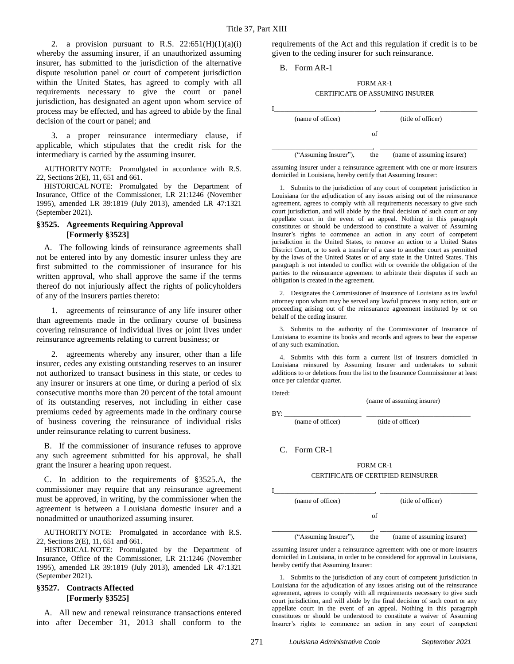2. a provision pursuant to R.S.  $22:651(H)(1)(a)(i)$ whereby the assuming insurer, if an unauthorized assuming insurer, has submitted to the jurisdiction of the alternative dispute resolution panel or court of competent jurisdiction within the United States, has agreed to comply with all requirements necessary to give the court or panel jurisdiction, has designated an agent upon whom service of process may be effected, and has agreed to abide by the final decision of the court or panel; and

3. a proper reinsurance intermediary clause, if applicable, which stipulates that the credit risk for the intermediary is carried by the assuming insurer.

AUTHORITY NOTE: Promulgated in accordance with R.S. 22, Sections 2(E), 11, 651 and 661.

HISTORICAL NOTE: Promulgated by the Department of Insurance, Office of the Commissioner, LR 21:1246 (November 1995), amended LR 39:1819 (July 2013), amended LR 47:1321 (September 2021).

#### **§3525. Agreements Requiring Approval [Formerly §3523]**

A. The following kinds of reinsurance agreements shall not be entered into by any domestic insurer unless they are first submitted to the commissioner of insurance for his written approval, who shall approve the same if the terms thereof do not injuriously affect the rights of policyholders of any of the insurers parties thereto:

1. agreements of reinsurance of any life insurer other than agreements made in the ordinary course of business covering reinsurance of individual lives or joint lives under reinsurance agreements relating to current business; or

2. agreements whereby any insurer, other than a life insurer, cedes any existing outstanding reserves to an insurer not authorized to transact business in this state, or cedes to any insurer or insurers at one time, or during a period of six consecutive months more than 20 percent of the total amount of its outstanding reserves, not including in either case premiums ceded by agreements made in the ordinary course of business covering the reinsurance of individual risks under reinsurance relating to current business.

B. If the commissioner of insurance refuses to approve any such agreement submitted for his approval, he shall grant the insurer a hearing upon request.

C. In addition to the requirements of §3525.A, the commissioner may require that any reinsurance agreement must be approved, in writing, by the commissioner when the agreement is between a Louisiana domestic insurer and a nonadmitted or unauthorized assuming insurer.

AUTHORITY NOTE: Promulgated in accordance with R.S. 22, Sections 2(E), 11, 651 and 661.

HISTORICAL NOTE: Promulgated by the Department of Insurance, Office of the Commissioner, LR 21:1246 (November 1995), amended LR 39:1819 (July 2013), amended LR 47:1321 (September 2021).

#### **§3527. Contracts Affected [Formerly §3525]**

A. All new and renewal reinsurance transactions entered into after December 31, 2013 shall conform to the requirements of the Act and this regulation if credit is to be given to the ceding insurer for such reinsurance.

#### B. Form AR-1

### FORM AR-1 CERTIFICATE OF ASSUMING INSURER

| (name of officer)     |     | (title of officer)         |
|-----------------------|-----|----------------------------|
|                       |     |                            |
| ("Assuming Insurer"), | the | (name of assuming insurer) |

assuming insurer under a reinsurance agreement with one or more insurers domiciled in Louisiana, hereby certify that Assuming Insurer:

1. Submits to the jurisdiction of any court of competent jurisdiction in Louisiana for the adjudication of any issues arising out of the reinsurance agreement, agrees to comply with all requirements necessary to give such court jurisdiction, and will abide by the final decision of such court or any appellate court in the event of an appeal. Nothing in this paragraph constitutes or should be understood to constitute a waiver of Assuming Insurer's rights to commence an action in any court of competent jurisdiction in the United States, to remove an action to a United States District Court, or to seek a transfer of a case to another court as permitted by the laws of the United States or of any state in the United States. This paragraph is not intended to conflict with or override the obligation of the parties to the reinsurance agreement to arbitrate their disputes if such an obligation is created in the agreement.

2. Designates the Commissioner of Insurance of Louisiana as its lawful attorney upon whom may be served any lawful process in any action, suit or proceeding arising out of the reinsurance agreement instituted by or on behalf of the ceding insurer.

3. Submits to the authority of the Commissioner of Insurance of Louisiana to examine its books and records and agrees to bear the expense of any such examination.

4. Submits with this form a current list of insurers domiciled in Louisiana reinsured by Assuming Insurer and undertakes to submit additions to or deletions from the list to the Insurance Commissioner at least once per calendar quarter.

Dated:

(name of assuming insurer)

BY: \_\_\_\_\_\_\_\_\_\_\_\_\_\_\_\_\_\_\_\_\_\_\_ \_\_\_\_\_\_\_\_\_\_\_\_\_\_\_\_\_\_\_\_\_\_\_\_\_\_\_\_\_\_\_

(name of officer) (title of officer)

#### C. Form CR-1

#### FORM CR-1 CERTIFICATE OF CERTIFIED REINSURER

| (name of officer)     |     | (title of officer)         |
|-----------------------|-----|----------------------------|
|                       | Ωt  |                            |
| ("Assuming Insurer"), | the | (name of assuming insurer) |

assuming insurer under a reinsurance agreement with one or more insurers domiciled in Louisiana, in order to be considered for approval in Louisiana, hereby certify that Assuming Insurer:

1. Submits to the jurisdiction of any court of competent jurisdiction in Louisiana for the adjudication of any issues arising out of the reinsurance agreement, agrees to comply with all requirements necessary to give such court jurisdiction, and will abide by the final decision of such court or any appellate court in the event of an appeal. Nothing in this paragraph constitutes or should be understood to constitute a waiver of Assuming Insurer's rights to commence an action in any court of competent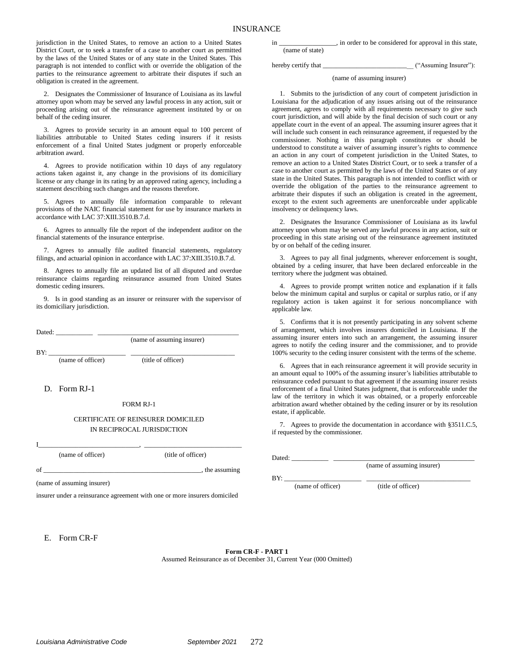jurisdiction in the United States, to remove an action to a United States District Court, or to seek a transfer of a case to another court as permitted by the laws of the United States or of any state in the United States. This paragraph is not intended to conflict with or override the obligation of the parties to the reinsurance agreement to arbitrate their disputes if such an obligation is created in the agreement.

2. Designates the Commissioner of Insurance of Louisiana as its lawful attorney upon whom may be served any lawful process in any action, suit or proceeding arising out of the reinsurance agreement instituted by or on behalf of the ceding insurer.

3. Agrees to provide security in an amount equal to 100 percent of liabilities attributable to United States ceding insurers if it resists enforcement of a final United States judgment or properly enforceable arbitration award.

4. Agrees to provide notification within 10 days of any regulatory actions taken against it, any change in the provisions of its domiciliary license or any change in its rating by an approved rating agency, including a statement describing such changes and the reasons therefore.

5. Agrees to annually file information comparable to relevant provisions of the NAIC financial statement for use by insurance markets in accordance with LAC 37:XIII.3510.B.7.d.

6. Agrees to annually file the report of the independent auditor on the financial statements of the insurance enterprise.

7. Agrees to annually file audited financial statements, regulatory filings, and actuarial opinion in accordance with LAC 37:XIII.3510.B.7.d.

8. Agrees to annually file an updated list of all disputed and overdue reinsurance claims regarding reinsurance assumed from United States domestic ceding insurers.

9. Is in good standing as an insurer or reinsurer with the supervisor of its domiciliary jurisdiction.

| Dated:            |                            |
|-------------------|----------------------------|
|                   | (name of assuming insurer) |
| BY:               |                            |
| (name of officer) | (title of officer)         |

D. Form RJ-1

FORM RJ-1

#### CERTIFICATE OF REINSURER DOMICILED IN RECIPROCAL JURISDICTION

I\_\_\_\_\_\_\_\_\_\_\_\_\_\_\_\_\_\_\_\_\_\_\_\_\_\_\_\_\_\_, \_\_\_\_\_\_\_\_\_\_\_\_\_\_\_\_\_\_\_\_\_\_\_\_\_\_\_\_\_

(name of officer) (title of officer)

of  $\Box$ 

(name of assuming insurer)

insurer under a reinsurance agreement with one or more insurers domiciled

in \_\_\_\_\_\_\_\_\_\_\_\_\_\_\_\_\_, in order to be considered for approval in this state, (name of state)

hereby certify that \_\_\_\_\_\_\_\_\_\_\_\_\_\_\_\_\_\_\_\_\_\_\_\_\_\_\_ ("Assuming Insurer"):

#### (name of assuming insurer)

1. Submits to the jurisdiction of any court of competent jurisdiction in Louisiana for the adjudication of any issues arising out of the reinsurance agreement, agrees to comply with all requirements necessary to give such court jurisdiction, and will abide by the final decision of such court or any appellate court in the event of an appeal. The assuming insurer agrees that it will include such consent in each reinsurance agreement, if requested by the commissioner. Nothing in this paragraph constitutes or should be understood to constitute a waiver of assuming insurer's rights to commence an action in any court of competent jurisdiction in the United States, to remove an action to a United States District Court, or to seek a transfer of a case to another court as permitted by the laws of the United States or of any state in the United States. This paragraph is not intended to conflict with or override the obligation of the parties to the reinsurance agreement to arbitrate their disputes if such an obligation is created in the agreement, except to the extent such agreements are unenforceable under applicable insolvency or delinquency laws.

2. Designates the Insurance Commissioner of Louisiana as its lawful attorney upon whom may be served any lawful process in any action, suit or proceeding in this state arising out of the reinsurance agreement instituted by or on behalf of the ceding insurer.

3. Agrees to pay all final judgments, wherever enforcement is sought, obtained by a ceding insurer, that have been declared enforceable in the territory where the judgment was obtained.

4. Agrees to provide prompt written notice and explanation if it falls below the minimum capital and surplus or capital or surplus ratio, or if any regulatory action is taken against it for serious noncompliance with applicable law.

5. Confirms that it is not presently participating in any solvent scheme of arrangement, which involves insurers domiciled in Louisiana. If the assuming insurer enters into such an arrangement, the assuming insurer agrees to notify the ceding insurer and the commissioner, and to provide 100% security to the ceding insurer consistent with the terms of the scheme.

6. Agrees that in each reinsurance agreement it will provide security in an amount equal to 100% of the assuming insurer's liabilities attributable to reinsurance ceded pursuant to that agreement if the assuming insurer resists enforcement of a final United States judgment, that is enforceable under the law of the territory in which it was obtained, or a properly enforceable arbitration award whether obtained by the ceding insurer or by its resolution estate, if applicable.

7. Agrees to provide the documentation in accordance with §3511.C.5, if requested by the commissioner.

Dated: \_\_\_\_\_\_\_\_\_\_\_ \_\_\_\_\_\_\_\_\_\_\_\_\_\_\_\_\_\_\_\_\_\_\_\_\_\_\_\_\_\_\_\_\_\_\_\_\_\_\_\_\_\_

(name of assuming insurer)

BY: \_\_\_\_\_\_\_\_\_\_\_\_\_\_\_\_\_\_\_\_\_\_\_ \_\_\_\_\_\_\_\_\_\_\_\_\_\_\_\_\_\_\_\_\_\_\_\_\_\_\_\_\_\_\_

(name of officer) (title of officer)

E. Form CR-F

**Form CR-F - PART 1** Assumed Reinsurance as of December 31, Current Year (000 Omitted)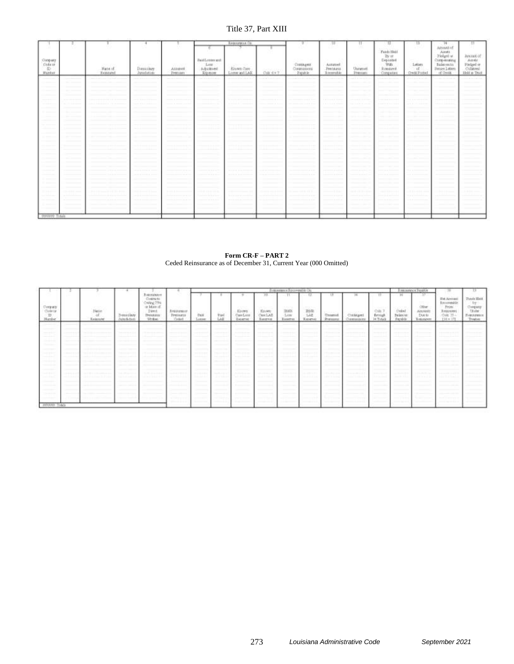# Title 37, Part XIII

|                                    |                     |                                            |                            |                                                                                                               | <b>Reasonness</b>             |                                | ×                                      | 10                                 | π.                        | 11                                                                                                                           |                                   |                                                                                                                                                                                                                                                                                                                                                                                                                                                                                                                             |                                                                    |
|------------------------------------|---------------------|--------------------------------------------|----------------------------|---------------------------------------------------------------------------------------------------------------|-------------------------------|--------------------------------|----------------------------------------|------------------------------------|---------------------------|------------------------------------------------------------------------------------------------------------------------------|-----------------------------------|-----------------------------------------------------------------------------------------------------------------------------------------------------------------------------------------------------------------------------------------------------------------------------------------------------------------------------------------------------------------------------------------------------------------------------------------------------------------------------------------------------------------------------|--------------------------------------------------------------------|
| Company<br>  Code or<br>  Illambat | Nate of<br>Renaused | 02/23/15<br>Denicibury<br><b>Saudation</b> | <b>Assaul</b><br>Pennissen | <b>TaidLoose and</b><br>$\begin{array}{c} \text{Low} \\ \text{A-distribution} \\ \text{Equation} \end{array}$ | Known Case<br>Linear and LAS: | <b>CONTRACTOR</b><br>$Chird+7$ | Costagera<br>Contrapporte<br>- Earthle | Arranel<br>Perissens<br>Linnerable | <b>Uppenet</b><br>Pommeri | $\begin{array}{c} \mbox{Pathill} \\ \mbox{By } \varpi \\ \mbox{Depedad} \\ \mbox{W\'m} \end{array}$<br>Rendared<br>Companies | Latters:<br>$\pi$<br>Cress Posted | $\begin{array}{r} \mathcal{W} \\ \mathcal{W} \\ \mathcal{W} \\ \mathcal{W} \\ \mathcal{W} \\ \mathcal{W} \\ \mathcal{W} \\ \mathcal{W} \\ \mathcal{W} \\ \mathcal{W} \\ \mathcal{W} \\ \mathcal{W} \\ \mathcal{W} \\ \mathcal{W} \\ \mathcal{W} \\ \mathcal{W} \\ \mathcal{W} \\ \mathcal{W} \\ \mathcal{W} \\ \mathcal{W} \\ \mathcal{W} \\ \mathcal{W} \\ \mathcal{W} \\ \mathcal{W} \\ \mathcal{W} \\ \mathcal{W} \\ \mathcal{W} \\ \mathcal{W} \\ \mathcal{W} \\ \mathcal{W} \\ \mathcal$<br>Hexay Laters<br>of Overall | Arabadd of<br>Austral<br>Pindged or<br>Collateral<br>Held u: Trust |
| -                                  |                     |                                            |                            |                                                                                                               |                               | and and the party              |                                        |                                    | and the computation       |                                                                                                                              |                                   |                                                                                                                                                                                                                                                                                                                                                                                                                                                                                                                             |                                                                    |
|                                    |                     |                                            |                            |                                                                                                               |                               |                                |                                        |                                    |                           |                                                                                                                              |                                   |                                                                                                                                                                                                                                                                                                                                                                                                                                                                                                                             |                                                                    |
|                                    |                     |                                            |                            |                                                                                                               |                               |                                |                                        |                                    |                           |                                                                                                                              |                                   |                                                                                                                                                                                                                                                                                                                                                                                                                                                                                                                             |                                                                    |
|                                    |                     |                                            |                            |                                                                                                               |                               |                                |                                        |                                    |                           |                                                                                                                              |                                   |                                                                                                                                                                                                                                                                                                                                                                                                                                                                                                                             |                                                                    |
|                                    |                     |                                            |                            |                                                                                                               |                               |                                |                                        |                                    |                           |                                                                                                                              |                                   |                                                                                                                                                                                                                                                                                                                                                                                                                                                                                                                             |                                                                    |
|                                    |                     |                                            |                            |                                                                                                               |                               |                                |                                        |                                    |                           |                                                                                                                              |                                   |                                                                                                                                                                                                                                                                                                                                                                                                                                                                                                                             |                                                                    |
|                                    |                     |                                            |                            |                                                                                                               |                               |                                |                                        |                                    |                           |                                                                                                                              |                                   |                                                                                                                                                                                                                                                                                                                                                                                                                                                                                                                             |                                                                    |
|                                    |                     |                                            |                            |                                                                                                               |                               |                                |                                        |                                    |                           |                                                                                                                              |                                   |                                                                                                                                                                                                                                                                                                                                                                                                                                                                                                                             |                                                                    |
|                                    |                     |                                            |                            |                                                                                                               |                               |                                |                                        |                                    |                           |                                                                                                                              |                                   |                                                                                                                                                                                                                                                                                                                                                                                                                                                                                                                             |                                                                    |
|                                    |                     |                                            |                            |                                                                                                               |                               |                                |                                        |                                    |                           |                                                                                                                              |                                   |                                                                                                                                                                                                                                                                                                                                                                                                                                                                                                                             |                                                                    |
|                                    |                     |                                            |                            |                                                                                                               |                               |                                |                                        |                                    |                           |                                                                                                                              |                                   |                                                                                                                                                                                                                                                                                                                                                                                                                                                                                                                             |                                                                    |
|                                    |                     |                                            |                            |                                                                                                               |                               |                                |                                        |                                    |                           |                                                                                                                              |                                   |                                                                                                                                                                                                                                                                                                                                                                                                                                                                                                                             |                                                                    |
|                                    |                     |                                            |                            |                                                                                                               |                               |                                |                                        |                                    |                           |                                                                                                                              |                                   |                                                                                                                                                                                                                                                                                                                                                                                                                                                                                                                             |                                                                    |
|                                    |                     |                                            |                            |                                                                                                               |                               |                                |                                        |                                    |                           |                                                                                                                              |                                   |                                                                                                                                                                                                                                                                                                                                                                                                                                                                                                                             |                                                                    |
|                                    |                     |                                            |                            |                                                                                                               |                               |                                |                                        |                                    |                           |                                                                                                                              |                                   |                                                                                                                                                                                                                                                                                                                                                                                                                                                                                                                             |                                                                    |
|                                    |                     |                                            |                            |                                                                                                               |                               |                                |                                        |                                    |                           |                                                                                                                              |                                   |                                                                                                                                                                                                                                                                                                                                                                                                                                                                                                                             |                                                                    |
|                                    |                     |                                            |                            |                                                                                                               |                               |                                |                                        |                                    |                           |                                                                                                                              |                                   |                                                                                                                                                                                                                                                                                                                                                                                                                                                                                                                             |                                                                    |
|                                    |                     |                                            |                            |                                                                                                               |                               |                                |                                        |                                    |                           |                                                                                                                              |                                   |                                                                                                                                                                                                                                                                                                                                                                                                                                                                                                                             |                                                                    |
|                                    |                     |                                            |                            |                                                                                                               |                               |                                |                                        |                                    |                           |                                                                                                                              |                                   |                                                                                                                                                                                                                                                                                                                                                                                                                                                                                                                             |                                                                    |
|                                    |                     |                                            |                            |                                                                                                               |                               |                                |                                        |                                    |                           |                                                                                                                              |                                   |                                                                                                                                                                                                                                                                                                                                                                                                                                                                                                                             |                                                                    |
| Google Totals                      |                     |                                            |                            |                                                                                                               |                               |                                |                                        |                                    |                           |                                                                                                                              |                                   |                                                                                                                                                                                                                                                                                                                                                                                                                                                                                                                             |                                                                    |

#### **Form CR-F – PART 2** Ceded Reinsurance as of December 31, Current Year (000 Omitted)

|                                                 |                           |                                  |                                                                                       |                                         |                        |                    |                                           |                                       | Bottomery Roment & On                               |                                               |                                                              |                                                |                                    |                                            | <b>Bestimme co. Tropicion</b>                                               | 18                                                                                 |                                                         |
|-------------------------------------------------|---------------------------|----------------------------------|---------------------------------------------------------------------------------------|-----------------------------------------|------------------------|--------------------|-------------------------------------------|---------------------------------------|-----------------------------------------------------|-----------------------------------------------|--------------------------------------------------------------|------------------------------------------------|------------------------------------|--------------------------------------------|-----------------------------------------------------------------------------|------------------------------------------------------------------------------------|---------------------------------------------------------|
| Company<br>Code of<br>$\mathbbm{D}$<br>Marzher. | Nejer<br>Left<br>Reasser. | Describer<br><b>Tuitofiction</b> | Bestaaten<br>Costracts<br>Créling 75%<br>Int Main of<br>Direct<br>Treveness<br>Weitan | Resistance<br><b>Premano</b><br>Critici | <b>Daid</b><br>Lutier. | <b>Part</b><br>LAE | <b>Kister</b><br>Care Long<br>Zieterret   | $10 -$<br>Kayery<br>Owitall<br>Rentro | лт.<br>计任务<br><b>JHRK</b><br>List<br><b>Zusehun</b> | -12<br>=0.53<br>説明<br><b>TAE</b><br>Reported. | 13<br><b>State Control</b><br>University<br><b>Sheratawa</b> | Ħ.<br>Good Publishers<br>Cleanged<br>Community | TT.<br>0.01<br>frmgt<br>$74$ Tabia | 76<br>Celed<br>future.<br><b>Figure 16</b> | m.<br><b>STORY OF</b><br>Olim<br><b>AUGANE</b><br>Due to<br><b>Lotatesm</b> | (Tel: Aimhast)<br>Recommidde<br>Frim.<br><b>Relations</b><br>Om 35-<br>$[10 + 17]$ | Tunis Hert<br>Company<br>Under<br>Reporters<br>Treatain |
|                                                 |                           |                                  |                                                                                       |                                         |                        |                    |                                           |                                       |                                                     |                                               |                                                              |                                                |                                    |                                            |                                                                             |                                                                                    |                                                         |
|                                                 |                           |                                  |                                                                                       |                                         |                        |                    |                                           |                                       |                                                     |                                               |                                                              |                                                |                                    |                                            |                                                                             |                                                                                    |                                                         |
|                                                 |                           |                                  |                                                                                       |                                         |                        |                    |                                           |                                       |                                                     |                                               |                                                              |                                                |                                    |                                            |                                                                             |                                                                                    |                                                         |
| ---                                             |                           |                                  |                                                                                       |                                         |                        |                    |                                           |                                       |                                                     |                                               |                                                              |                                                |                                    |                                            |                                                                             |                                                                                    |                                                         |
| -                                               |                           |                                  |                                                                                       |                                         |                        |                    |                                           |                                       |                                                     |                                               |                                                              |                                                |                                    |                                            |                                                                             |                                                                                    |                                                         |
|                                                 |                           |                                  |                                                                                       |                                         |                        |                    |                                           |                                       |                                                     |                                               |                                                              |                                                |                                    |                                            |                                                                             |                                                                                    |                                                         |
|                                                 |                           |                                  |                                                                                       |                                         |                        |                    |                                           |                                       |                                                     |                                               |                                                              |                                                |                                    |                                            |                                                                             |                                                                                    |                                                         |
|                                                 |                           |                                  |                                                                                       |                                         |                        |                    |                                           |                                       |                                                     |                                               |                                                              |                                                |                                    |                                            |                                                                             |                                                                                    |                                                         |
| ---                                             |                           | ---                              |                                                                                       |                                         |                        | --                 | and the state of the local<br>---<br>---- |                                       | ___                                                 |                                               | <b>STATISTICS</b>                                            | -----                                          | <b>Science Adv</b>                 | --                                         |                                                                             |                                                                                    |                                                         |
|                                                 |                           |                                  |                                                                                       |                                         |                        |                    |                                           |                                       |                                                     |                                               |                                                              |                                                |                                    |                                            |                                                                             |                                                                                    |                                                         |
|                                                 |                           |                                  |                                                                                       |                                         |                        |                    |                                           |                                       |                                                     |                                               |                                                              |                                                |                                    |                                            |                                                                             |                                                                                    |                                                         |
|                                                 |                           |                                  |                                                                                       |                                         |                        |                    |                                           |                                       |                                                     |                                               |                                                              |                                                |                                    |                                            |                                                                             |                                                                                    |                                                         |
|                                                 |                           |                                  |                                                                                       |                                         |                        |                    |                                           |                                       |                                                     |                                               |                                                              |                                                |                                    |                                            |                                                                             |                                                                                    |                                                         |
| 3900099 25tth                                   |                           |                                  |                                                                                       |                                         |                        |                    |                                           |                                       |                                                     |                                               |                                                              |                                                |                                    |                                            |                                                                             |                                                                                    |                                                         |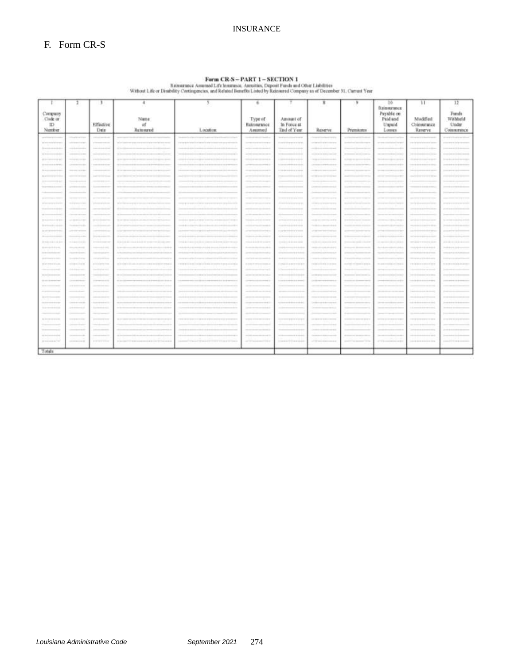# INSURANCE

 $\textbf{Form CRAS} \rightarrow \textbf{PART 1}- \textbf{SECTION 1} \\ \textbf{R} \cdot \textbf{H} \cdot \textbf{H} \cdot \textbf{H} \cdot \textbf{H} \cdot \textbf{H} \cdot \textbf{H} \cdot \textbf{H} \cdot \textbf{H} \cdot \textbf{H} \cdot \textbf{H} \cdot \textbf{H} \cdot \textbf{H} \cdot \textbf{H} \cdot \textbf{H} \cdot \textbf{H} \cdot \textbf{H} \cdot \textbf{H} \cdot \textbf{H} \cdot \textbf{H} \cdot \textbf{H} \cdot \textbf{H} \cdot \textbf{H} \cdot \textbf{H} \$ 

| Currenzy                            |                                                                                                                                                                                                                                                                                                                                                                                                                                                                            |                                     |                                     |              |                                    |                                         |                                           |                                                                                                                                                                                                                                                                                                                                                                                                                                                                            | $10 -$<br>Reinstatunce<br>Psynble on                                                                                                                                                                                                                                                      | 11                                | 12<br>Funds                           |
|-------------------------------------|----------------------------------------------------------------------------------------------------------------------------------------------------------------------------------------------------------------------------------------------------------------------------------------------------------------------------------------------------------------------------------------------------------------------------------------------------------------------------|-------------------------------------|-------------------------------------|--------------|------------------------------------|-----------------------------------------|-------------------------------------------|----------------------------------------------------------------------------------------------------------------------------------------------------------------------------------------------------------------------------------------------------------------------------------------------------------------------------------------------------------------------------------------------------------------------------------------------------------------------------|-------------------------------------------------------------------------------------------------------------------------------------------------------------------------------------------------------------------------------------------------------------------------------------------|-----------------------------------|---------------------------------------|
| Cirde or<br>$\mathbb{ID}$<br>Number |                                                                                                                                                                                                                                                                                                                                                                                                                                                                            | Effective<br>Date                   | Name<br>of<br>Rammred               | Location     | Type of<br>Baimwance<br>Antimod    | Amount of<br>In Force at<br>End of Year | Reserve                                   | Premiums                                                                                                                                                                                                                                                                                                                                                                                                                                                                   | Paid and<br>Unpuid<br>Limes                                                                                                                                                                                                                                                               | Modified<br>Comstrance<br>Reserve | Withheld<br><b>Under</b><br>Communice |
|                                     | <b>Service Controller</b>                                                                                                                                                                                                                                                                                                                                                                                                                                                  |                                     |                                     |              |                                    |                                         |                                           |                                                                                                                                                                                                                                                                                                                                                                                                                                                                            |                                                                                                                                                                                                                                                                                           |                                   |                                       |
|                                     | <b>STATISTICS</b>                                                                                                                                                                                                                                                                                                                                                                                                                                                          | printed and state and               | <b>TERMETER</b><br><b></b>          |              | THE R. P. LEWIS CO., LANSING MICH. | TELEVISION CONTRACTOR                   | <b>International Process</b>              | <b>STATISTICS</b>                                                                                                                                                                                                                                                                                                                                                                                                                                                          | siring in                                                                                                                                                                                                                                                                                 | --------                          | <b>CONTRACTOR</b>                     |
|                                     |                                                                                                                                                                                                                                                                                                                                                                                                                                                                            |                                     |                                     |              |                                    |                                         |                                           |                                                                                                                                                                                                                                                                                                                                                                                                                                                                            |                                                                                                                                                                                                                                                                                           |                                   |                                       |
| $-1 - 1$                            | --------                                                                                                                                                                                                                                                                                                                                                                                                                                                                   | --------                            | $+ + +$                             | ----         | $-1000$<br>----                    | ---                                     | Grand and the company of the state of the |                                                                                                                                                                                                                                                                                                                                                                                                                                                                            | <b>Manufacturers and American constitutes</b>                                                                                                                                                                                                                                             |                                   |                                       |
| 11211<br>$-1111$                    |                                                                                                                                                                                                                                                                                                                                                                                                                                                                            | $-2101222222$                       | 122112<br>                          |              | the following control and on       | 1111111<br>-------                      | 19110101                                  | 11.7744474447                                                                                                                                                                                                                                                                                                                                                                                                                                                              | 31.000 months \$ \$ \$ \$ \$ \$ \$ \$ \$ \$                                                                                                                                                                                                                                               |                                   |                                       |
| $-0.000000$<br>------               | ----------                                                                                                                                                                                                                                                                                                                                                                                                                                                                 | --------                            |                                     |              |                                    | -------                                 |                                           |                                                                                                                                                                                                                                                                                                                                                                                                                                                                            | $-1111$                                                                                                                                                                                                                                                                                   | $+ - + + +$                       |                                       |
|                                     | DOM: NO 93 12                                                                                                                                                                                                                                                                                                                                                                                                                                                              |                                     |                                     |              |                                    | 1110111-00919-0103                      | ----                                      |                                                                                                                                                                                                                                                                                                                                                                                                                                                                            |                                                                                                                                                                                                                                                                                           |                                   |                                       |
|                                     |                                                                                                                                                                                                                                                                                                                                                                                                                                                                            |                                     |                                     |              |                                    |                                         |                                           |                                                                                                                                                                                                                                                                                                                                                                                                                                                                            |                                                                                                                                                                                                                                                                                           |                                   |                                       |
|                                     | $\frac{1}{2} \left( \frac{1}{2} \right) \left( \frac{1}{2} \right) \left( \frac{1}{2} \right) \left( \frac{1}{2} \right) \left( \frac{1}{2} \right) \left( \frac{1}{2} \right) \left( \frac{1}{2} \right) \left( \frac{1}{2} \right) \left( \frac{1}{2} \right) \left( \frac{1}{2} \right) \left( \frac{1}{2} \right) \left( \frac{1}{2} \right) \left( \frac{1}{2} \right) \left( \frac{1}{2} \right) \left( \frac{1}{2} \right) \left( \frac{1}{2} \right) \left( \frac$ |                                     |                                     |              |                                    |                                         |                                           | 101204-01019-01020-0101                                                                                                                                                                                                                                                                                                                                                                                                                                                    |                                                                                                                                                                                                                                                                                           |                                   |                                       |
|                                     |                                                                                                                                                                                                                                                                                                                                                                                                                                                                            |                                     |                                     |              |                                    |                                         |                                           |                                                                                                                                                                                                                                                                                                                                                                                                                                                                            |                                                                                                                                                                                                                                                                                           |                                   |                                       |
|                                     |                                                                                                                                                                                                                                                                                                                                                                                                                                                                            |                                     |                                     |              |                                    |                                         |                                           |                                                                                                                                                                                                                                                                                                                                                                                                                                                                            |                                                                                                                                                                                                                                                                                           |                                   |                                       |
|                                     | the product of the first                                                                                                                                                                                                                                                                                                                                                                                                                                                   |                                     |                                     |              |                                    |                                         |                                           |                                                                                                                                                                                                                                                                                                                                                                                                                                                                            |                                                                                                                                                                                                                                                                                           |                                   |                                       |
|                                     |                                                                                                                                                                                                                                                                                                                                                                                                                                                                            |                                     |                                     |              | $-101$                             |                                         |                                           |                                                                                                                                                                                                                                                                                                                                                                                                                                                                            |                                                                                                                                                                                                                                                                                           |                                   |                                       |
|                                     |                                                                                                                                                                                                                                                                                                                                                                                                                                                                            |                                     |                                     |              | ---                                |                                         |                                           |                                                                                                                                                                                                                                                                                                                                                                                                                                                                            |                                                                                                                                                                                                                                                                                           |                                   |                                       |
| $-1 - 1 - 1$<br>$1 + 10$            |                                                                                                                                                                                                                                                                                                                                                                                                                                                                            | $1 + 11$                            | $1 + 1 =$                           | $+ 114 + 14$ | 1.11                               |                                         | -------                                   |                                                                                                                                                                                                                                                                                                                                                                                                                                                                            |                                                                                                                                                                                                                                                                                           |                                   |                                       |
| $1.1 - 1.0$                         | 14448441444                                                                                                                                                                                                                                                                                                                                                                                                                                                                |                                     |                                     |              | ---                                |                                         | 114444                                    | ---------                                                                                                                                                                                                                                                                                                                                                                                                                                                                  |                                                                                                                                                                                                                                                                                           |                                   |                                       |
|                                     |                                                                                                                                                                                                                                                                                                                                                                                                                                                                            |                                     |                                     |              |                                    | 1110111-0010-01                         |                                           |                                                                                                                                                                                                                                                                                                                                                                                                                                                                            |                                                                                                                                                                                                                                                                                           |                                   |                                       |
|                                     | December 2014 1-2                                                                                                                                                                                                                                                                                                                                                                                                                                                          | <b>SANDRO AND</b>                   |                                     |              | 33 days and                        |                                         |                                           | 11-12-11-11                                                                                                                                                                                                                                                                                                                                                                                                                                                                | $-14.4$                                                                                                                                                                                                                                                                                   |                                   |                                       |
| $+ -$                               |                                                                                                                                                                                                                                                                                                                                                                                                                                                                            |                                     |                                     |              | the most size and 1.0 Lincoln      |                                         | $1 + 1 + 0 + 1 + 0 + 0 + 0 + 0 + 0 + 0$   | $111 + 111 + 111 + 111 + 111$                                                                                                                                                                                                                                                                                                                                                                                                                                              |                                                                                                                                                                                                                                                                                           | $-0.014444$                       |                                       |
| -----------                         | <b>SECURE PERMIT</b>                                                                                                                                                                                                                                                                                                                                                                                                                                                       | ------                              |                                     |              | ---                                | ---                                     | ---                                       | --------                                                                                                                                                                                                                                                                                                                                                                                                                                                                   | -------                                                                                                                                                                                                                                                                                   | $-0.444$                          |                                       |
|                                     | Team and make state                                                                                                                                                                                                                                                                                                                                                                                                                                                        | ------                              |                                     |              |                                    |                                         |                                           |                                                                                                                                                                                                                                                                                                                                                                                                                                                                            |                                                                                                                                                                                                                                                                                           | ----                              |                                       |
|                                     | $\frac{1}{2} \left( \frac{1}{2} \left( \frac{1}{2} \right) + \frac{1}{2} \left( \frac{1}{2} \right) + \frac{1}{2} \left( \frac{1}{2} \right) + \frac{1}{2} \left( \frac{1}{2} \right) + \frac{1}{2} \left( \frac{1}{2} \right) + \frac{1}{2} \left( \frac{1}{2} \right) + \frac{1}{2} \left( \frac{1}{2} \right) + \frac{1}{2} \left( \frac{1}{2} \right) + \frac{1}{2} \left( \frac{1}{2} \right) + \frac{1}{2} \left( \frac{1}{2} \right) +$                             | contract and the con-               |                                     |              |                                    |                                         |                                           |                                                                                                                                                                                                                                                                                                                                                                                                                                                                            |                                                                                                                                                                                                                                                                                           |                                   |                                       |
| <b>FEBRUARY STATE</b>               | THE REPORT                                                                                                                                                                                                                                                                                                                                                                                                                                                                 | altri participato                   | in in de<br>100 000 000 000 000 000 |              | 11444000101010000                  | 1310211-121-121-012                     | THE FOURTH-41 STEP                        | $\frac{1}{2} \left( \frac{1}{2} \right) \left( \frac{1}{2} \right) \left( \frac{1}{2} \right) \left( \frac{1}{2} \right) \left( \frac{1}{2} \right) \left( \frac{1}{2} \right) \left( \frac{1}{2} \right) \left( \frac{1}{2} \right) \left( \frac{1}{2} \right) \left( \frac{1}{2} \right) \left( \frac{1}{2} \right) \left( \frac{1}{2} \right) \left( \frac{1}{2} \right) \left( \frac{1}{2} \right) \left( \frac{1}{2} \right) \left( \frac{1}{2} \right) \left( \frac$ | $\label{eq:3.1} (0, -1) \leq (1, 1, 1) \leq (1, 1, 1) \leq (1, 1, 1) \leq (1, 1, 1) \leq (1, 1, 1) \leq (1, 1, 1) \leq (1, 1, 1) \leq (1, 1, 1) \leq (1, 1, 1) \leq (1, 1, 1) \leq (1, 1, 1) \leq (1, 1, 1) \leq (1, 1, 1) \leq (1, 1, 1) \leq (1, 1, 1) \leq (1, 1, 1) \leq (1, 1, 1) \$ | <b>THEFT SHOULD</b>               | 110101010101010101                    |
|                                     | 101011-01                                                                                                                                                                                                                                                                                                                                                                                                                                                                  | <b>Installation</b>                 |                                     |              |                                    | 111111                                  |                                           |                                                                                                                                                                                                                                                                                                                                                                                                                                                                            |                                                                                                                                                                                                                                                                                           |                                   |                                       |
|                                     | --------                                                                                                                                                                                                                                                                                                                                                                                                                                                                   |                                     |                                     |              | ---                                |                                         | ---                                       | --------                                                                                                                                                                                                                                                                                                                                                                                                                                                                   |                                                                                                                                                                                                                                                                                           | ----                              |                                       |
| ---------                           | 2010/07/19 04:1                                                                                                                                                                                                                                                                                                                                                                                                                                                            | the product of the                  | *********<br>                       |              |                                    | --------                                |                                           | --------                                                                                                                                                                                                                                                                                                                                                                                                                                                                   |                                                                                                                                                                                                                                                                                           | -----------------                 |                                       |
| --<br>--                            | 14 4 4 4 5 6 7<br>-----                                                                                                                                                                                                                                                                                                                                                                                                                                                    | <b>STATISTICS</b>                   |                                     |              | ---<br>---                         |                                         |                                           |                                                                                                                                                                                                                                                                                                                                                                                                                                                                            |                                                                                                                                                                                                                                                                                           |                                   |                                       |
| H-                                  |                                                                                                                                                                                                                                                                                                                                                                                                                                                                            |                                     |                                     |              | $\frac{1}{2}$                      |                                         |                                           |                                                                                                                                                                                                                                                                                                                                                                                                                                                                            |                                                                                                                                                                                                                                                                                           |                                   |                                       |
|                                     | ----------                                                                                                                                                                                                                                                                                                                                                                                                                                                                 | <b>Scale of the Anti-Anti-Anti-</b> |                                     |              | -----<br>                          |                                         | ----                                      | ------------                                                                                                                                                                                                                                                                                                                                                                                                                                                               |                                                                                                                                                                                                                                                                                           | ----                              |                                       |
| 1. A provided a control             | <b>District Controller</b>                                                                                                                                                                                                                                                                                                                                                                                                                                                 | <b>SAMPLE CO</b>                    |                                     |              | <b>STATISTICS</b><br>----          |                                         |                                           |                                                                                                                                                                                                                                                                                                                                                                                                                                                                            |                                                                                                                                                                                                                                                                                           |                                   |                                       |
|                                     |                                                                                                                                                                                                                                                                                                                                                                                                                                                                            |                                     |                                     |              |                                    |                                         |                                           |                                                                                                                                                                                                                                                                                                                                                                                                                                                                            |                                                                                                                                                                                                                                                                                           |                                   |                                       |
| <b>FERRETTE STATE</b>               | <b>CONTRACTOR</b>                                                                                                                                                                                                                                                                                                                                                                                                                                                          | ----------                          | 1101111<br>---------                |              | or present<br>---                  | -----------------                       | THE R. P. LEWIS CO., LANSING MICH.        | ------------------                                                                                                                                                                                                                                                                                                                                                                                                                                                         | ----------                                                                                                                                                                                                                                                                                | -----                             |                                       |
|                                     |                                                                                                                                                                                                                                                                                                                                                                                                                                                                            |                                     |                                     |              |                                    |                                         |                                           |                                                                                                                                                                                                                                                                                                                                                                                                                                                                            |                                                                                                                                                                                                                                                                                           |                                   |                                       |
|                                     |                                                                                                                                                                                                                                                                                                                                                                                                                                                                            |                                     |                                     |              |                                    |                                         |                                           |                                                                                                                                                                                                                                                                                                                                                                                                                                                                            |                                                                                                                                                                                                                                                                                           |                                   |                                       |
| 11222                               | --                                                                                                                                                                                                                                                                                                                                                                                                                                                                         |                                     |                                     |              | 1.111                              |                                         |                                           | ----------                                                                                                                                                                                                                                                                                                                                                                                                                                                                 |                                                                                                                                                                                                                                                                                           | $-1111$                           |                                       |
| 111111111111                        |                                                                                                                                                                                                                                                                                                                                                                                                                                                                            | In the contract state of            | ------<br>---------------------     | -----------  | <b>STATISTICS</b>                  | 120 EXISTENTS AND RESIDENCE             | 2010/02/20 01:00                          | <b>CONTRACTOR</b>                                                                                                                                                                                                                                                                                                                                                                                                                                                          | ---------<br><b>P-910 - 000 000</b>                                                                                                                                                                                                                                                       | ---------------------             | -----                                 |
|                                     |                                                                                                                                                                                                                                                                                                                                                                                                                                                                            |                                     |                                     |              |                                    |                                         |                                           |                                                                                                                                                                                                                                                                                                                                                                                                                                                                            |                                                                                                                                                                                                                                                                                           |                                   |                                       |
| Totals                              |                                                                                                                                                                                                                                                                                                                                                                                                                                                                            |                                     |                                     |              |                                    |                                         |                                           |                                                                                                                                                                                                                                                                                                                                                                                                                                                                            |                                                                                                                                                                                                                                                                                           |                                   |                                       |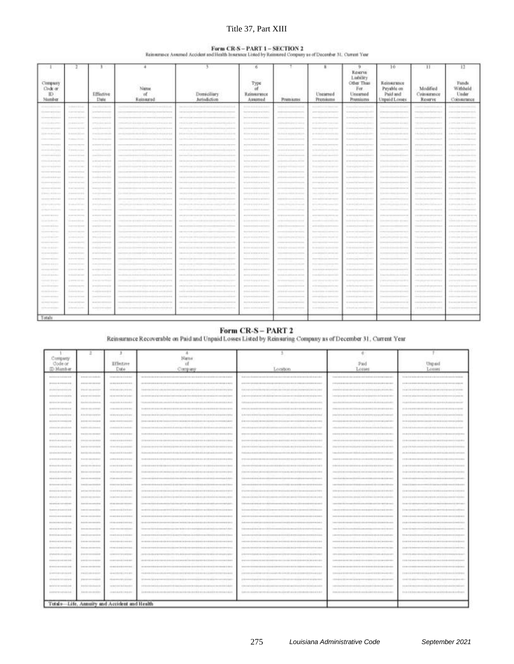# Title 37, Part XIII

#### Form CR-S-PART 1-SECTION 2

| Reinsumner Assumed Accident and Health Insurance Listed by Reinsured Company as of December 31, Current Year |  |
|--------------------------------------------------------------------------------------------------------------|--|
|--------------------------------------------------------------------------------------------------------------|--|

|                                     |                                         |                                                                                                                                                                                                                                                                                                                                                                                                                                                |                                                                |                                              |                                                                                                                                                                                                                                                                                                                                           |                                  |                                                                                                                                                                                                                                                                                                                                                                                                                                                                                                                                   | Reserve                                                                                                                                                                                                                                                                                                                              | $10-$                                                  | 11                                                                                                                                                                                                                                                                                                                                                                                                                                                  | 13                                          |
|-------------------------------------|-----------------------------------------|------------------------------------------------------------------------------------------------------------------------------------------------------------------------------------------------------------------------------------------------------------------------------------------------------------------------------------------------------------------------------------------------------------------------------------------------|----------------------------------------------------------------|----------------------------------------------|-------------------------------------------------------------------------------------------------------------------------------------------------------------------------------------------------------------------------------------------------------------------------------------------------------------------------------------------|----------------------------------|-----------------------------------------------------------------------------------------------------------------------------------------------------------------------------------------------------------------------------------------------------------------------------------------------------------------------------------------------------------------------------------------------------------------------------------------------------------------------------------------------------------------------------------|--------------------------------------------------------------------------------------------------------------------------------------------------------------------------------------------------------------------------------------------------------------------------------------------------------------------------------------|--------------------------------------------------------|-----------------------------------------------------------------------------------------------------------------------------------------------------------------------------------------------------------------------------------------------------------------------------------------------------------------------------------------------------------------------------------------------------------------------------------------------------|---------------------------------------------|
| Company<br>Code or<br>TD.<br>Number |                                         | Effective<br><b>Thate</b>                                                                                                                                                                                                                                                                                                                                                                                                                      | Nume<br>αf<br>Reinstred                                        | Domiciliary<br>Jurisdiction                  | Туре<br>αf<br><b><i><u>Reinsmance</u></i></b><br>Assimal                                                                                                                                                                                                                                                                                  | Premams                          | Untarned<br>Prendums                                                                                                                                                                                                                                                                                                                                                                                                                                                                                                              | Ladvildy<br>Other Thus<br>For<br>Uncerned<br>Premiums                                                                                                                                                                                                                                                                                | Reinstrunge<br>Payable on<br>Paid and<br>Unpaid Losses | Modified<br>Совмитився<br>Reserve                                                                                                                                                                                                                                                                                                                                                                                                                   | Funds<br>Withheld<br>Under<br>Comstance     |
| -----------                         | $-111111$                               | $1 - 11 - 11 + 11$                                                                                                                                                                                                                                                                                                                                                                                                                             |                                                                |                                              | <b><i><u><u><u>ALLER WILLIAMENT</u></u></u></i></b>                                                                                                                                                                                                                                                                                       | ****************                 | 0.644811110100118                                                                                                                                                                                                                                                                                                                                                                                                                                                                                                                 | ------------------                                                                                                                                                                                                                                                                                                                   | 110111-1111111111111                                   | 14411144111144                                                                                                                                                                                                                                                                                                                                                                                                                                      | -----------------                           |
| ------------                        | <b>Linksworth Control</b>               | server is an involvement in                                                                                                                                                                                                                                                                                                                                                                                                                    |                                                                |                                              | through the control of the state of the state                                                                                                                                                                                                                                                                                             |                                  |                                                                                                                                                                                                                                                                                                                                                                                                                                                                                                                                   | is more ( ii ) more ( howed )                                                                                                                                                                                                                                                                                                        | ------------------                                     | ----------------                                                                                                                                                                                                                                                                                                                                                                                                                                    | ----------------------                      |
| 111000011100                        | 1.44444444                              | -------------                                                                                                                                                                                                                                                                                                                                                                                                                                  |                                                                |                                              |                                                                                                                                                                                                                                                                                                                                           |                                  | ----                                                                                                                                                                                                                                                                                                                                                                                                                                                                                                                              | $\frac{1}{2} \left[ \begin{array}{cc} 0 & 0 & 0 \\ 0 & 0 & 0 \\ 0 & 0 & 0 \\ 0 & 0 & 0 \\ 0 & 0 & 0 \\ 0 & 0 & 0 \\ 0 & 0 & 0 \\ 0 & 0 & 0 \\ 0 & 0 & 0 & 0 \\ 0 & 0 & 0 & 0 \\ 0 & 0 & 0 & 0 \\ 0 & 0 & 0 & 0 & 0 \\ 0 & 0 & 0 & 0 & 0 \\ 0 & 0 & 0 & 0 & 0 & 0 \\ 0 & 0 & 0 & 0 & 0 & 0 \\ 0 & 0 & 0 & 0 & 0 & 0 & 0 \\ 0 & 0 & 0$ |                                                        |                                                                                                                                                                                                                                                                                                                                                                                                                                                     | --------------                              |
| 1111-11-221-2                       | ---------                               |                                                                                                                                                                                                                                                                                                                                                                                                                                                |                                                                |                                              | 212 240 014 215 2 2772 22-23                                                                                                                                                                                                                                                                                                              | *****************                | The same data is a set of the top and send and a                                                                                                                                                                                                                                                                                                                                                                                                                                                                                  |                                                                                                                                                                                                                                                                                                                                      |                                                        |                                                                                                                                                                                                                                                                                                                                                                                                                                                     |                                             |
| -----------                         | -------                                 | 20044444444444444                                                                                                                                                                                                                                                                                                                                                                                                                              |                                                                |                                              |                                                                                                                                                                                                                                                                                                                                           |                                  |                                                                                                                                                                                                                                                                                                                                                                                                                                                                                                                                   |                                                                                                                                                                                                                                                                                                                                      | ----------------                                       | -------------                                                                                                                                                                                                                                                                                                                                                                                                                                       | -------------------                         |
| $1114 - 164411144$                  | 10.4004141444                           | <b>Hallmann</b>                                                                                                                                                                                                                                                                                                                                                                                                                                |                                                                |                                              | 2114 011 011 012 012 013                                                                                                                                                                                                                                                                                                                  |                                  |                                                                                                                                                                                                                                                                                                                                                                                                                                                                                                                                   | American product and products                                                                                                                                                                                                                                                                                                        | 1111111-111111111111                                   |                                                                                                                                                                                                                                                                                                                                                                                                                                                     | 2-80-122-222-222-222-222-2                  |
|                                     | To present A.M.A.Mc                     | <b>Street Avenue</b>                                                                                                                                                                                                                                                                                                                                                                                                                           |                                                                |                                              |                                                                                                                                                                                                                                                                                                                                           |                                  |                                                                                                                                                                                                                                                                                                                                                                                                                                                                                                                                   | -----                                                                                                                                                                                                                                                                                                                                |                                                        |                                                                                                                                                                                                                                                                                                                                                                                                                                                     |                                             |
| -------------                       | ,,,,,,,,,,,                             | ------------                                                                                                                                                                                                                                                                                                                                                                                                                                   |                                                                |                                              | ----------------                                                                                                                                                                                                                                                                                                                          |                                  | ----------------                                                                                                                                                                                                                                                                                                                                                                                                                                                                                                                  | <b>WINDOWS &amp; MARINER &amp; MARTINEZ</b>                                                                                                                                                                                                                                                                                          | <b></b>                                                | ---------------                                                                                                                                                                                                                                                                                                                                                                                                                                     | .                                           |
| <br>+++++++++++                     | <b>STERN LINE</b><br>2010/07/2012 02:00 | alasi isteri                                                                                                                                                                                                                                                                                                                                                                                                                                   | 111414111-1212031-12120-2-0-0-0-0-0-0-0-0-0-0-0-0-0            |                                              |                                                                                                                                                                                                                                                                                                                                           | 010123-0-015-015<br>------------ |                                                                                                                                                                                                                                                                                                                                                                                                                                                                                                                                   | Calcula and concessioned                                                                                                                                                                                                                                                                                                             | 110111-110111-010                                      | -----------------                                                                                                                                                                                                                                                                                                                                                                                                                                   | 1.000110110110111<br>++++++++++++           |
| 122 S. Lewis Co., LA 4-5-5-5-5-7    | The Annah Annah Area                    | $\frac{1}{2} \left( \frac{1}{2} + \frac{1}{2} \right) \left( \frac{1}{2} + \frac{1}{2} \right) \left( \frac{1}{2} + \frac{1}{2} \right) \left( \frac{1}{2} + \frac{1}{2} \right) \left( \frac{1}{2} + \frac{1}{2} \right) \left( \frac{1}{2} + \frac{1}{2} \right) \left( \frac{1}{2} + \frac{1}{2} \right) \left( \frac{1}{2} + \frac{1}{2} \right) \left( \frac{1}{2} + \frac{1}{2} \right) \left( \frac{1}{2} + \frac{1}{2} \right) \left($ | 1201211-12121212221-1-1222-1-12222-0-022-2                     |                                              |                                                                                                                                                                                                                                                                                                                                           | -------------------              | Seconda 22 English Administration                                                                                                                                                                                                                                                                                                                                                                                                                                                                                                 | $-1 + 1 - -1 + 1 - 1$<br>27 March 2 12 2 2 2 2 2 2 2 2 2 2 2 2 2 2 2                                                                                                                                                                                                                                                                 | ------------------<br>******************               | suited in the interest considerable to                                                                                                                                                                                                                                                                                                                                                                                                              | 1-10-1212 0-0-12-22 0-23 0-2                |
| ,,,,,,,,,,,,,                       | ------                                  | $-1111 - 1111$                                                                                                                                                                                                                                                                                                                                                                                                                                 | 011031101  0132110101101                                       |                                              | 21215-121011-0112                                                                                                                                                                                                                                                                                                                         |                                  |                                                                                                                                                                                                                                                                                                                                                                                                                                                                                                                                   | 0 x p x 1 p y q p p = 1 p y d = m =                                                                                                                                                                                                                                                                                                  | 110111-1111111-11101                                   | -------------                                                                                                                                                                                                                                                                                                                                                                                                                                       | ,,,,,,,,,,,,,,,,,                           |
| ,,,,,,,,,,,,,                       | 11 mm + + + + +                         | -------------                                                                                                                                                                                                                                                                                                                                                                                                                                  | <b>Hotel</b> (1971)                                            |                                              |                                                                                                                                                                                                                                                                                                                                           | ****************                 | --------------                                                                                                                                                                                                                                                                                                                                                                                                                                                                                                                    | -----------------                                                                                                                                                                                                                                                                                                                    | ,,,,,,,,,,,,,,,,                                       | --------------                                                                                                                                                                                                                                                                                                                                                                                                                                      |                                             |
| -----------                         | <b>Similar</b>                          | <b>SOLL-HOLL</b>                                                                                                                                                                                                                                                                                                                                                                                                                               |                                                                |                                              |                                                                                                                                                                                                                                                                                                                                           |                                  |                                                                                                                                                                                                                                                                                                                                                                                                                                                                                                                                   |                                                                                                                                                                                                                                                                                                                                      |                                                        |                                                                                                                                                                                                                                                                                                                                                                                                                                                     |                                             |
| -----                               | 1.444444444                             |                                                                                                                                                                                                                                                                                                                                                                                                                                                |                                                                |                                              |                                                                                                                                                                                                                                                                                                                                           |                                  |                                                                                                                                                                                                                                                                                                                                                                                                                                                                                                                                   | ---------------------                                                                                                                                                                                                                                                                                                                | ,,,,,,,,,,,,,,,,                                       |                                                                                                                                                                                                                                                                                                                                                                                                                                                     |                                             |
|                                     | Il proprieto                            | www.community.com                                                                                                                                                                                                                                                                                                                                                                                                                              | 120 000 000 000 000                                            |                                              |                                                                                                                                                                                                                                                                                                                                           | ---------------                  |                                                                                                                                                                                                                                                                                                                                                                                                                                                                                                                                   | Learner part nonner part et b                                                                                                                                                                                                                                                                                                        |                                                        |                                                                                                                                                                                                                                                                                                                                                                                                                                                     | 2-month 22-month 22-22-2                    |
| 120mm = 0.130mm                     | -------                                 | <b>Scott &amp; Editorial Anti-</b>                                                                                                                                                                                                                                                                                                                                                                                                             | 1111111111111<br>\$10.5 Scottist \$10.1 Services               |                                              |                                                                                                                                                                                                                                                                                                                                           | -----------------                |                                                                                                                                                                                                                                                                                                                                                                                                                                                                                                                                   | to detect 4 botted percent is \$10 meter.                                                                                                                                                                                                                                                                                            | 110111-11020-0-0-0-                                    | <b>CONTRACTOR</b> & Brown & M. Libraries                                                                                                                                                                                                                                                                                                                                                                                                            |                                             |
| ,,,,,,,,,,,,,                       | 11 Brond & G & Brd.                     |                                                                                                                                                                                                                                                                                                                                                                                                                                                |                                                                |                                              | 2021 2012 2 2 3 3 4 5 6 7 8 9 8 1 3 4 5 6                                                                                                                                                                                                                                                                                                 | ****************                 |                                                                                                                                                                                                                                                                                                                                                                                                                                                                                                                                   | 2 except Link account \$1.000 \$                                                                                                                                                                                                                                                                                                     | ,,,,,,,,,,,,,,,,,,,                                    |                                                                                                                                                                                                                                                                                                                                                                                                                                                     | ,,,,,,,,,,,,,,,,,                           |
| ---------                           | to anno 122 in                          | prop in publication in it.                                                                                                                                                                                                                                                                                                                                                                                                                     | -----------<br>LLLL 20   000   200   201   000                 |                                              | A-12 (0-12) 2-2 (-1-1-1-2)                                                                                                                                                                                                                                                                                                                |                                  |                                                                                                                                                                                                                                                                                                                                                                                                                                                                                                                                   | special plan importa-                                                                                                                                                                                                                                                                                                                |                                                        | from \$40 \$100.00 \$30.00 percent                                                                                                                                                                                                                                                                                                                                                                                                                  |                                             |
| A PALLAS ALASKA                     | <b>Service Garden</b>                   |                                                                                                                                                                                                                                                                                                                                                                                                                                                |                                                                |                                              |                                                                                                                                                                                                                                                                                                                                           |                                  |                                                                                                                                                                                                                                                                                                                                                                                                                                                                                                                                   |                                                                                                                                                                                                                                                                                                                                      |                                                        |                                                                                                                                                                                                                                                                                                                                                                                                                                                     |                                             |
| ------------                        | <b>FT 0000 E 000 E 000</b>              | ------------                                                                                                                                                                                                                                                                                                                                                                                                                                   |                                                                |                                              |                                                                                                                                                                                                                                                                                                                                           | ------------------               | -----------------                                                                                                                                                                                                                                                                                                                                                                                                                                                                                                                 | to a strong and strong process.                                                                                                                                                                                                                                                                                                      | <b>*********************</b>                           | 212012-010 010110-01010-01010                                                                                                                                                                                                                                                                                                                                                                                                                       |                                             |
| 11151116110                         | 1144444444                              | ------------                                                                                                                                                                                                                                                                                                                                                                                                                                   |                                                                |                                              | 2-2-2-20-222-2-2-2-2-2-2-2-2                                                                                                                                                                                                                                                                                                              |                                  | $\frac{1}{2} \left( \left( \left( \left( \frac{1}{2} \right) \right) \left( \left( \left( \left( \frac{1}{2} \right) \right) \right) \right) \right) + \left( \left( \left( \left( \left( \frac{1}{2} \right) \right) \right) \right) \right) + \left( \left( \left( \left( \left( \left( \left( \left( \left( \frac{1}{2} \right) \right) \right) \right) \right) \right) \right) \right) + \left( \left( \left( \left( \left( \left( \left( \left( \left( \left( \frac{1}{2} \right) \right) \right) \right) \right) \right) \$ | $-1 + 1 + 1 + 1 + \cdots + 1 + 1 + 1 + 1 + 1 + \cdots$                                                                                                                                                                                                                                                                               | ------------------                                     | $-1.0 + \frac{1}{2} \cdot 0.4 + \frac{1}{2} \cdot \frac{1}{2} \cdot 0.0 + \frac{1}{2} \cdot 0.4 + \frac{1}{2} \cdot 0.4 + \frac{1}{2} \cdot 0.4 + \frac{1}{2} \cdot 0.4 + \frac{1}{2} \cdot 0.4 + \frac{1}{2} \cdot 0.4 + \frac{1}{2} \cdot 0.4 + \frac{1}{2} \cdot 0.4 + \frac{1}{2} \cdot 0.4 + \frac{1}{2} \cdot 0.4 + \frac{1}{2} \cdot 0.4 + \frac{1}{2} \cdot 0.4 + \frac{1}{2} \cdot $                                                       | ------------------                          |
| a de primeira en las de primeiras   | ---------                               | comment and the state man is in the                                                                                                                                                                                                                                                                                                                                                                                                            |                                                                | --------------------------------             | the six at the second control of the second control of the second                                                                                                                                                                                                                                                                         |                                  | development of the colour development of                                                                                                                                                                                                                                                                                                                                                                                                                                                                                          | 21 models \$ 10 d movement \$ \$2.0 m \$ \$                                                                                                                                                                                                                                                                                          |                                                        | the state data is a decodered and state of the                                                                                                                                                                                                                                                                                                                                                                                                      | collected with a level or single and short- |
| 11111111111                         | --------                                | ------------                                                                                                                                                                                                                                                                                                                                                                                                                                   |                                                                |                                              | ---------                                                                                                                                                                                                                                                                                                                                 | <b>************</b>              |                                                                                                                                                                                                                                                                                                                                                                                                                                                                                                                                   |                                                                                                                                                                                                                                                                                                                                      | <b>**************</b>                                  | send a star a pointing water pair.                                                                                                                                                                                                                                                                                                                                                                                                                  |                                             |
| 1110111-0112                        | $-1000 + 1000$                          | -----------                                                                                                                                                                                                                                                                                                                                                                                                                                    |                                                                |                                              | F1100011100111                                                                                                                                                                                                                                                                                                                            |                                  | $2 + 1 + 1 + 2 + 3 + 3 + 4 = 0$                                                                                                                                                                                                                                                                                                                                                                                                                                                                                                   | to provide a \$1 p entropy as a party                                                                                                                                                                                                                                                                                                |                                                        |                                                                                                                                                                                                                                                                                                                                                                                                                                                     | --------------------                        |
| 19 2 2 2 3 4 5 6 7 8 9 10 11        | --------                                | ------------                                                                                                                                                                                                                                                                                                                                                                                                                                   |                                                                |                                              | 2010 EXPLORER DVD & HENRY & Bride                                                                                                                                                                                                                                                                                                         |                                  | <b>DERECK # PR</b>                                                                                                                                                                                                                                                                                                                                                                                                                                                                                                                | <b>CONTRACTOR</b>                                                                                                                                                                                                                                                                                                                    | ********************                                   |                                                                                                                                                                                                                                                                                                                                                                                                                                                     |                                             |
| 11101212110                         |                                         |                                                                                                                                                                                                                                                                                                                                                                                                                                                |                                                                |                                              | 211mm1111111111                                                                                                                                                                                                                                                                                                                           | 12121211-122311-012              | 5-14-241-121-221-221-22                                                                                                                                                                                                                                                                                                                                                                                                                                                                                                           | <b><i>CAROLLALANAMI 10 1911</i></b>                                                                                                                                                                                                                                                                                                  | 110111-110111-1101                                     | 2.0.13.032-10.10.10 mm                                                                                                                                                                                                                                                                                                                                                                                                                              | 1201222-011019-010                          |
| 1111111111111                       | to worked the base                      |                                                                                                                                                                                                                                                                                                                                                                                                                                                |                                                                |                                              | $\frac{1}{2} \left( \left( \left( \begin{array}{cc} 0 & 0 & 0 \\ 0 & 0 & 0 \\ 0 & 0 & 0 \\ 0 & 0 & 0 \\ 0 & 0 & 0 \\ 0 & 0 & 0 \\ 0 & 0 & 0 \\ 0 & 0 & 0 & 0 \\ 0 & 0 & 0 & 0 \\ 0 & 0 & 0 & 0 \\ 0 & 0 & 0 & 0 & 0 \\ 0 & 0 & 0 & 0 & 0 \\ 0 & 0 & 0 & 0 & 0 \\ 0 & 0 & 0 & 0 & 0 & 0 \\ 0 & 0 & 0 & 0 & 0 & 0 \\ 0 & 0 & 0 & 0 & 0 & 0$ |                                  | 410010191110111011010                                                                                                                                                                                                                                                                                                                                                                                                                                                                                                             | is good at a summer to be a list                                                                                                                                                                                                                                                                                                     | <b><i>BEDNEYGEEDIERHOOD</i></b>                        | $\label{eq:3.1} \begin{split} \mathcal{C}^{(1)}(x) &= \frac{1}{2} \left( \begin{array}{cc} \frac{1}{2} & \frac{1}{2} \left( \begin{array}{cc} \frac{1}{2} & \frac{1}{2} \left( \frac{1}{2} \right) & \frac{1}{2} \left( \frac{1}{2} \right) & \frac{1}{2} \left( \frac{1}{2} \right) \right) \\ \frac{1}{2} & \frac{1}{2} \left( \frac{1}{2} \right) & \frac{1}{2} \left( \frac{1}{2} \right) & \frac{1}{2} \left( \frac{1}{2} \right) & \frac{1}{$ | ----------------                            |
| 111-121-2                           | School Country                          |                                                                                                                                                                                                                                                                                                                                                                                                                                                | 11011101101110111010                                           |                                              | -----------                                                                                                                                                                                                                                                                                                                               | ,,,,,,,,,,,,,,                   |                                                                                                                                                                                                                                                                                                                                                                                                                                                                                                                                   | Darwing Link expectation of E                                                                                                                                                                                                                                                                                                        |                                                        | -------------                                                                                                                                                                                                                                                                                                                                                                                                                                       |                                             |
| 100001111                           | <b><i><u>Property</u></i></b>           |                                                                                                                                                                                                                                                                                                                                                                                                                                                | 11111111111                                                    |                                              |                                                                                                                                                                                                                                                                                                                                           | -----------------                | ---------------                                                                                                                                                                                                                                                                                                                                                                                                                                                                                                                   | <b>Contract And American</b>                                                                                                                                                                                                                                                                                                         | 10111111111                                            | ----------------                                                                                                                                                                                                                                                                                                                                                                                                                                    |                                             |
| 111011-01110                        | 1111111111                              |                                                                                                                                                                                                                                                                                                                                                                                                                                                |                                                                |                                              |                                                                                                                                                                                                                                                                                                                                           | *****************                | 2004/07/18 00:00 00:00 00:00                                                                                                                                                                                                                                                                                                                                                                                                                                                                                                      | 2 2 2 2 2 3 3 4 3 4 3 4 3 4 3 4 3 4 3 4                                                                                                                                                                                                                                                                                              | ******************                                     | $-15558 \frac{1}{2} + 255 \frac{1}{2} + \frac{1}{2} + 255 \frac{1}{2} + \frac{1}{2} + \frac{1}{2} + \frac{1}{2} + \frac{1}{2} + \frac{1}{2} + \frac{1}{2} + \frac{1}{2} + \frac{1}{2} + \frac{1}{2} + \frac{1}{2} + \frac{1}{2} + \frac{1}{2} + \frac{1}{2} + \frac{1}{2} + \frac{1}{2} + \frac{1}{2} + \frac{1}{2} + \frac{1}{2} + \frac{1}{2} + \frac{1}{2} + \frac{1}{2} + \frac{1}{2$                                                           |                                             |
|                                     | in Linkinski                            | ------------                                                                                                                                                                                                                                                                                                                                                                                                                                   | 88-144-1-120-21-220-221-221-221-221-221-221-2                  |                                              |                                                                                                                                                                                                                                                                                                                                           | ----------------                 | $\frac{1}{2} - \frac{1}{2} \frac{1}{2} \frac{1}{2} + \frac{1}{2} \frac{1}{2} \frac{1}{2} \frac{1}{2} + \frac{1}{2} \frac{1}{2} \frac{1}{2} + \frac{1}{2} \frac{1}{2} \frac{1}{2} + \frac{1}{2} \frac{1}{2} \frac{1}{2} + \frac{1}{2} \frac{1}{2} \frac{1}{2} + \frac{1}{2} \frac{1}{2} \frac{1}{2} + \frac{1}{2} \frac{1}{2} \frac{1}{2} + \frac{1}{2} \frac{1}{2} \frac{1}{2} + \frac{1}{2}$                                                                                                                                     | to some of A at A second A female &                                                                                                                                                                                                                                                                                                  | 110111-120211-01021                                    | 1.000 km k b.000 km k b b b k k                                                                                                                                                                                                                                                                                                                                                                                                                     | 10000110001101101                           |
| <b>LENGTH STEEL</b>                 | a provincian da                         | PANYMERH                                                                                                                                                                                                                                                                                                                                                                                                                                       | (1771) 1777                                                    |                                              | <b>CONTRACTOR</b>                                                                                                                                                                                                                                                                                                                         | 5/6/6/22/2012 22:00 22:00 22:    | THE R. P. LEWIS CO., LANSING MICH.                                                                                                                                                                                                                                                                                                                                                                                                                                                                                                | <b>Company programme care company</b>                                                                                                                                                                                                                                                                                                | THIS EDITORY ENGINEERS                                 | The party property the property                                                                                                                                                                                                                                                                                                                                                                                                                     |                                             |
| ------------                        | <b>PERSONAL PRO</b>                     | <b>STREET EXECUT</b>                                                                                                                                                                                                                                                                                                                                                                                                                           | TWO R R R R O EE TO R R P D EE TO HOU R R F D E TO EE TO EE TO |                                              | <b><i>POST ROOM &amp; ROB RESOURCE BOX</i></b>                                                                                                                                                                                                                                                                                            |                                  | <b><i><u>PARTIESE EDIT EN PRESENTE</u></i></b>                                                                                                                                                                                                                                                                                                                                                                                                                                                                                    | to allowing a stage a movement of all the top of                                                                                                                                                                                                                                                                                     | <b>FENERAL ENTREPRISED</b>                             | property and affected a state at the co-                                                                                                                                                                                                                                                                                                                                                                                                            |                                             |
| ----------                          | 1144444444                              | $-110110110110$                                                                                                                                                                                                                                                                                                                                                                                                                                | 1001101101110110110-0010-00101010                              | ----------------------------                 |                                                                                                                                                                                                                                                                                                                                           |                                  | $2 - 4 + 6 + 4 + 4 - 1 + 4 + 6 + 4 + 6 + 1$                                                                                                                                                                                                                                                                                                                                                                                                                                                                                       |                                                                                                                                                                                                                                                                                                                                      | 110111011011011011                                     | 1-011010-001010101                                                                                                                                                                                                                                                                                                                                                                                                                                  | ,,,,,,,,,,,,,,,,,                           |
| 12 x presented \$ \$ \$ \$ \$       | Days and \$1.00 km                      | Great Edit Engineers & Edit                                                                                                                                                                                                                                                                                                                                                                                                                    |                                                                |                                              |                                                                                                                                                                                                                                                                                                                                           |                                  |                                                                                                                                                                                                                                                                                                                                                                                                                                                                                                                                   | --------------                                                                                                                                                                                                                                                                                                                       |                                                        | interes de cor de devolvers de liste de stave                                                                                                                                                                                                                                                                                                                                                                                                       |                                             |
| 111001101101                        | 1100101-019                             | <b>Should build a minimum (2.2.2.2</b> )                                                                                                                                                                                                                                                                                                                                                                                                       | 22-122-23-23 0-23-2                                            | 08-00012110-1011211-0112110111-01220-01220-0 | 000000111010111                                                                                                                                                                                                                                                                                                                           | --------------------             | Texas e de poder del presento del                                                                                                                                                                                                                                                                                                                                                                                                                                                                                                 | In anticod & sk & entered industrial &                                                                                                                                                                                                                                                                                               | 220111111111111111111111                               | think has a decision with bound                                                                                                                                                                                                                                                                                                                                                                                                                     | 2-120-221-2-2-1-1-2-2-2-2-2-2               |
| 1111-11-0110-                       | $11 + 111111$                           | 5.411 + + + + + + +                                                                                                                                                                                                                                                                                                                                                                                                                            |                                                                |                                              | 2010/01/03 03:00 PM                                                                                                                                                                                                                                                                                                                       | ----------------                 | 2-reverses comment                                                                                                                                                                                                                                                                                                                                                                                                                                                                                                                | $24-4414$ [ $41-444$ ]                                                                                                                                                                                                                                                                                                               | ,,,,,,,,,,,,,,,,,,                                     | 10101 ----------                                                                                                                                                                                                                                                                                                                                                                                                                                    | 1000010100000000                            |
| Totals                              |                                         |                                                                                                                                                                                                                                                                                                                                                                                                                                                |                                                                |                                              |                                                                                                                                                                                                                                                                                                                                           |                                  |                                                                                                                                                                                                                                                                                                                                                                                                                                                                                                                                   |                                                                                                                                                                                                                                                                                                                                      |                                                        |                                                                                                                                                                                                                                                                                                                                                                                                                                                     |                                             |
|                                     |                                         |                                                                                                                                                                                                                                                                                                                                                                                                                                                |                                                                |                                              |                                                                                                                                                                                                                                                                                                                                           |                                  |                                                                                                                                                                                                                                                                                                                                                                                                                                                                                                                                   |                                                                                                                                                                                                                                                                                                                                      |                                                        |                                                                                                                                                                                                                                                                                                                                                                                                                                                     |                                             |

#### Form CR-S-PART 2

Reinsurance Recoverable on Paid and Unpaid Losses Listed by Reinsuring Company as of December 31, Current Year

| Company                                                                                      |                                          |                                                                                                                                                                                                                                      | Name                                                                                                                                                                                                                                 |                                                                                                                                                                                                                                |                                                                                                                                                                                                                                |                                                                                                                                                                                                                                |
|----------------------------------------------------------------------------------------------|------------------------------------------|--------------------------------------------------------------------------------------------------------------------------------------------------------------------------------------------------------------------------------------|--------------------------------------------------------------------------------------------------------------------------------------------------------------------------------------------------------------------------------------|--------------------------------------------------------------------------------------------------------------------------------------------------------------------------------------------------------------------------------|--------------------------------------------------------------------------------------------------------------------------------------------------------------------------------------------------------------------------------|--------------------------------------------------------------------------------------------------------------------------------------------------------------------------------------------------------------------------------|
| Code or                                                                                      |                                          | Effetive                                                                                                                                                                                                                             |                                                                                                                                                                                                                                      |                                                                                                                                                                                                                                | Рил                                                                                                                                                                                                                            | THE GHI                                                                                                                                                                                                                        |
| <b>ID Mumber</b>                                                                             |                                          | Date                                                                                                                                                                                                                                 | Company                                                                                                                                                                                                                              | Leesbon                                                                                                                                                                                                                        | Logiate                                                                                                                                                                                                                        | 24181                                                                                                                                                                                                                          |
| <b><i><u>ANTESS DE CONSTRUITS</u></i></b>                                                    | <b>ATRICHMENTAL</b>                      | <b>CEREMON BY EXPERIES</b>                                                                                                                                                                                                           | <b>美国国家的国家的基本基本基本的国际国家中国家委员会基本的国际中国家委员会基本中基地公司的工具和国家的国家协会基本基本的国际公司和国家委员会基本国家</b>                                                                                                                                                     |                                                                                                                                                                                                                                |                                                                                                                                                                                                                                |                                                                                                                                                                                                                                |
| <b>BY REAL OR CONSULTANT</b>                                                                 | <b>BREEZE-HOUSE-ASS</b>                  | ----------------                                                                                                                                                                                                                     |                                                                                                                                                                                                                                      | 法实际的 网络非常的变体的 网络加利亚尔 电表面分离器 网络阿拉伯 医克里克氏病 化硝酸铅 医尿 医色素 医阴茎 计数字符号 医黄 计时间 不                                                                                                                                                        |                                                                                                                                                                                                                                |                                                                                                                                                                                                                                |
| 8120111-1-12120                                                                              |                                          |                                                                                                                                                                                                                                      |                                                                                                                                                                                                                                      |                                                                                                                                                                                                                                |                                                                                                                                                                                                                                | <b>FRAILEE ASSESSED AND ARRESTS AND ARRESTS AND ARRESTS</b>                                                                                                                                                                    |
| <b><i>BASEBARY - BLATE</i></b>                                                               | <b>AFRICAFILM FORESTS</b>                | <b>08080001881818000</b>                                                                                                                                                                                                             |                                                                                                                                                                                                                                      |                                                                                                                                                                                                                                |                                                                                                                                                                                                                                |                                                                                                                                                                                                                                |
| is considerably and the state                                                                |                                          |                                                                                                                                                                                                                                      | 11 000 000 1 22 23 24 000 000 1 23 24 25 26 27 28 29 20 21 22 23 24 25 26 27 28 29 20 21 22 23 24 25 26 27 28 29 20 21 22 23 24 25 26 27 28 29 20 21 22 23 24 25 26 27 28 29 20 21 22 23 24 25 26 27 28 29 20 21 22 23 24 25 2       |                                                                                                                                                                                                                                |                                                                                                                                                                                                                                |                                                                                                                                                                                                                                |
| 818888800018141                                                                              | 11110110111111                           | 120401-0030-0040-004                                                                                                                                                                                                                 | 11/00/03 12:13:14:14:15:00:00 12:14:14:15:00:00 12:14:14:15:15:16:16:16:16:16:16:16:16:16:16:16:16:1                                                                                                                                 |                                                                                                                                                                                                                                |                                                                                                                                                                                                                                | 212 21 22 23 24 25 26 27 28 29 29 20 21 22 23 24 25 26 27 28 29 20 21 22 23 24 25 26 27 28 29 20 21 22 23 24 25                                                                                                                |
| 1111111101111111                                                                             | 1111110101111                            | 0808000001010101                                                                                                                                                                                                                     |                                                                                                                                                                                                                                      | 8.08.0 0010 8.08.0 \$1.000 \$1.000 \$1.000 \$1.000 \$1.000 \$1.000 \$1.000 \$1.000 \$1.000 \$1.000 \$1.000 \$1.000 \$1.000 \$1                                                                                                 | CONTRACTORS CONTRACTORS AND RELEASED FOR A REPORT OF THE ART WAS CITED AND RELEASED FOR A RELEASED FOR A RELEASED FOR A RELEASED FOR A RELEASED FOR A RELEASED FOR A RELEASED FOR A RELEASED FOR A RELEASED FOR A RELEASED FOR | TO DIA 81313 (2010) \$1313 \$131 (20) \$1313 \$1410 (20) \$1313 \$1415                                                                                                                                                         |
| --------------                                                                               | ------------                             | <b>48881000881088800</b>                                                                                                                                                                                                             |                                                                                                                                                                                                                                      | \$18.000.00.000 @ 000 5 \$18.000 00 00 \$18.000 @ 000 \$18.000 \$19.000 @ 000 \$19.000 \$1                                                                                                                                     |                                                                                                                                                                                                                                |                                                                                                                                                                                                                                |
| 1111111-10111                                                                                |                                          | <b>CARDINAL RELEASED</b>                                                                                                                                                                                                             | 14 months 2 \$3.54 months a \$1.6 of milion \$1 \$14 milion in Link State and Contents and Link Address and Address                                                                                                                  | A BOLD COLLAGE SCIENCE AND COLLECTED AND RELEASED FOR A STATE OF A RELEASED FOR A REPORT OF A RELEASED FOR A REPORT OF A RELEASED FOR A RELEASED FOR A RELEASED FOR A RELEASED FOR A RELEASED FOR A RELEASED FOR A RELEASED FO |                                                                                                                                                                                                                                | 12-8-1211 12:3-13-1-0-0-0-2 22:3-23 PRODUCED AN ANGELE ANG INITIAL ANGELES                                                                                                                                                     |
| 81111100010111                                                                               | 1111111111111                            | 120301-0120-0120-0                                                                                                                                                                                                                   |                                                                                                                                                                                                                                      |                                                                                                                                                                                                                                |                                                                                                                                                                                                                                |                                                                                                                                                                                                                                |
| 01101010111                                                                                  | 01111-0111111                            | <b>CASE CORPORATION</b>                                                                                                                                                                                                              | 2218 0 612 12 23 24 25 26 27 28 29 29 29 29 29 29 29 29 20 21 22 23 24 25 26 27 28 29 20 21 22 23 24                                                                                                                                 |                                                                                                                                                                                                                                |                                                                                                                                                                                                                                |                                                                                                                                                                                                                                |
| 499988800044110                                                                              | -------------                            | <b>4844 0000 83458 FEED</b>                                                                                                                                                                                                          |                                                                                                                                                                                                                                      | 224.00.022223334.0003433434000003333423.00332233000000003334343400000                                                                                                                                                          | 2020年4月18日 2020年7月18日4日12月25日 4月10日 2月10日 2月10日                                                                                                                                                                                | 2021年11月12日,000003111111110000101111000001110000000                                                                                                                                                                            |
|                                                                                              |                                          | <b>CARD CORPORATION AND A REAL PROPERTY</b>                                                                                                                                                                                          | 3.5 (000) 1983 4.5 × 4.5 (000) 1984 4.85 4.15 (0.0) 1.5 × 4.5 (0.0) 1.0) 1.0 × 4.5 (0.0) 2.6 × 4.6 (0.0) 1.0 × 4.6 (0.0) 1.0 × 4.6 (0.0)                                                                                             |                                                                                                                                                                                                                                |                                                                                                                                                                                                                                | 2012 2012 212:23 23:00:00 0 2 2 2 3 2 3 3 4 5 6 7 7 8 2 3 2 3 4 5 6 7 8 9 30 4 30 4 50 60 7 8 9 40 5 6 7 8 9 9 0 1 1 2 2 3 4 5 6 7 8 9 0 1 2 3 4 5 6 7 8 9 0 1 2 3 4 5 6 7 8 9 0 1 2 3 4 5 6 7 8 9 0 1 2 3 4 5 6 7 8 9 0 1 2 3 |
| <b>6188888000888888</b>                                                                      | 111121-00311                             | 110311-0022111111                                                                                                                                                                                                                    |                                                                                                                                                                                                                                      |                                                                                                                                                                                                                                |                                                                                                                                                                                                                                | 222224 223 23 24 25 26 27 28 29 29 20 21 22 23 24 25 26 27 28 29 20 21 22 23 24 25 26 27 28 29 20 21 22 23 24 25 26 27 28 29 20 21 22 23 24 25 26 27 28 29 20 21 22 23 24 25 26 27 28 29 20 21 22 23 24 25 26 27 28 29 20 21 2 |
| 0110111-01111                                                                                |                                          | -------------                                                                                                                                                                                                                        |                                                                                                                                                                                                                                      |                                                                                                                                                                                                                                |                                                                                                                                                                                                                                |                                                                                                                                                                                                                                |
| 0000000000000000                                                                             | -------------                            |                                                                                                                                                                                                                                      |                                                                                                                                                                                                                                      |                                                                                                                                                                                                                                | 2020年8月10日12月22日12日12日12日12日12日12日12日12日12日12日                                                                                                                                                                                 |                                                                                                                                                                                                                                |
| 181011111111111111                                                                           | 111111-001011110                         |                                                                                                                                                                                                                                      |                                                                                                                                                                                                                                      | 1. 我来说,我的话的最大来自我,你的时候,你真是怎么感,我的时候,你去看着你,我来,你的时候,你真是要你的!你 你的时候!你要看着来,你的!!!                                                                                                                                                      | 1991年8月28日 10:00:00 年度全国人民共和国大学生基督教会会社中国共和国大学生基督教会会社                                                                                                                                                                           |                                                                                                                                                                                                                                |
| 0.0 0.0 0.0 ml (mod) 0.6 b 0.0 -                                                             | Intrinsiciaries                          | <b>CERA Cropped And EX EXA-C</b>                                                                                                                                                                                                     |                                                                                                                                                                                                                                      |                                                                                                                                                                                                                                |                                                                                                                                                                                                                                | 4 to be 4 22 K K V 1 (2010) 1 4 K 1 & 1 (2) 1 (2) 1 (2) 1 (2) 1 (2) 2) 4 (2) 1 (2) 2) 1 (2) 2) 1 (2) 2) 2                                                                                                                      |
| FFF1110001U10                                                                                | 0000000000000                            | THE R. P. LEWIS CO., LANSING MICH.                                                                                                                                                                                                   | 2010/04/03 04:04 01:04 02:03 03:04 03:04 03:04 04:04 04:04 04:04 04:04 04:04 04:04 04:04 04:04                                                                                                                                       |                                                                                                                                                                                                                                | 22010 1203 121 122 123 124 125 126 127 128 129 120 121 122 123 124                                                                                                                                                             |                                                                                                                                                                                                                                |
|                                                                                              | 100404-01039-0103                        | <b>CARD CORPORATION</b>                                                                                                                                                                                                              |                                                                                                                                                                                                                                      |                                                                                                                                                                                                                                |                                                                                                                                                                                                                                | 0000444411000044411420000444444000044444400                                                                                                                                                                                    |
| 181011111111111111                                                                           | 103155-000001223                         | <b>4444 - 100 - 100 - 100 - 100 - 100 - 100 - 100 - 100 - 100 - 100 - 100 - 100 - 100 - 100 - 100 - 100 - 100 - 100 - 100 - 100 - 100 - 100 - 100 - 100 - 100 - 100 - 100 - 100 - 100 - 100 - 100 - 100 - 100 - 100 - 100 - 100 </b> |                                                                                                                                                                                                                                      |                                                                                                                                                                                                                                |                                                                                                                                                                                                                                | ANARY \$1728 \$1000000 \$300 \$300 \$4000 \$4000 \$4000 \$4000 \$4000 \$4000 \$                                                                                                                                                |
| <b>Institutioner (vind)</b>                                                                  | <b>Intelligencer</b>                     | TERMINERED EXECUTIVE                                                                                                                                                                                                                 | be referred as a plant to concentrate the first connection of the concentration of the first department of the first of the concentration of the concentration of the concentration of                                               |                                                                                                                                                                                                                                |                                                                                                                                                                                                                                | {//britishtmatical/animal/animal/animal/                                                                                                                                                                                       |
| <b><i><u>A PO DO DO DO DO DO DO DO DO DO </u></i></b>                                        | <b><i><u>RESIDENTS RESIDENTS</u></i></b> | <b>HERBRICH EXECUTIVE</b>                                                                                                                                                                                                            |                                                                                                                                                                                                                                      | 2020年11月12日 2021年2月10日 12:20:00 12:20:00 20:20:00 20:20:00 20:20:00 20:20:00:00:00 20:20:00:00                                                                                                                                 |                                                                                                                                                                                                                                |                                                                                                                                                                                                                                |
| 0120311-0222-022                                                                             | <b>ELECTRIC CONTRACTOR</b>               | 7110101111111111                                                                                                                                                                                                                     |                                                                                                                                                                                                                                      | 122 mm = 22 122 123 124 125 126 127 128 129 120 121 122 123 124 125 126 127 128 129 120 120 120 120                                                                                                                            |                                                                                                                                                                                                                                | 202112-01010-0010121212-0-02010-0-0201-0-02020                                                                                                                                                                                 |
| 08000408-00000889-000                                                                        | <b><i>BRANANIERS</i> EXPERIENCE</b>      | 2828-000-00128-001                                                                                                                                                                                                                   |                                                                                                                                                                                                                                      | <b>有关系统的现在分类不良的第三条件的时代更重要的现在分词的时间分量量最低的比例的时间的事业量量最低的时间的时间变量量量的时间。</b>                                                                                                                                                          |                                                                                                                                                                                                                                | Additional Prints & R. (1993) 1993 2-2 (20) 2-2 (20) 2-2 (20) 2-2 (20) 2-2 (20) 2-2 (20) 2-2 (20) 2-2 (20) 2-2                                                                                                                 |
| <b><i><u><u><b>A</b></u></u> A A</i> A <i>A A A</i>  A <i>A</i>  A <i>A</i>  A <i>A</i> </b> | <b>FRANKLINGHAMES</b>                    |                                                                                                                                                                                                                                      | The desired find a state of the local constitution of the contract of the property of the finance of the constitution of the constitution of the constitution of the constitution of the con-                                        |                                                                                                                                                                                                                                | abort to be president to be the book of the paid color of the paid color                                                                                                                                                       | 11-m-121 py potential a py p concert to be a final month py publical                                                                                                                                                           |
| <b>EVERED AR INCO 8 KILLER</b>                                                               | <b>EXECUTIVES</b> 22 FEET                | <b>CARD CORPORATION</b>                                                                                                                                                                                                              | <b>EX INSURAL EX EX EX EXISTING TO EXISTENT AND REPORTED TO EXISTENT OF A REPORT OF A REPORT OF A REPORT OF A REPORT OF A REPORT OF A REPORT OF A REPORT OF A REPORT OF A REPORT OF A REPORT OF A REPORT OF A REPORT OF A REPORT</b> | 2 8 8 1 1 1 1 1 1 2 3 4 5 6 7 8 9 9 0 1 2 3 4 5 6 7 8 9 0 1 2 3 4 5 6 7 8 9 0 1 2 3 4 5 6 7 8 9 0 1 2 3 4 5 6 7 8 9 0 1 2 3 4 5 6 7 8 9 0 1 2 3 4 5 6 7 8 9 0 1 2 3 4 5 6 7 8 9 0 1 2 3 4 5 6 7 8 9 0 1 2 3 4 5 6 7 8 9 0 1 2  |                                                                                                                                                                                                                                | 2 8 10 11 12 13 14 15 16 17 18 18 19 19 19 19 19 19 19 19 19 10:00:00 10:00:00 10:00:00 10:00:00 10:00:00 10:00:00                                                                                                             |
| <b><i>BRANCHARD COMPANY</i></b>                                                              | <b>ELECTRICIAL INCORPORATION</b>         | <b>*****************</b>                                                                                                                                                                                                             |                                                                                                                                                                                                                                      |                                                                                                                                                                                                                                |                                                                                                                                                                                                                                |                                                                                                                                                                                                                                |
|                                                                                              | 111777-111111                            |                                                                                                                                                                                                                                      |                                                                                                                                                                                                                                      |                                                                                                                                                                                                                                | (Interdibilities and 11 hours are addressed in this party)                                                                                                                                                                     |                                                                                                                                                                                                                                |
| <b>FREEZEE EDITOR EXT END</b>                                                                | ,,,,,,,,,,,,,,                           | 1220 (1011) 21 1 2 2 2 3 4 1 4                                                                                                                                                                                                       | EXTREMELTED EXTENSION EXECUTIVES INTERFERING EXECUTIVE IN EXECUTIVE EXECUTIVES                                                                                                                                                       | FRESHMEET RECEIVED THAT If FEDERAL HIGH THE FEE CREATED AT \$1,000 MILLION CONTROL FOR THE U.S.                                                                                                                                | 1999 ER ET ET 1899 ER ET ET ET 1999 ER ET ET ET ET ET 1999 ER ET ET ET 1999 ER                                                                                                                                                 |                                                                                                                                                                                                                                |
| EVERAL CARDIOLES END                                                                         | <b>EXECUTIVE RESIDENCE</b>               | <b>SERECT RESIDENCE</b>                                                                                                                                                                                                              |                                                                                                                                                                                                                                      |                                                                                                                                                                                                                                |                                                                                                                                                                                                                                | 12/01/12/12 03:00:00 12:00 03:00 03:00 03:00 03:00 04:00 04:00 04:00                                                                                                                                                           |
| E1301010161A131                                                                              | 1111111111111                            | 48481010101111101                                                                                                                                                                                                                    | 8 8 20 20 21 22 33 34 35 36 37 38 39 39 30 31 32 33 34 35 36 37 38 39 30 31 32 33 44 45 46 47 48 49 40 41 42 43 44 45 47                                                                                                             | 8.829.001.4+4 2 \$ 00 to 00 \$ \$1 \$1 \$1 \$2 \$2 \$3 \$3 \$3 \$3 \$3 \$3 \$3 \$4 \$5 \$ \$3 \$3 \$4 \$5 \$5 \$ \$4 \$6 \$5 \$1 \$1 \$2 \$5 \$                                                                                | 100444410000111100004444440000114440001                                                                                                                                                                                        | 10010104999010101010101010001033000                                                                                                                                                                                            |
| <b>STORES IN COLLEGE AND</b>                                                                 | 200101-01122-012                         | THE RESIDENCE OF LANDS                                                                                                                                                                                                               |                                                                                                                                                                                                                                      |                                                                                                                                                                                                                                | directed in a contribution of the control of the control of the proof.                                                                                                                                                         | to the U.S. and a minimum and a property to the following the property of the second in-                                                                                                                                       |
| 49-14039-1-120-2                                                                             | <b>ISS (14-1-1-1-1-1-1)</b>              | -----------                                                                                                                                                                                                                          |                                                                                                                                                                                                                                      |                                                                                                                                                                                                                                |                                                                                                                                                                                                                                |                                                                                                                                                                                                                                |
| A 2 8 8 9 8 9 10 11 12 13 8 13 8 14                                                          | 144141141111111                          | 14440404114991811                                                                                                                                                                                                                    |                                                                                                                                                                                                                                      |                                                                                                                                                                                                                                | 000141111000011111110111111111010101111010                                                                                                                                                                                     |                                                                                                                                                                                                                                |
|                                                                                              |                                          |                                                                                                                                                                                                                                      |                                                                                                                                                                                                                                      |                                                                                                                                                                                                                                |                                                                                                                                                                                                                                |                                                                                                                                                                                                                                |
|                                                                                              |                                          | Totals-Life. Annuity and Accident and Health                                                                                                                                                                                         |                                                                                                                                                                                                                                      |                                                                                                                                                                                                                                |                                                                                                                                                                                                                                |                                                                                                                                                                                                                                |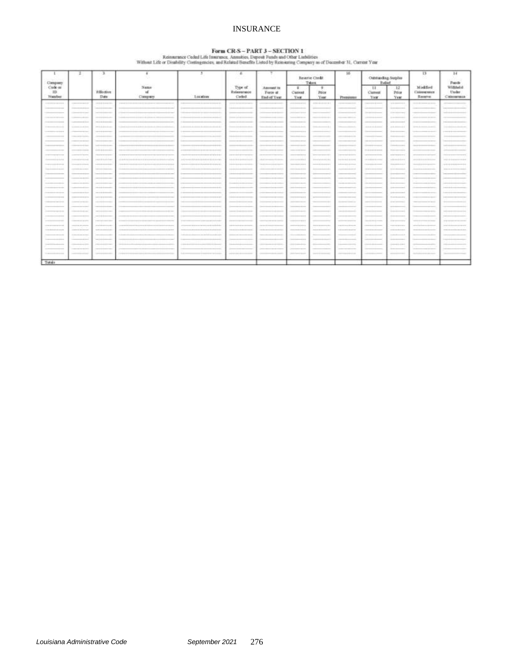# INSURANCE

 $\begin{minipage}[t]{0.08\textwidth} \begin{minipage}[t]{0.08\textwidth} \begin{minipage}[t]{0.08\textwidth} \begin{minipage}[t]{0.08\textwidth} \begin{minipage}[t]{0.08\textwidth} \begin{minipage}[t]{0.08\textwidth} \begin{minipage}[t]{0.08\textwidth} \begin{minipage}[t]{0.08\textwidth} \begin{minipage}[t]{0.08\textwidth} \begin{minipage}[t]{0.08\textwidth} \begin{minipage}[t]{0.08\textwidth} \begin{minipage}[t]{0.08\textwidth} \begin{minipage}[t]{0.08\textwidth$ 

| Cleopany.                                          | z                                        | э                                                                                                                                                                                                                                                                                                                                                                                                                                              |                                  |                                                                            | $\epsilon$                              | ۳                                              |                                      | Beterie Chedit<br>Taken            | 16                                                                                                                               | Cubitanding Surplus<br><b>Bullet</b>    |                                   | 13                                            | 14<br><b>Funds</b>                 |
|----------------------------------------------------|------------------------------------------|------------------------------------------------------------------------------------------------------------------------------------------------------------------------------------------------------------------------------------------------------------------------------------------------------------------------------------------------------------------------------------------------------------------------------------------------|----------------------------------|----------------------------------------------------------------------------|-----------------------------------------|------------------------------------------------|--------------------------------------|------------------------------------|----------------------------------------------------------------------------------------------------------------------------------|-----------------------------------------|-----------------------------------|-----------------------------------------------|------------------------------------|
| Code or<br><b>ID</b><br>Nazzber                    |                                          | Effective<br><b>Date</b>                                                                                                                                                                                                                                                                                                                                                                                                                       | Nasan<br>$\mathbf{d}$<br>Company | Lacation                                                                   | Type of<br><b>Batementer</b><br>Cidad   | Assessor in<br>Force of<br><b>Blad of Vast</b> | $\mathbb{Z}$<br>Carrent<br>Yes       | τ.<br>Price<br><b>Yast</b>         | Photography                                                                                                                      | $\mathbb{H}$<br><b>Current</b><br>Year. | 12<br>Prior<br><b>Year</b>        | Modded<br>Consumer<br><b>Baratve</b>          | Withheld<br>trialer.<br>Chiamanaca |
| -----                                              | ------                                   |                                                                                                                                                                                                                                                                                                                                                                                                                                                |                                  |                                                                            | Commercial design and the property      |                                                | -------                              | $1000 + 1000 + 1000 + 1000$        | -----                                                                                                                            |                                         | and statements.                   | and the factory control                       |                                    |
|                                                    |                                          |                                                                                                                                                                                                                                                                                                                                                                                                                                                |                                  |                                                                            |                                         |                                                |                                      |                                    |                                                                                                                                  | <b>Service Andrews</b>                  | Statement of the American         |                                               |                                    |
|                                                    |                                          |                                                                                                                                                                                                                                                                                                                                                                                                                                                |                                  |                                                                            |                                         |                                                | <b>Professional Professional</b>     |                                    |                                                                                                                                  |                                         |                                   |                                               |                                    |
|                                                    |                                          | ---<br>------                                                                                                                                                                                                                                                                                                                                                                                                                                  |                                  |                                                                            | $\sim$                                  |                                                | <b>SALES CONTROL</b><br>------       |                                    |                                                                                                                                  |                                         | School Corp.<br>----              |                                               |                                    |
|                                                    |                                          |                                                                                                                                                                                                                                                                                                                                                                                                                                                |                                  |                                                                            |                                         |                                                |                                      |                                    |                                                                                                                                  |                                         |                                   |                                               |                                    |
| <b>STATE</b>                                       | announced the con-                       | and a series                                                                                                                                                                                                                                                                                                                                                                                                                                   |                                  |                                                                            |                                         |                                                | -----                                | months and a commercial all-       |                                                                                                                                  | -----                                   | a in determined                   |                                               |                                    |
| ----                                               |                                          | $-2000 + 0.4400 - 1000$                                                                                                                                                                                                                                                                                                                                                                                                                        |                                  |                                                                            |                                         |                                                | Christian Company of the A           |                                    |                                                                                                                                  |                                         | Determined                        |                                               |                                    |
| $-1000$<br>---                                     | The company's the company's              | <b>STARTING</b>                                                                                                                                                                                                                                                                                                                                                                                                                                |                                  |                                                                            |                                         |                                                | -                                    |                                    |                                                                                                                                  |                                         | <b>Salesman</b>                   |                                               |                                    |
|                                                    |                                          |                                                                                                                                                                                                                                                                                                                                                                                                                                                |                                  |                                                                            |                                         |                                                | <b>Service Andrews</b>               |                                    |                                                                                                                                  |                                         | ----                              |                                               |                                    |
| <b>Sales and Controller</b>                        | ----                                     | to all work and success.                                                                                                                                                                                                                                                                                                                                                                                                                       |                                  |                                                                            |                                         |                                                | <b>STATISTICS</b>                    |                                    |                                                                                                                                  | <b>Service Americans</b>                |                                   |                                               |                                    |
|                                                    | <b>CALCULATION</b>                       | and a process.                                                                                                                                                                                                                                                                                                                                                                                                                                 |                                  |                                                                            | $\sim$                                  | <b>CONTRACTOR</b>                              | The property of the local dealership |                                    | ---                                                                                                                              | TA ALANSA ANNA                          | The project process and           |                                               |                                    |
| ----------                                         | and the company's company's property     | <b>CONTRACTOR CONTRACTOR</b>                                                                                                                                                                                                                                                                                                                                                                                                                   |                                  | <b>CONTRACTOR CONTRACTOR</b>                                               | <b>CONTRACTOR</b>                       | ----                                           | <b>CONTRACTOR</b>                    | <b>SECRETARY REPORTS</b>           | <b>CONTRACTOR</b> CONTRACTOR                                                                                                     | the course of the country continued     | to increase and                   | <b>SECURITY AND RESIDENCE OF A SECURITY</b>   |                                    |
|                                                    | <b>Committee of the A</b>                | PERMIT                                                                                                                                                                                                                                                                                                                                                                                                                                         | 122222310                        |                                                                            | Advanced Mark Architects in the Allis   | and at 5 minutes are \$ \$ 40 days.            | --------                             | Activities in Links                | $-240$                                                                                                                           | 19-1-14039-1-120-2                      | 188884480                         | 400448444444444                               | <b>CAST AS A SER</b>               |
| The planning and start in the color                | in month de la de carac                  | ----------                                                                                                                                                                                                                                                                                                                                                                                                                                     |                                  | to the company of the characteristic discussion of the characteristic con- | <b><i><u>DERESS ENGINEERING</u></i></b> | The six is announced in the first profession   | <b><i><u>ARCHERSHER</u></i></b>      | provided at a constraint and       | <b><i><u>Address Commercial</u></i></b>                                                                                          | The state is developed and construc-    | The day and all all and solven in | the start is the development during the first | ---------                          |
| <b>Contract Address</b>                            | committed and control                    | ---------                                                                                                                                                                                                                                                                                                                                                                                                                                      |                                  |                                                                            |                                         | <b>Andreas Architects</b>                      | <b>ARCHAMENT</b>                     |                                    | ----                                                                                                                             | the set of the dealer stresses          | to be the company                 | licated at a strained process and             | ---------                          |
| ___                                                |                                          |                                                                                                                                                                                                                                                                                                                                                                                                                                                |                                  |                                                                            |                                         |                                                | --                                   |                                    |                                                                                                                                  |                                         | -----                             |                                               |                                    |
|                                                    |                                          |                                                                                                                                                                                                                                                                                                                                                                                                                                                |                                  |                                                                            |                                         |                                                | <b>Definition</b>                    |                                    |                                                                                                                                  |                                         | -                                 |                                               |                                    |
| _____                                              |                                          |                                                                                                                                                                                                                                                                                                                                                                                                                                                |                                  |                                                                            |                                         |                                                | -                                    |                                    |                                                                                                                                  |                                         | <b>STATE OF TAXABLE PARTY.</b>    |                                               |                                    |
| <b><i><u>CONTRACTOR COMMUNICATION</u></i></b>      |                                          | come in the change of the                                                                                                                                                                                                                                                                                                                                                                                                                      |                                  |                                                                            |                                         |                                                | <b>CARD AT A COMPANY AND</b>         |                                    |                                                                                                                                  |                                         | <b>SALES AND REAL</b>             |                                               |                                    |
| ---                                                |                                          | <b>CONTRACTOR</b>                                                                                                                                                                                                                                                                                                                                                                                                                              |                                  |                                                                            |                                         |                                                | <b>SALES</b>                         |                                    |                                                                                                                                  |                                         | ----                              |                                               |                                    |
| --                                                 |                                          | $\frac{1}{2} \left( \frac{1}{2} \left( \frac{1}{2} \right) + \frac{1}{2} \left( \frac{1}{2} \right) + \frac{1}{2} \left( \frac{1}{2} \right) + \frac{1}{2} \left( \frac{1}{2} \right) + \frac{1}{2} \left( \frac{1}{2} \right) + \frac{1}{2} \left( \frac{1}{2} \right) + \frac{1}{2} \left( \frac{1}{2} \right) + \frac{1}{2} \left( \frac{1}{2} \right) + \frac{1}{2} \left( \frac{1}{2} \right) + \frac{1}{2} \left( \frac{1}{2} \right) +$ |                                  |                                                                            |                                         |                                                | $19.49 + 19.09 + 19.4$               |                                    |                                                                                                                                  |                                         | 1-1-1-1                           |                                               |                                    |
| ------                                             | <b>CONTRACTOR</b>                        | -                                                                                                                                                                                                                                                                                                                                                                                                                                              |                                  |                                                                            |                                         |                                                | $-100$                               |                                    | --                                                                                                                               |                                         | All for the process.              | $\sim$                                        |                                    |
|                                                    |                                          |                                                                                                                                                                                                                                                                                                                                                                                                                                                |                                  |                                                                            |                                         |                                                | <b>Service</b>                       |                                    |                                                                                                                                  |                                         | -                                 |                                               |                                    |
| <b>Contractor of the State</b>                     | ------                                   | -----                                                                                                                                                                                                                                                                                                                                                                                                                                          | ---                              |                                                                            | -----                                   |                                                | <b>STATISTICS</b>                    |                                    | $\frac{1}{2} \left( \frac{1}{2} \right) \left( \frac{1}{2} \right) \left( \frac{1}{2} \right) \left( \frac{1}{2} \right)$<br>--- | changes the development                 | ----                              | ---                                           |                                    |
|                                                    |                                          | ------                                                                                                                                                                                                                                                                                                                                                                                                                                         |                                  |                                                                            |                                         |                                                |                                      |                                    |                                                                                                                                  |                                         | --                                |                                               |                                    |
| ---<br>--                                          | <b>CONTRACTOR</b>                        | <b>CONTRACTOR</b>                                                                                                                                                                                                                                                                                                                                                                                                                              |                                  |                                                                            |                                         |                                                | to state and process of the fa-      |                                    | ---                                                                                                                              | The property design process             | or process on                     |                                               | ---                                |
| <b>CONTRACTOR IN THE CONTRACTOR</b>                | ---------                                | and the first product of the con-                                                                                                                                                                                                                                                                                                                                                                                                              |                                  |                                                                            |                                         |                                                | printment and raises                 | <b>Scotting of American Editor</b> |                                                                                                                                  | --------                                | the part condition and control    |                                               |                                    |
| <b><i>Children Book and the collection and</i></b> | <b>THE R P. LEWIS CO., LANSING MICH.</b> | <b>SANAH</b>                                                                                                                                                                                                                                                                                                                                                                                                                                   |                                  |                                                                            |                                         |                                                | <b><i><u>Instrumental</u></i></b>    | interested description in the      |                                                                                                                                  | <b>Service Article</b>                  | <b>CARD COMPANY</b>               |                                               |                                    |
|                                                    | <b>CONTRACTOR</b>                        |                                                                                                                                                                                                                                                                                                                                                                                                                                                |                                  |                                                                            |                                         |                                                |                                      |                                    |                                                                                                                                  |                                         | ----                              |                                               |                                    |
| ---                                                |                                          |                                                                                                                                                                                                                                                                                                                                                                                                                                                |                                  |                                                                            |                                         |                                                | The project of the contract of the   |                                    |                                                                                                                                  |                                         | --                                |                                               |                                    |
|                                                    | <b>Contract Contract</b>                 | -                                                                                                                                                                                                                                                                                                                                                                                                                                              |                                  |                                                                            |                                         |                                                | -----                                | -                                  | --                                                                                                                               |                                         | ------                            |                                               |                                    |
|                                                    |                                          |                                                                                                                                                                                                                                                                                                                                                                                                                                                |                                  |                                                                            |                                         |                                                |                                      |                                    |                                                                                                                                  |                                         | -                                 |                                               |                                    |
| Disposition and Calif.                             |                                          |                                                                                                                                                                                                                                                                                                                                                                                                                                                |                                  |                                                                            | <b>Limited State</b>                    |                                                | 344mm p.m.                           | <b>SAFEFEREES</b>                  | -----                                                                                                                            |                                         |                                   |                                               |                                    |
| Totals                                             |                                          |                                                                                                                                                                                                                                                                                                                                                                                                                                                |                                  |                                                                            |                                         |                                                |                                      |                                    |                                                                                                                                  |                                         |                                   |                                               |                                    |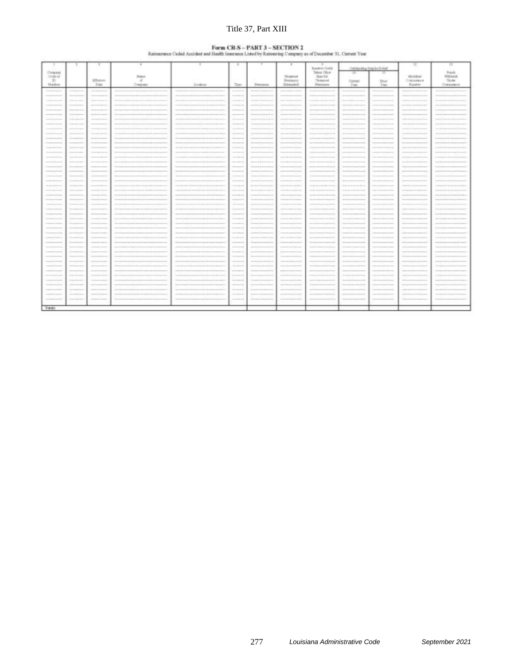# Title 37, Part XIII

# **Euron CR-S - PART 3 -- SECTION 2**<br>Rainsurance Ceded Accident and Health Imamana Listed by Rainsuring Company as of December 31. Current Year

|                                                                                                                                                                                                                                                                                                                                                                                              | ж                                     |                                                                     | ×             | ж                                                                                                                                                                                                                                                                                                          | ÷                                                                                                                                                                                                                                                                                                                                                                                                                                                                          |                                                                                                                                                                                                                                                                                                                                                                                                                                                      |                                                                                                               |                                                                                                                                                                                                                                                                                                                                                                                                                                                                          |                                                                               |                                                            | 耳                                                             | $\frac{1}{2}$            |
|----------------------------------------------------------------------------------------------------------------------------------------------------------------------------------------------------------------------------------------------------------------------------------------------------------------------------------------------------------------------------------------------|---------------------------------------|---------------------------------------------------------------------|---------------|------------------------------------------------------------------------------------------------------------------------------------------------------------------------------------------------------------------------------------------------------------------------------------------------------------|----------------------------------------------------------------------------------------------------------------------------------------------------------------------------------------------------------------------------------------------------------------------------------------------------------------------------------------------------------------------------------------------------------------------------------------------------------------------------|------------------------------------------------------------------------------------------------------------------------------------------------------------------------------------------------------------------------------------------------------------------------------------------------------------------------------------------------------------------------------------------------------------------------------------------------------|---------------------------------------------------------------------------------------------------------------|--------------------------------------------------------------------------------------------------------------------------------------------------------------------------------------------------------------------------------------------------------------------------------------------------------------------------------------------------------------------------------------------------------------------------------------------------------------------------|-------------------------------------------------------------------------------|------------------------------------------------------------|---------------------------------------------------------------|--------------------------|
|                                                                                                                                                                                                                                                                                                                                                                                              |                                       |                                                                     |               |                                                                                                                                                                                                                                                                                                            |                                                                                                                                                                                                                                                                                                                                                                                                                                                                            |                                                                                                                                                                                                                                                                                                                                                                                                                                                      |                                                                                                               | Interne Costa<br>Talent Offer                                                                                                                                                                                                                                                                                                                                                                                                                                            | Cultivating Hambur & shall                                                    |                                                            |                                                               |                          |
| Orqan<br>Cuteur                                                                                                                                                                                                                                                                                                                                                                              |                                       |                                                                     | <b>Status</b> |                                                                                                                                                                                                                                                                                                            |                                                                                                                                                                                                                                                                                                                                                                                                                                                                            |                                                                                                                                                                                                                                                                                                                                                                                                                                                      | <b>Download</b>                                                                                               | <b>Hatche</b>                                                                                                                                                                                                                                                                                                                                                                                                                                                            | x                                                                             | m                                                          | itatiwi                                                       | <b>Punto</b><br>Withhall |
| 7.D                                                                                                                                                                                                                                                                                                                                                                                          |                                       | <b>Affective</b>                                                    | $\sim$        |                                                                                                                                                                                                                                                                                                            |                                                                                                                                                                                                                                                                                                                                                                                                                                                                            |                                                                                                                                                                                                                                                                                                                                                                                                                                                      | <b>Jennavin</b>                                                                                               | Christma                                                                                                                                                                                                                                                                                                                                                                                                                                                                 | Cytres                                                                        | <b>This</b>                                                | Ontolanton                                                    | <b>Tikoler</b>           |
| <b>Thanks</b>                                                                                                                                                                                                                                                                                                                                                                                |                                       | 246                                                                 | Onraine       | Sandaro.                                                                                                                                                                                                                                                                                                   | Tops                                                                                                                                                                                                                                                                                                                                                                                                                                                                       | <b>Jessice</b>                                                                                                                                                                                                                                                                                                                                                                                                                                       | (Melanuakal)                                                                                                  | <b>Description</b>                                                                                                                                                                                                                                                                                                                                                                                                                                                       | Thir                                                                          | Ter:                                                       | Esperio                                                       | Communicor               |
| ---                                                                                                                                                                                                                                                                                                                                                                                          |                                       |                                                                     |               |                                                                                                                                                                                                                                                                                                            | -                                                                                                                                                                                                                                                                                                                                                                                                                                                                          |                                                                                                                                                                                                                                                                                                                                                                                                                                                      |                                                                                                               |                                                                                                                                                                                                                                                                                                                                                                                                                                                                          |                                                                               |                                                            |                                                               |                          |
| ____                                                                                                                                                                                                                                                                                                                                                                                         | -                                     | -                                                                   |               |                                                                                                                                                                                                                                                                                                            |                                                                                                                                                                                                                                                                                                                                                                                                                                                                            |                                                                                                                                                                                                                                                                                                                                                                                                                                                      |                                                                                                               |                                                                                                                                                                                                                                                                                                                                                                                                                                                                          | -                                                                             | ---<br>----                                                | -                                                             |                          |
|                                                                                                                                                                                                                                                                                                                                                                                              | --                                    |                                                                     |               | n.                                                                                                                                                                                                                                                                                                         | -----                                                                                                                                                                                                                                                                                                                                                                                                                                                                      |                                                                                                                                                                                                                                                                                                                                                                                                                                                      |                                                                                                               |                                                                                                                                                                                                                                                                                                                                                                                                                                                                          |                                                                               |                                                            |                                                               |                          |
|                                                                                                                                                                                                                                                                                                                                                                                              | -                                     |                                                                     |               |                                                                                                                                                                                                                                                                                                            |                                                                                                                                                                                                                                                                                                                                                                                                                                                                            |                                                                                                                                                                                                                                                                                                                                                                                                                                                      |                                                                                                               |                                                                                                                                                                                                                                                                                                                                                                                                                                                                          |                                                                               |                                                            |                                                               |                          |
|                                                                                                                                                                                                                                                                                                                                                                                              |                                       |                                                                     |               |                                                                                                                                                                                                                                                                                                            | ---                                                                                                                                                                                                                                                                                                                                                                                                                                                                        |                                                                                                                                                                                                                                                                                                                                                                                                                                                      |                                                                                                               |                                                                                                                                                                                                                                                                                                                                                                                                                                                                          |                                                                               |                                                            |                                                               |                          |
| ----------<br><b>Linking op states</b>                                                                                                                                                                                                                                                                                                                                                       | <b>Services</b><br><b>LEASANT</b>     | ---<br>dealership to see                                            |               | and the participants of the control of the con-<br><b>STATISTICS</b>                                                                                                                                                                                                                                       | ----<br>----                                                                                                                                                                                                                                                                                                                                                                                                                                                               | to convent in the december device.                                                                                                                                                                                                                                                                                                                                                                                                                   | service the service in its draw-                                                                              |                                                                                                                                                                                                                                                                                                                                                                                                                                                                          | $-$                                                                           | <b>STER</b><br>industrial control with the co-             | in the fit determines and the state                           |                          |
| complete property                                                                                                                                                                                                                                                                                                                                                                            | Addressed                             | ---                                                                 |               | <b>THE REAL PROPERTY</b><br>-----                                                                                                                                                                                                                                                                          | The formula                                                                                                                                                                                                                                                                                                                                                                                                                                                                | the project in the demonstrated at all                                                                                                                                                                                                                                                                                                                                                                                                               | printment is im-                                                                                              |                                                                                                                                                                                                                                                                                                                                                                                                                                                                          | $-$                                                                           | Scott components in the first side                         | <b>UASERSPRING</b>                                            |                          |
|                                                                                                                                                                                                                                                                                                                                                                                              | -----                                 |                                                                     |               |                                                                                                                                                                                                                                                                                                            | chemical                                                                                                                                                                                                                                                                                                                                                                                                                                                                   | anni i i immini                                                                                                                                                                                                                                                                                                                                                                                                                                      |                                                                                                               |                                                                                                                                                                                                                                                                                                                                                                                                                                                                          |                                                                               |                                                            |                                                               |                          |
| ____                                                                                                                                                                                                                                                                                                                                                                                         | Antonio Marco                         |                                                                     |               |                                                                                                                                                                                                                                                                                                            | <b>SEARCH</b>                                                                                                                                                                                                                                                                                                                                                                                                                                                              | $-$                                                                                                                                                                                                                                                                                                                                                                                                                                                  | $1 - 1$                                                                                                       |                                                                                                                                                                                                                                                                                                                                                                                                                                                                          | ---                                                                           | $\sim$                                                     |                                                               |                          |
|                                                                                                                                                                                                                                                                                                                                                                                              | -------                               | <b>STATE</b>                                                        |               |                                                                                                                                                                                                                                                                                                            | ----                                                                                                                                                                                                                                                                                                                                                                                                                                                                       | ----                                                                                                                                                                                                                                                                                                                                                                                                                                                 |                                                                                                               |                                                                                                                                                                                                                                                                                                                                                                                                                                                                          |                                                                               |                                                            |                                                               |                          |
|                                                                                                                                                                                                                                                                                                                                                                                              | <b>Designation</b>                    |                                                                     |               |                                                                                                                                                                                                                                                                                                            | $\frac{1}{2} \left( \frac{1}{2} \right) \left( \frac{1}{2} \right) \left( \frac{1}{2} \right) \left( \frac{1}{2} \right) \left( \frac{1}{2} \right) \left( \frac{1}{2} \right) \left( \frac{1}{2} \right) \left( \frac{1}{2} \right) \left( \frac{1}{2} \right) \left( \frac{1}{2} \right) \left( \frac{1}{2} \right) \left( \frac{1}{2} \right) \left( \frac{1}{2} \right) \left( \frac{1}{2} \right) \left( \frac{1}{2} \right) \left( \frac{1}{2} \right) \left( \frac$ |                                                                                                                                                                                                                                                                                                                                                                                                                                                      |                                                                                                               |                                                                                                                                                                                                                                                                                                                                                                                                                                                                          | -                                                                             |                                                            |                                                               |                          |
| <b>CONTRACTOR</b>                                                                                                                                                                                                                                                                                                                                                                            | <b>John Avenue of the</b>             |                                                                     |               |                                                                                                                                                                                                                                                                                                            | <b>SERNING</b>                                                                                                                                                                                                                                                                                                                                                                                                                                                             | in commodation in the commodation                                                                                                                                                                                                                                                                                                                                                                                                                    | -<br>---                                                                                                      |                                                                                                                                                                                                                                                                                                                                                                                                                                                                          | <b>Service Adams</b>                                                          |                                                            |                                                               |                          |
|                                                                                                                                                                                                                                                                                                                                                                                              |                                       |                                                                     |               |                                                                                                                                                                                                                                                                                                            |                                                                                                                                                                                                                                                                                                                                                                                                                                                                            |                                                                                                                                                                                                                                                                                                                                                                                                                                                      |                                                                                                               |                                                                                                                                                                                                                                                                                                                                                                                                                                                                          |                                                                               |                                                            |                                                               |                          |
|                                                                                                                                                                                                                                                                                                                                                                                              |                                       |                                                                     |               |                                                                                                                                                                                                                                                                                                            | ++++++                                                                                                                                                                                                                                                                                                                                                                                                                                                                     | $\label{eq:3.1} \frac{\partial \rho}{\partial t} = -\partial \rho + \frac{1}{2} \rho + \frac{1}{2} \rho + \frac{1}{2} \rho + \frac{1}{2} \rho + \frac{1}{2} \rho + \frac{1}{2} \rho + \frac{1}{2} \rho + \frac{1}{2} \rho + \frac{1}{2} \rho + \frac{1}{2} \rho + \frac{1}{2} \rho + \frac{1}{2} \rho + \frac{1}{2} \rho + \frac{1}{2} \rho + \frac{1}{2} \rho + \frac{1}{2} \rho + \frac{1}{2} \rho + \frac{1}{2} \rho + \frac{1}{2} \rho + \frac{$ | the state discussion do do down                                                                               | ----                                                                                                                                                                                                                                                                                                                                                                                                                                                                     | ---                                                                           |                                                            |                                                               |                          |
| -----<br>                                                                                                                                                                                                                                                                                                                                                                                    | <b>Service And Controller</b>         |                                                                     |               | $\sim$                                                                                                                                                                                                                                                                                                     | <b>STATISTICS</b>                                                                                                                                                                                                                                                                                                                                                                                                                                                          | <b>SECOND RESIDENCE</b>                                                                                                                                                                                                                                                                                                                                                                                                                              | ----                                                                                                          | $-100$                                                                                                                                                                                                                                                                                                                                                                                                                                                                   | ---                                                                           |                                                            |                                                               |                          |
|                                                                                                                                                                                                                                                                                                                                                                                              | <b>SHOWER</b>                         | $-0.001$                                                            |               |                                                                                                                                                                                                                                                                                                            | $\frac{1}{2} \left( \frac{1}{2} \right) \left( \frac{1}{2} \right) \left( \frac{1}{2} \right) \left( \frac{1}{2} \right) \left( \frac{1}{2} \right) \left( \frac{1}{2} \right) \left( \frac{1}{2} \right) \left( \frac{1}{2} \right) \left( \frac{1}{2} \right) \left( \frac{1}{2} \right) \left( \frac{1}{2} \right) \left( \frac{1}{2} \right) \left( \frac{1}{2} \right) \left( \frac{1}{2} \right) \left( \frac{1}{2} \right) \left( \frac{1}{2} \right) \left( \frac$ | the second de de democrats de det.                                                                                                                                                                                                                                                                                                                                                                                                                   | -----                                                                                                         | -----                                                                                                                                                                                                                                                                                                                                                                                                                                                                    |                                                                               |                                                            |                                                               |                          |
| ---                                                                                                                                                                                                                                                                                                                                                                                          | ----                                  |                                                                     |               |                                                                                                                                                                                                                                                                                                            | ___                                                                                                                                                                                                                                                                                                                                                                                                                                                                        |                                                                                                                                                                                                                                                                                                                                                                                                                                                      |                                                                                                               |                                                                                                                                                                                                                                                                                                                                                                                                                                                                          |                                                                               |                                                            |                                                               |                          |
|                                                                                                                                                                                                                                                                                                                                                                                              | $\sim$                                |                                                                     |               |                                                                                                                                                                                                                                                                                                            | <b>CONTRACTOR</b>                                                                                                                                                                                                                                                                                                                                                                                                                                                          |                                                                                                                                                                                                                                                                                                                                                                                                                                                      | <b>STAR</b>                                                                                                   |                                                                                                                                                                                                                                                                                                                                                                                                                                                                          |                                                                               |                                                            |                                                               |                          |
|                                                                                                                                                                                                                                                                                                                                                                                              | $\sim$                                |                                                                     |               |                                                                                                                                                                                                                                                                                                            | --                                                                                                                                                                                                                                                                                                                                                                                                                                                                         |                                                                                                                                                                                                                                                                                                                                                                                                                                                      |                                                                                                               |                                                                                                                                                                                                                                                                                                                                                                                                                                                                          |                                                                               |                                                            |                                                               |                          |
| H-Friedrich                                                                                                                                                                                                                                                                                                                                                                                  | <b>Contractor</b>                     |                                                                     |               |                                                                                                                                                                                                                                                                                                            | $1 + 1 + 0.0001$                                                                                                                                                                                                                                                                                                                                                                                                                                                           | P0-039-4-10-039-4-1                                                                                                                                                                                                                                                                                                                                                                                                                                  | $\frac{1}{2}$<br>$+ + +$                                                                                      |                                                                                                                                                                                                                                                                                                                                                                                                                                                                          |                                                                               |                                                            |                                                               |                          |
| -----                                                                                                                                                                                                                                                                                                                                                                                        | Telefon winter                        | <b>CONTRACTOR</b>                                                   |               |                                                                                                                                                                                                                                                                                                            | participate                                                                                                                                                                                                                                                                                                                                                                                                                                                                | Microsoft at an accountable of<br>------                                                                                                                                                                                                                                                                                                                                                                                                             | of second-comp and a term                                                                                     | <b>STATISTICS</b>                                                                                                                                                                                                                                                                                                                                                                                                                                                        | Total Country State                                                           | <b>SALES</b><br>-----<br>$-0.001$                          |                                                               |                          |
| ----------<br><b><i>CARD COMPANY</i></b>                                                                                                                                                                                                                                                                                                                                                     | <b>STERN BANK</b><br>Chinese Archives | -------<br><b><i><u>A show that the show that the state</u></i></b> |               | <b>CONTRACTOR</b>                                                                                                                                                                                                                                                                                          | revenue<br><b>Science</b>                                                                                                                                                                                                                                                                                                                                                                                                                                                  | <b>STATISTICS</b><br>the medical garden is considered and all                                                                                                                                                                                                                                                                                                                                                                                        | <b>WITH PERSONAL PROPERTY</b><br>Alabander in the political state                                             | <b>CONTRACTOR</b><br>                                                                                                                                                                                                                                                                                                                                                                                                                                                    | ----<br><b>Development and an address and the development of the American</b> | <b><i>Britain Street</i></b><br><b>Selected</b><br>------- |                                                               |                          |
| comments of                                                                                                                                                                                                                                                                                                                                                                                  | A-10-00-00-00                         |                                                                     |               |                                                                                                                                                                                                                                                                                                            | Linksweise                                                                                                                                                                                                                                                                                                                                                                                                                                                                 | de concerto de democrat de la d                                                                                                                                                                                                                                                                                                                                                                                                                      | ----                                                                                                          |                                                                                                                                                                                                                                                                                                                                                                                                                                                                          |                                                                               | ----                                                       |                                                               |                          |
| ----                                                                                                                                                                                                                                                                                                                                                                                         | The contract of the con-              |                                                                     |               |                                                                                                                                                                                                                                                                                                            | $\frac{1}{2}$                                                                                                                                                                                                                                                                                                                                                                                                                                                              |                                                                                                                                                                                                                                                                                                                                                                                                                                                      | ----                                                                                                          |                                                                                                                                                                                                                                                                                                                                                                                                                                                                          | $-$                                                                           | $-$<br>----                                                |                                                               |                          |
|                                                                                                                                                                                                                                                                                                                                                                                              | ------                                |                                                                     |               |                                                                                                                                                                                                                                                                                                            |                                                                                                                                                                                                                                                                                                                                                                                                                                                                            | --                                                                                                                                                                                                                                                                                                                                                                                                                                                   | ----                                                                                                          |                                                                                                                                                                                                                                                                                                                                                                                                                                                                          |                                                                               |                                                            |                                                               |                          |
|                                                                                                                                                                                                                                                                                                                                                                                              | <b>SAN HOUSE</b>                      |                                                                     |               |                                                                                                                                                                                                                                                                                                            | $\frac{1}{2}$                                                                                                                                                                                                                                                                                                                                                                                                                                                              | --                                                                                                                                                                                                                                                                                                                                                                                                                                                   |                                                                                                               |                                                                                                                                                                                                                                                                                                                                                                                                                                                                          |                                                                               |                                                            |                                                               |                          |
|                                                                                                                                                                                                                                                                                                                                                                                              |                                       |                                                                     |               |                                                                                                                                                                                                                                                                                                            |                                                                                                                                                                                                                                                                                                                                                                                                                                                                            |                                                                                                                                                                                                                                                                                                                                                                                                                                                      |                                                                                                               |                                                                                                                                                                                                                                                                                                                                                                                                                                                                          |                                                                               |                                                            |                                                               |                          |
| $\cdots$                                                                                                                                                                                                                                                                                                                                                                                     |                                       |                                                                     |               |                                                                                                                                                                                                                                                                                                            |                                                                                                                                                                                                                                                                                                                                                                                                                                                                            |                                                                                                                                                                                                                                                                                                                                                                                                                                                      |                                                                                                               |                                                                                                                                                                                                                                                                                                                                                                                                                                                                          |                                                                               |                                                            |                                                               |                          |
|                                                                                                                                                                                                                                                                                                                                                                                              | ÷                                     |                                                                     |               |                                                                                                                                                                                                                                                                                                            |                                                                                                                                                                                                                                                                                                                                                                                                                                                                            |                                                                                                                                                                                                                                                                                                                                                                                                                                                      |                                                                                                               |                                                                                                                                                                                                                                                                                                                                                                                                                                                                          |                                                                               |                                                            |                                                               |                          |
| <b>CONTRACTOR</b>                                                                                                                                                                                                                                                                                                                                                                            | The complete with                     | $\frac{1}{2}$                                                       |               |                                                                                                                                                                                                                                                                                                            | ----                                                                                                                                                                                                                                                                                                                                                                                                                                                                       | $\frac{1}{2}$                                                                                                                                                                                                                                                                                                                                                                                                                                        | $\sim$<br>----                                                                                                |                                                                                                                                                                                                                                                                                                                                                                                                                                                                          | -----                                                                         | ---                                                        |                                                               |                          |
|                                                                                                                                                                                                                                                                                                                                                                                              | -                                     | $-11$                                                               |               |                                                                                                                                                                                                                                                                                                            |                                                                                                                                                                                                                                                                                                                                                                                                                                                                            |                                                                                                                                                                                                                                                                                                                                                                                                                                                      |                                                                                                               |                                                                                                                                                                                                                                                                                                                                                                                                                                                                          |                                                                               |                                                            |                                                               |                          |
|                                                                                                                                                                                                                                                                                                                                                                                              | -                                     |                                                                     |               |                                                                                                                                                                                                                                                                                                            | --                                                                                                                                                                                                                                                                                                                                                                                                                                                                         |                                                                                                                                                                                                                                                                                                                                                                                                                                                      |                                                                                                               |                                                                                                                                                                                                                                                                                                                                                                                                                                                                          |                                                                               |                                                            |                                                               |                          |
| -                                                                                                                                                                                                                                                                                                                                                                                            |                                       |                                                                     |               |                                                                                                                                                                                                                                                                                                            |                                                                                                                                                                                                                                                                                                                                                                                                                                                                            |                                                                                                                                                                                                                                                                                                                                                                                                                                                      |                                                                                                               |                                                                                                                                                                                                                                                                                                                                                                                                                                                                          |                                                                               |                                                            |                                                               |                          |
|                                                                                                                                                                                                                                                                                                                                                                                              |                                       |                                                                     |               |                                                                                                                                                                                                                                                                                                            |                                                                                                                                                                                                                                                                                                                                                                                                                                                                            |                                                                                                                                                                                                                                                                                                                                                                                                                                                      |                                                                                                               |                                                                                                                                                                                                                                                                                                                                                                                                                                                                          |                                                                               |                                                            |                                                               |                          |
|                                                                                                                                                                                                                                                                                                                                                                                              |                                       |                                                                     |               |                                                                                                                                                                                                                                                                                                            |                                                                                                                                                                                                                                                                                                                                                                                                                                                                            |                                                                                                                                                                                                                                                                                                                                                                                                                                                      |                                                                                                               |                                                                                                                                                                                                                                                                                                                                                                                                                                                                          |                                                                               |                                                            |                                                               |                          |
| <b>CONTRACTOR</b>                                                                                                                                                                                                                                                                                                                                                                            | <b>Committee</b>                      |                                                                     |               |                                                                                                                                                                                                                                                                                                            | <b>PERMIT</b>                                                                                                                                                                                                                                                                                                                                                                                                                                                              | <b>WELL-SEE AT \$1.00</b><br>----                                                                                                                                                                                                                                                                                                                                                                                                                    | <b>HERE</b><br>$\frac{1}{2} \left( \frac{1}{2} \right) \left( \frac{1}{2} \right) \left( \frac{1}{2} \right)$ |                                                                                                                                                                                                                                                                                                                                                                                                                                                                          | $\overline{\phantom{a}}$                                                      |                                                            |                                                               |                          |
| -------                                                                                                                                                                                                                                                                                                                                                                                      | <b>STERN STERN</b><br>0.0112.011      | ---------<br>3 0 0 5 Arrest                                         | -             | $\label{eq:3.1} \begin{small} (1,2,3,4) \end{smallmatrix} \begin{smallmatrix} (1,2,3,4) \end{smallmatrix} \begin{smallmatrix} (1,2,3,4) \end{smallmatrix} \begin{smallmatrix} (1,2,3,4) \end{smallmatrix} \begin{smallmatrix} (1,2,3,4) \end{smallmatrix} \begin{smallmatrix} (1,2,3,4) \end{smallmatrix}$ | <b>STATISTICS</b><br>3348448                                                                                                                                                                                                                                                                                                                                                                                                                                               | <b>Brown &amp; B (2010)</b> E-F (                                                                                                                                                                                                                                                                                                                                                                                                                    | 0101011111111111                                                                                              | $\label{eq:1.1} \begin{split} \frac{1}{2} \left( \left( \frac{1}{2} \right) \right) \left( \frac{1}{2} \right) \left( \frac{1}{2} \right) \left( \frac{1}{2} \right) \left( \frac{1}{2} \right) \left( \frac{1}{2} \right) \left( \frac{1}{2} \right) \left( \frac{1}{2} \right) \left( \frac{1}{2} \right) \left( \frac{1}{2} \right) \left( \frac{1}{2} \right) \left( \frac{1}{2} \right) \left( \frac{1}{2} \right) \left( \frac{1}{2} \right) \left( \frac{1}{2} \$ | (in chair do et al. process A.M.Au).                                          | ----<br>to be a present deal of their all                  | Total day and with the A. All the other than the child stress | --                       |
| --                                                                                                                                                                                                                                                                                                                                                                                           | <b>Service Entrance</b>               | <b>STATE</b>                                                        |               |                                                                                                                                                                                                                                                                                                            | <b>International</b>                                                                                                                                                                                                                                                                                                                                                                                                                                                       | <b>COLORADO</b>                                                                                                                                                                                                                                                                                                                                                                                                                                      | <b><i><u>PERMIT</u></i></b>                                                                                   |                                                                                                                                                                                                                                                                                                                                                                                                                                                                          |                                                                               |                                                            |                                                               |                          |
| $\frac{1}{2} \left( \frac{1}{2} \frac{1}{2} \frac{1}{2} \frac{1}{2} \frac{1}{2} \frac{1}{2} \frac{1}{2} \frac{1}{2} \frac{1}{2} \frac{1}{2} \frac{1}{2} \frac{1}{2} \frac{1}{2} \frac{1}{2} \frac{1}{2} \frac{1}{2} \frac{1}{2} \frac{1}{2} \frac{1}{2} \frac{1}{2} \frac{1}{2} \frac{1}{2} \frac{1}{2} \frac{1}{2} \frac{1}{2} \frac{1}{2} \frac{1}{2} \frac{1}{2} \frac{1}{2} \frac{1}{2}$ | <b>Colombian Report</b>               |                                                                     |               |                                                                                                                                                                                                                                                                                                            | Services and                                                                                                                                                                                                                                                                                                                                                                                                                                                               |                                                                                                                                                                                                                                                                                                                                                                                                                                                      | ---                                                                                                           |                                                                                                                                                                                                                                                                                                                                                                                                                                                                          |                                                                               |                                                            |                                                               |                          |
| $-0.00000$                                                                                                                                                                                                                                                                                                                                                                                   |                                       |                                                                     |               |                                                                                                                                                                                                                                                                                                            |                                                                                                                                                                                                                                                                                                                                                                                                                                                                            |                                                                                                                                                                                                                                                                                                                                                                                                                                                      |                                                                                                               |                                                                                                                                                                                                                                                                                                                                                                                                                                                                          |                                                                               |                                                            |                                                               |                          |
|                                                                                                                                                                                                                                                                                                                                                                                              | <b>June 1973</b>                      |                                                                     |               |                                                                                                                                                                                                                                                                                                            | --                                                                                                                                                                                                                                                                                                                                                                                                                                                                         |                                                                                                                                                                                                                                                                                                                                                                                                                                                      |                                                                                                               |                                                                                                                                                                                                                                                                                                                                                                                                                                                                          | -                                                                             |                                                            |                                                               |                          |
| --                                                                                                                                                                                                                                                                                                                                                                                           | <b>CONTRACT</b>                       | m                                                                   |               |                                                                                                                                                                                                                                                                                                            |                                                                                                                                                                                                                                                                                                                                                                                                                                                                            |                                                                                                                                                                                                                                                                                                                                                                                                                                                      | $\sim$                                                                                                        |                                                                                                                                                                                                                                                                                                                                                                                                                                                                          |                                                                               |                                                            |                                                               |                          |
|                                                                                                                                                                                                                                                                                                                                                                                              |                                       |                                                                     |               |                                                                                                                                                                                                                                                                                                            |                                                                                                                                                                                                                                                                                                                                                                                                                                                                            |                                                                                                                                                                                                                                                                                                                                                                                                                                                      |                                                                                                               |                                                                                                                                                                                                                                                                                                                                                                                                                                                                          |                                                                               |                                                            |                                                               |                          |
| Totals                                                                                                                                                                                                                                                                                                                                                                                       |                                       |                                                                     |               |                                                                                                                                                                                                                                                                                                            |                                                                                                                                                                                                                                                                                                                                                                                                                                                                            |                                                                                                                                                                                                                                                                                                                                                                                                                                                      |                                                                                                               |                                                                                                                                                                                                                                                                                                                                                                                                                                                                          |                                                                               |                                                            |                                                               |                          |